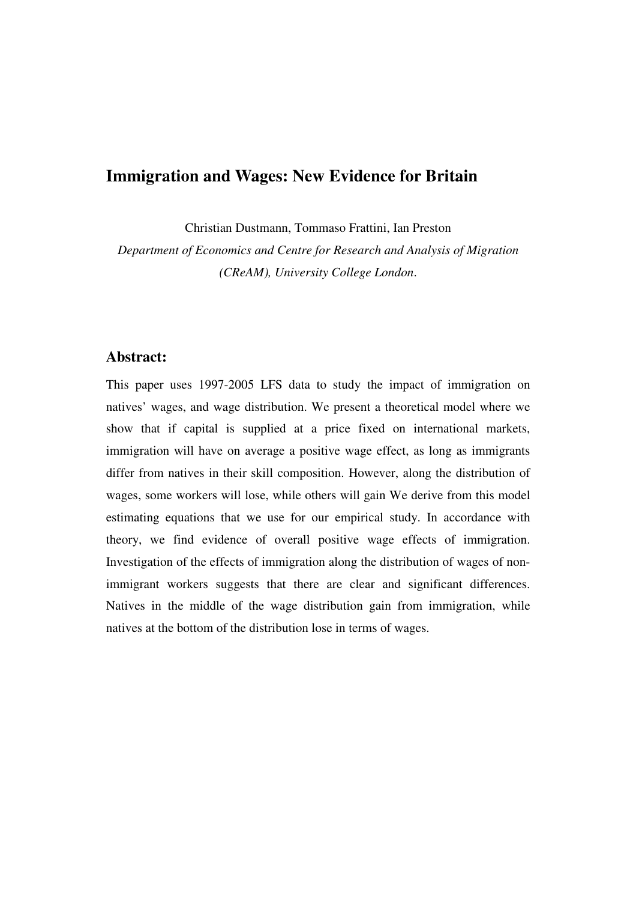## **Immigration and Wages: New Evidence for Britain**

Christian Dustmann, Tommaso Frattini, Ian Preston

*Department of Economics and Centre for Research and Analysis of Migration (CReAM), University College London*.

### **Abstract:**

This paper uses 1997-2005 LFS data to study the impact of immigration on natives' wages, and wage distribution. We present a theoretical model where we show that if capital is supplied at a price fixed on international markets, immigration will have on average a positive wage effect, as long as immigrants differ from natives in their skill composition. However, along the distribution of wages, some workers will lose, while others will gain We derive from this model estimating equations that we use for our empirical study. In accordance with theory, we find evidence of overall positive wage effects of immigration. Investigation of the effects of immigration along the distribution of wages of nonimmigrant workers suggests that there are clear and significant differences. Natives in the middle of the wage distribution gain from immigration, while natives at the bottom of the distribution lose in terms of wages.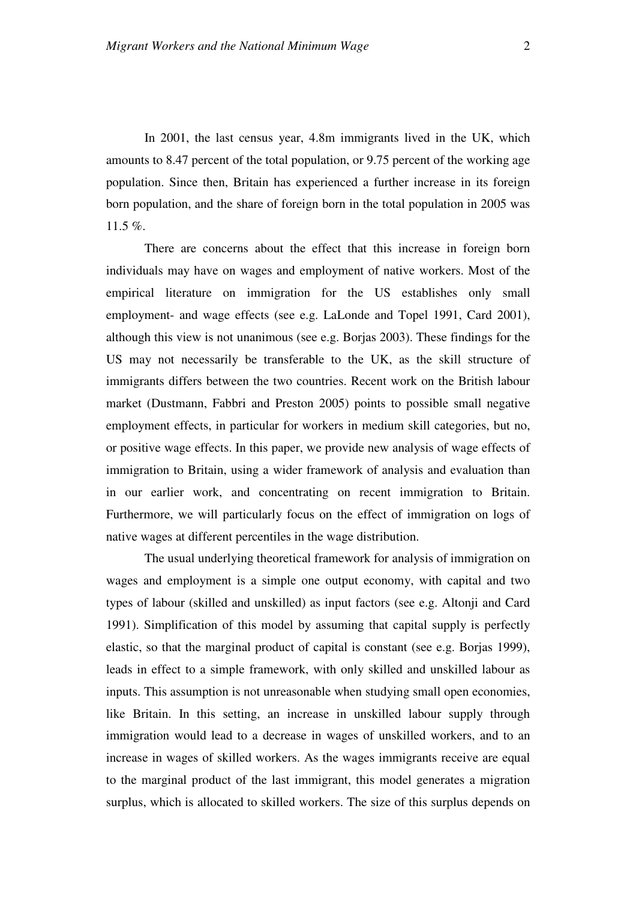In 2001, the last census year, 4.8m immigrants lived in the UK, which amounts to 8.47 percent of the total population, or 9.75 percent of the working age population. Since then, Britain has experienced a further increase in its foreign born population, and the share of foreign born in the total population in 2005 was 11.5 %.

There are concerns about the effect that this increase in foreign born individuals may have on wages and employment of native workers. Most of the empirical literature on immigration for the US establishes only small employment- and wage effects (see e.g. LaLonde and Topel 1991, Card 2001), although this view is not unanimous (see e.g. Borjas 2003). These findings for the US may not necessarily be transferable to the UK, as the skill structure of immigrants differs between the two countries. Recent work on the British labour market (Dustmann, Fabbri and Preston 2005) points to possible small negative employment effects, in particular for workers in medium skill categories, but no, or positive wage effects. In this paper, we provide new analysis of wage effects of immigration to Britain, using a wider framework of analysis and evaluation than in our earlier work, and concentrating on recent immigration to Britain. Furthermore, we will particularly focus on the effect of immigration on logs of native wages at different percentiles in the wage distribution.

The usual underlying theoretical framework for analysis of immigration on wages and employment is a simple one output economy, with capital and two types of labour (skilled and unskilled) as input factors (see e.g. Altonji and Card 1991). Simplification of this model by assuming that capital supply is perfectly elastic, so that the marginal product of capital is constant (see e.g. Borjas 1999), leads in effect to a simple framework, with only skilled and unskilled labour as inputs. This assumption is not unreasonable when studying small open economies, like Britain. In this setting, an increase in unskilled labour supply through immigration would lead to a decrease in wages of unskilled workers, and to an increase in wages of skilled workers. As the wages immigrants receive are equal to the marginal product of the last immigrant, this model generates a migration surplus, which is allocated to skilled workers. The size of this surplus depends on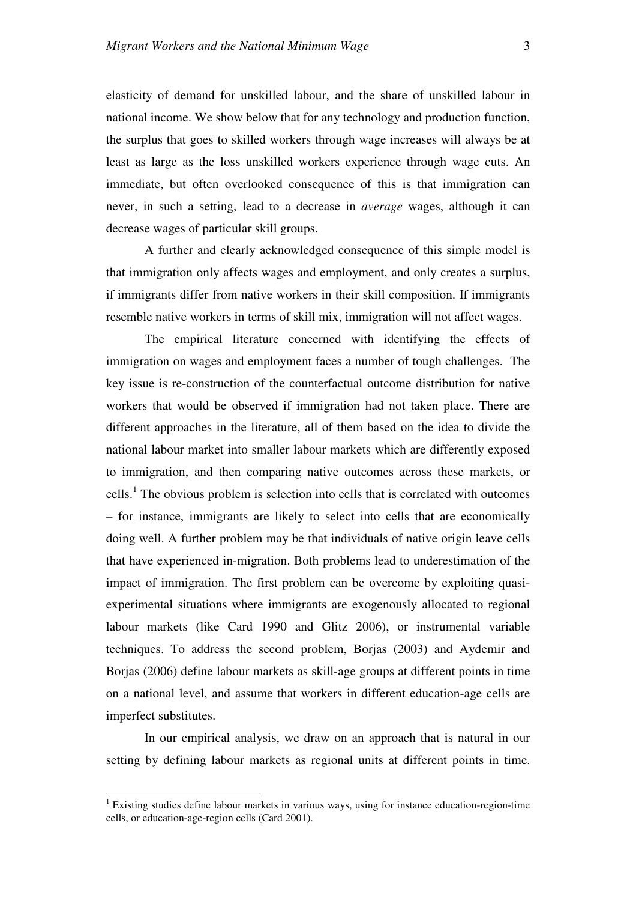elasticity of demand for unskilled labour, and the share of unskilled labour in national income. We show below that for any technology and production function, the surplus that goes to skilled workers through wage increases will always be at least as large as the loss unskilled workers experience through wage cuts. An immediate, but often overlooked consequence of this is that immigration can never, in such a setting, lead to a decrease in *average* wages, although it can decrease wages of particular skill groups.

A further and clearly acknowledged consequence of this simple model is that immigration only affects wages and employment, and only creates a surplus, if immigrants differ from native workers in their skill composition. If immigrants resemble native workers in terms of skill mix, immigration will not affect wages.

The empirical literature concerned with identifying the effects of immigration on wages and employment faces a number of tough challenges. The key issue is re-construction of the counterfactual outcome distribution for native workers that would be observed if immigration had not taken place. There are different approaches in the literature, all of them based on the idea to divide the national labour market into smaller labour markets which are differently exposed to immigration, and then comparing native outcomes across these markets, or cells.<sup>1</sup> The obvious problem is selection into cells that is correlated with outcomes – for instance, immigrants are likely to select into cells that are economically doing well. A further problem may be that individuals of native origin leave cells that have experienced in-migration. Both problems lead to underestimation of the impact of immigration. The first problem can be overcome by exploiting quasiexperimental situations where immigrants are exogenously allocated to regional labour markets (like Card 1990 and Glitz 2006), or instrumental variable techniques. To address the second problem, Borjas (2003) and Aydemir and Borjas (2006) define labour markets as skill-age groups at different points in time on a national level, and assume that workers in different education-age cells are imperfect substitutes.

In our empirical analysis, we draw on an approach that is natural in our setting by defining labour markets as regional units at different points in time.

 $\overline{a}$ 

<sup>&</sup>lt;sup>1</sup> Existing studies define labour markets in various ways, using for instance education-region-time cells, or education-age-region cells (Card 2001).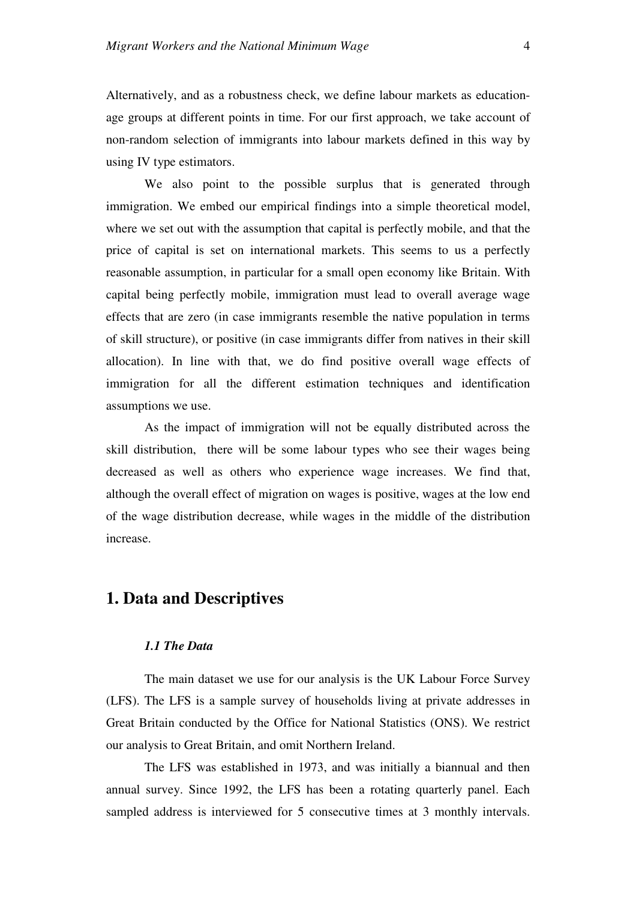Alternatively, and as a robustness check, we define labour markets as educationage groups at different points in time. For our first approach, we take account of non-random selection of immigrants into labour markets defined in this way by using IV type estimators.

We also point to the possible surplus that is generated through immigration. We embed our empirical findings into a simple theoretical model, where we set out with the assumption that capital is perfectly mobile, and that the price of capital is set on international markets. This seems to us a perfectly reasonable assumption, in particular for a small open economy like Britain. With capital being perfectly mobile, immigration must lead to overall average wage effects that are zero (in case immigrants resemble the native population in terms of skill structure), or positive (in case immigrants differ from natives in their skill allocation). In line with that, we do find positive overall wage effects of immigration for all the different estimation techniques and identification assumptions we use.

As the impact of immigration will not be equally distributed across the skill distribution, there will be some labour types who see their wages being decreased as well as others who experience wage increases. We find that, although the overall effect of migration on wages is positive, wages at the low end of the wage distribution decrease, while wages in the middle of the distribution increase.

### **1. Data and Descriptives**

#### *1.1 The Data*

The main dataset we use for our analysis is the UK Labour Force Survey (LFS). The LFS is a sample survey of households living at private addresses in Great Britain conducted by the Office for National Statistics (ONS). We restrict our analysis to Great Britain, and omit Northern Ireland.

The LFS was established in 1973, and was initially a biannual and then annual survey. Since 1992, the LFS has been a rotating quarterly panel. Each sampled address is interviewed for 5 consecutive times at 3 monthly intervals.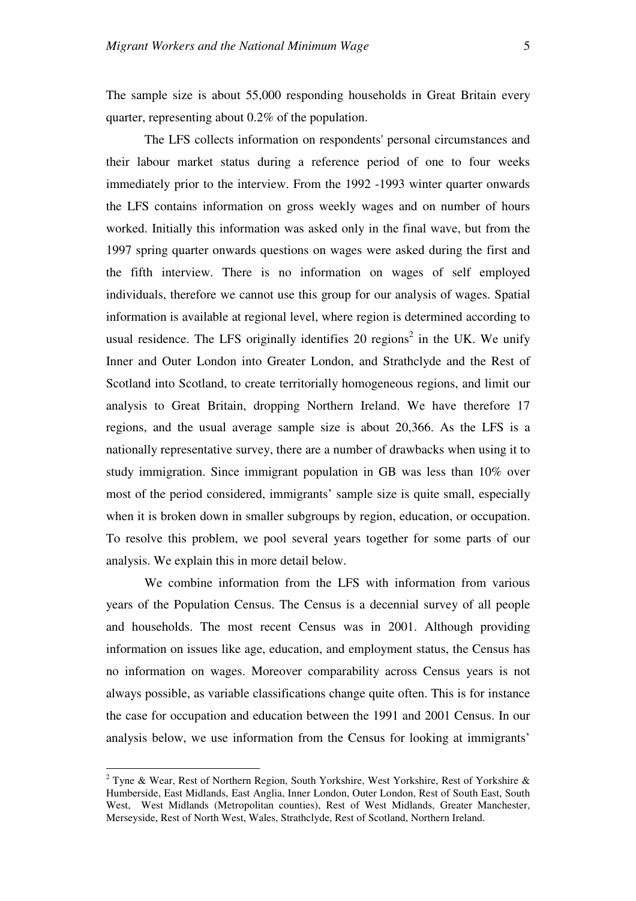The sample size is about 55,000 responding households in Great Britain every quarter, representing about 0.2% of the population.

The LFS collects information on respondents' personal circumstances and their labour market status during a reference period of one to four weeks immediately prior to the interview. From the 1992 -1993 winter quarter onwards the LFS contains information on gross weekly wages and on number of hours worked. Initially this information was asked only in the final wave, but from the 1997 spring quarter onwards questions on wages were asked during the first and the fifth interview. There is no information on wages of self employed individuals, therefore we cannot use this group for our analysis of wages. Spatial information is available at regional level, where region is determined according to usual residence. The LFS originally identifies 20 regions<sup>2</sup> in the UK. We unify Inner and Outer London into Greater London, and Strathclyde and the Rest of Scotland into Scotland, to create territorially homogeneous regions, and limit our analysis to Great Britain, dropping Northern Ireland. We have therefore 17 regions, and the usual average sample size is about 20,366. As the LFS is a nationally representative survey, there are a number of drawbacks when using it to study immigration. Since immigrant population in GB was less than 10% over most of the period considered, immigrants' sample size is quite small, especially when it is broken down in smaller subgroups by region, education, or occupation. To resolve this problem, we pool several years together for some parts of our analysis. We explain this in more detail below.

We combine information from the LFS with information from various years of the Population Census. The Census is a decennial survey of all people and households. The most recent Census was in 2001. Although providing information on issues like age, education, and employment status, the Census has no information on wages. Moreover comparability across Census years is not always possible, as variable classifications change quite often. This is for instance the case for occupation and education between the 1991 and 2001 Census. In our analysis below, we use information from the Census for looking at immigrants'

 2 Tyne & Wear, Rest of Northern Region, South Yorkshire, West Yorkshire, Rest of Yorkshire & Humberside, East Midlands, East Anglia, Inner London, Outer London, Rest of South East, South West, West Midlands (Metropolitan counties), Rest of West Midlands, Greater Manchester, Merseyside, Rest of North West, Wales, Strathclyde, Rest of Scotland, Northern Ireland.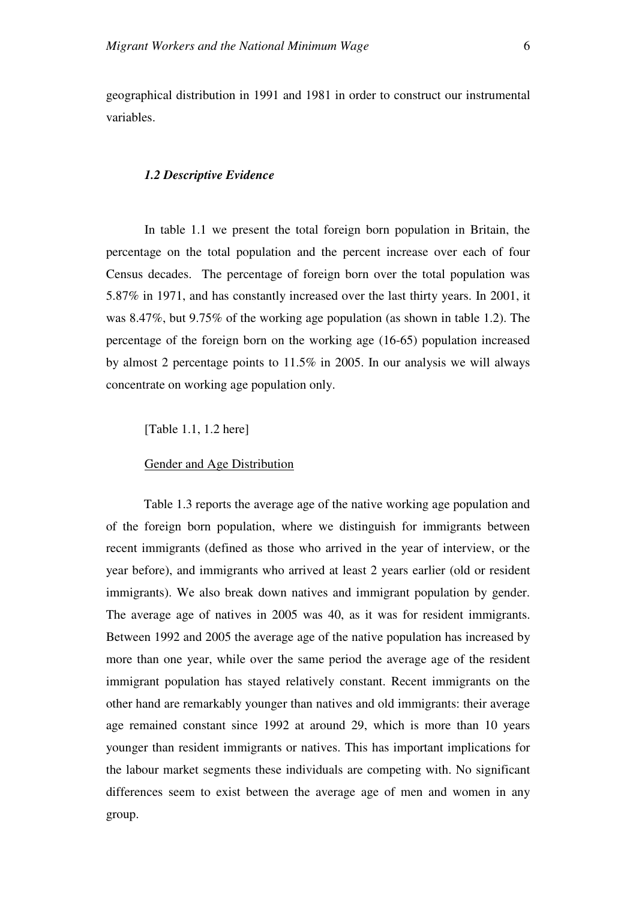geographical distribution in 1991 and 1981 in order to construct our instrumental variables.

#### *1.2 Descriptive Evidence*

In table 1.1 we present the total foreign born population in Britain, the percentage on the total population and the percent increase over each of four Census decades. The percentage of foreign born over the total population was 5.87% in 1971, and has constantly increased over the last thirty years. In 2001, it was 8.47%, but 9.75% of the working age population (as shown in table 1.2). The percentage of the foreign born on the working age (16-65) population increased by almost 2 percentage points to 11.5% in 2005. In our analysis we will always concentrate on working age population only.

[Table 1.1, 1.2 here]

Gender and Age Distribution

Table 1.3 reports the average age of the native working age population and of the foreign born population, where we distinguish for immigrants between recent immigrants (defined as those who arrived in the year of interview, or the year before), and immigrants who arrived at least 2 years earlier (old or resident immigrants). We also break down natives and immigrant population by gender. The average age of natives in 2005 was 40, as it was for resident immigrants. Between 1992 and 2005 the average age of the native population has increased by more than one year, while over the same period the average age of the resident immigrant population has stayed relatively constant. Recent immigrants on the other hand are remarkably younger than natives and old immigrants: their average age remained constant since 1992 at around 29, which is more than 10 years younger than resident immigrants or natives. This has important implications for the labour market segments these individuals are competing with. No significant differences seem to exist between the average age of men and women in any group.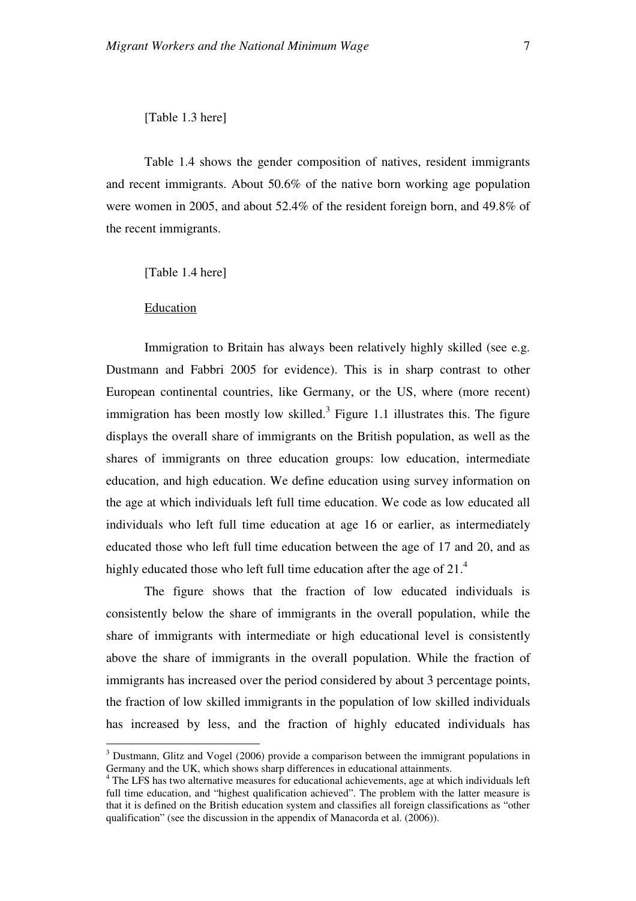#### [Table 1.3 here]

Table 1.4 shows the gender composition of natives, resident immigrants and recent immigrants. About 50.6% of the native born working age population were women in 2005, and about 52.4% of the resident foreign born, and 49.8% of the recent immigrants.

[Table 1.4 here]

Education

 $\overline{a}$ 

Immigration to Britain has always been relatively highly skilled (see e.g. Dustmann and Fabbri 2005 for evidence). This is in sharp contrast to other European continental countries, like Germany, or the US, where (more recent) immigration has been mostly low skilled.<sup>3</sup> Figure 1.1 illustrates this. The figure displays the overall share of immigrants on the British population, as well as the shares of immigrants on three education groups: low education, intermediate education, and high education. We define education using survey information on the age at which individuals left full time education. We code as low educated all individuals who left full time education at age 16 or earlier, as intermediately educated those who left full time education between the age of 17 and 20, and as highly educated those who left full time education after the age of  $21<sup>4</sup>$ 

The figure shows that the fraction of low educated individuals is consistently below the share of immigrants in the overall population, while the share of immigrants with intermediate or high educational level is consistently above the share of immigrants in the overall population. While the fraction of immigrants has increased over the period considered by about 3 percentage points, the fraction of low skilled immigrants in the population of low skilled individuals has increased by less, and the fraction of highly educated individuals has

 $3$  Dustmann, Glitz and Vogel (2006) provide a comparison between the immigrant populations in Germany and the UK, which shows sharp differences in educational attainments.

<sup>&</sup>lt;sup>4</sup> The LFS has two alternative measures for educational achievements, age at which individuals left full time education, and "highest qualification achieved". The problem with the latter measure is that it is defined on the British education system and classifies all foreign classifications as "other qualification" (see the discussion in the appendix of Manacorda et al. (2006)).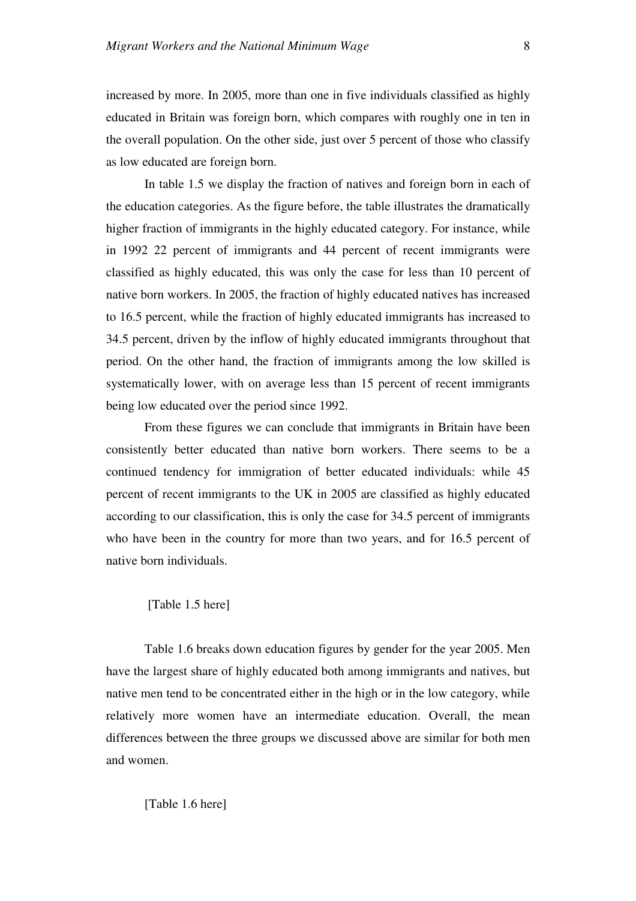increased by more. In 2005, more than one in five individuals classified as highly educated in Britain was foreign born, which compares with roughly one in ten in the overall population. On the other side, just over 5 percent of those who classify as low educated are foreign born.

In table 1.5 we display the fraction of natives and foreign born in each of the education categories. As the figure before, the table illustrates the dramatically higher fraction of immigrants in the highly educated category. For instance, while in 1992 22 percent of immigrants and 44 percent of recent immigrants were classified as highly educated, this was only the case for less than 10 percent of native born workers. In 2005, the fraction of highly educated natives has increased to 16.5 percent, while the fraction of highly educated immigrants has increased to 34.5 percent, driven by the inflow of highly educated immigrants throughout that period. On the other hand, the fraction of immigrants among the low skilled is systematically lower, with on average less than 15 percent of recent immigrants being low educated over the period since 1992.

From these figures we can conclude that immigrants in Britain have been consistently better educated than native born workers. There seems to be a continued tendency for immigration of better educated individuals: while 45 percent of recent immigrants to the UK in 2005 are classified as highly educated according to our classification, this is only the case for 34.5 percent of immigrants who have been in the country for more than two years, and for 16.5 percent of native born individuals.

#### [Table 1.5 here]

Table 1.6 breaks down education figures by gender for the year 2005. Men have the largest share of highly educated both among immigrants and natives, but native men tend to be concentrated either in the high or in the low category, while relatively more women have an intermediate education. Overall, the mean differences between the three groups we discussed above are similar for both men and women.

#### [Table 1.6 here]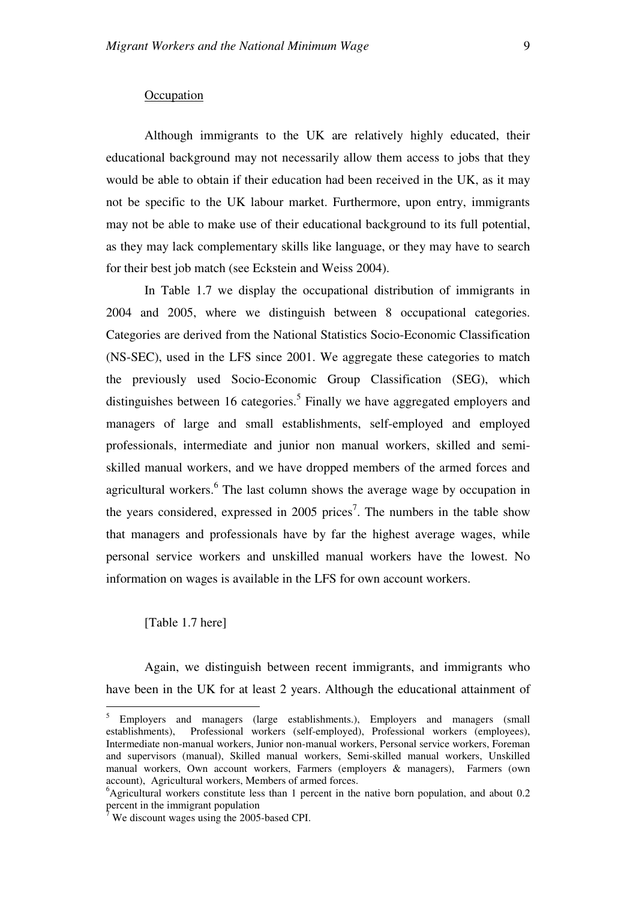#### **Occupation**

Although immigrants to the UK are relatively highly educated, their educational background may not necessarily allow them access to jobs that they would be able to obtain if their education had been received in the UK, as it may not be specific to the UK labour market. Furthermore, upon entry, immigrants may not be able to make use of their educational background to its full potential, as they may lack complementary skills like language, or they may have to search for their best job match (see Eckstein and Weiss 2004).

In Table 1.7 we display the occupational distribution of immigrants in 2004 and 2005, where we distinguish between 8 occupational categories. Categories are derived from the National Statistics Socio-Economic Classification (NS-SEC), used in the LFS since 2001. We aggregate these categories to match the previously used Socio-Economic Group Classification (SEG), which distinguishes between 16 categories.<sup>5</sup> Finally we have aggregated employers and managers of large and small establishments, self-employed and employed professionals, intermediate and junior non manual workers, skilled and semiskilled manual workers, and we have dropped members of the armed forces and agricultural workers.<sup>6</sup> The last column shows the average wage by occupation in the years considered, expressed in 2005 prices<sup>7</sup>. The numbers in the table show that managers and professionals have by far the highest average wages, while personal service workers and unskilled manual workers have the lowest. No information on wages is available in the LFS for own account workers.

#### [Table 1.7 here]

 $\overline{a}$ 

Again, we distinguish between recent immigrants, and immigrants who have been in the UK for at least 2 years. Although the educational attainment of

<sup>&</sup>lt;sup>5</sup> Employers and managers (large establishments.), Employers and managers (small establishments), Professional workers (self-employed), Professional workers (employees), Intermediate non-manual workers, Junior non-manual workers, Personal service workers, Foreman and supervisors (manual), Skilled manual workers, Semi-skilled manual workers, Unskilled manual workers, Own account workers, Farmers (employers & managers), Farmers (own account), Agricultural workers, Members of armed forces.

 $6$ Agricultural workers constitute less than 1 percent in the native born population, and about 0.2 percent in the immigrant population<br><sup>7</sup> We discount wages using the 2005

We discount wages using the 2005-based CPI.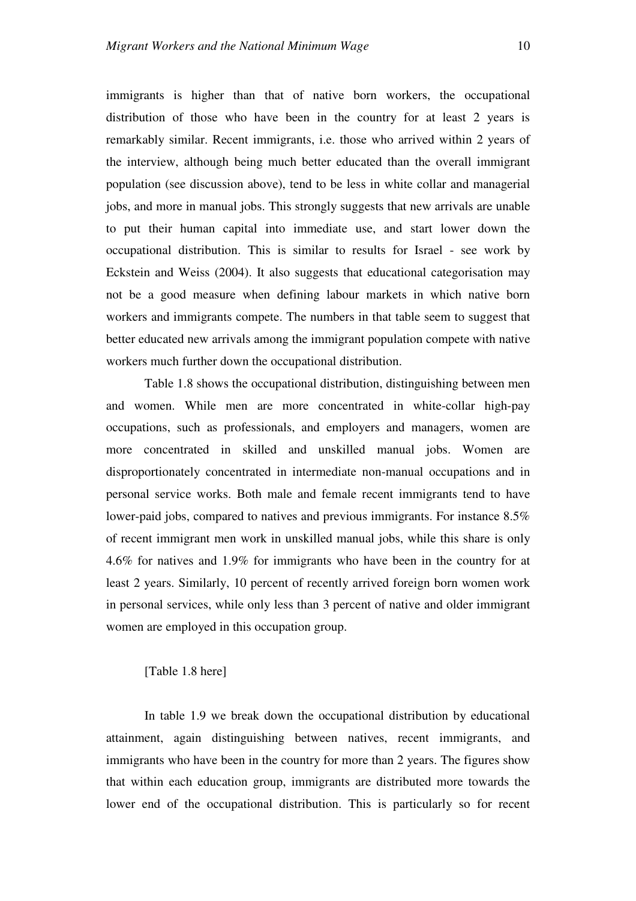immigrants is higher than that of native born workers, the occupational distribution of those who have been in the country for at least 2 years is remarkably similar. Recent immigrants, i.e. those who arrived within 2 years of the interview, although being much better educated than the overall immigrant population (see discussion above), tend to be less in white collar and managerial jobs, and more in manual jobs. This strongly suggests that new arrivals are unable to put their human capital into immediate use, and start lower down the occupational distribution. This is similar to results for Israel - see work by Eckstein and Weiss (2004). It also suggests that educational categorisation may not be a good measure when defining labour markets in which native born workers and immigrants compete. The numbers in that table seem to suggest that better educated new arrivals among the immigrant population compete with native workers much further down the occupational distribution.

Table 1.8 shows the occupational distribution, distinguishing between men and women. While men are more concentrated in white-collar high-pay occupations, such as professionals, and employers and managers, women are more concentrated in skilled and unskilled manual jobs. Women are disproportionately concentrated in intermediate non-manual occupations and in personal service works. Both male and female recent immigrants tend to have lower-paid jobs, compared to natives and previous immigrants. For instance 8.5% of recent immigrant men work in unskilled manual jobs, while this share is only 4.6% for natives and 1.9% for immigrants who have been in the country for at least 2 years. Similarly, 10 percent of recently arrived foreign born women work in personal services, while only less than 3 percent of native and older immigrant women are employed in this occupation group.

#### [Table 1.8 here]

In table 1.9 we break down the occupational distribution by educational attainment, again distinguishing between natives, recent immigrants, and immigrants who have been in the country for more than 2 years. The figures show that within each education group, immigrants are distributed more towards the lower end of the occupational distribution. This is particularly so for recent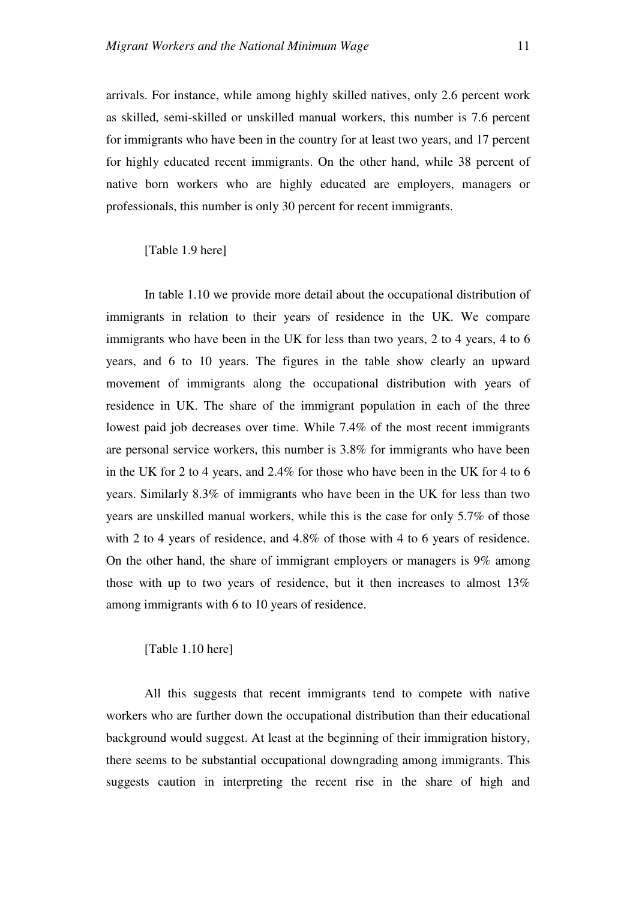arrivals. For instance, while among highly skilled natives, only 2.6 percent work as skilled, semi-skilled or unskilled manual workers, this number is 7.6 percent for immigrants who have been in the country for at least two years, and 17 percent for highly educated recent immigrants. On the other hand, while 38 percent of native born workers who are highly educated are employers, managers or professionals, this number is only 30 percent for recent immigrants.

[Table 1.9 here]

In table 1.10 we provide more detail about the occupational distribution of immigrants in relation to their years of residence in the UK. We compare immigrants who have been in the UK for less than two years, 2 to 4 years, 4 to 6 years, and 6 to 10 years. The figures in the table show clearly an upward movement of immigrants along the occupational distribution with years of residence in UK. The share of the immigrant population in each of the three lowest paid job decreases over time. While 7.4% of the most recent immigrants are personal service workers, this number is 3.8% for immigrants who have been in the UK for 2 to 4 years, and 2.4% for those who have been in the UK for 4 to 6 years. Similarly 8.3% of immigrants who have been in the UK for less than two years are unskilled manual workers, while this is the case for only 5.7% of those with 2 to 4 years of residence, and 4.8% of those with 4 to 6 years of residence. On the other hand, the share of immigrant employers or managers is 9% among those with up to two years of residence, but it then increases to almost 13% among immigrants with 6 to 10 years of residence.

[Table 1.10 here]

All this suggests that recent immigrants tend to compete with native workers who are further down the occupational distribution than their educational background would suggest. At least at the beginning of their immigration history, there seems to be substantial occupational downgrading among immigrants. This suggests caution in interpreting the recent rise in the share of high and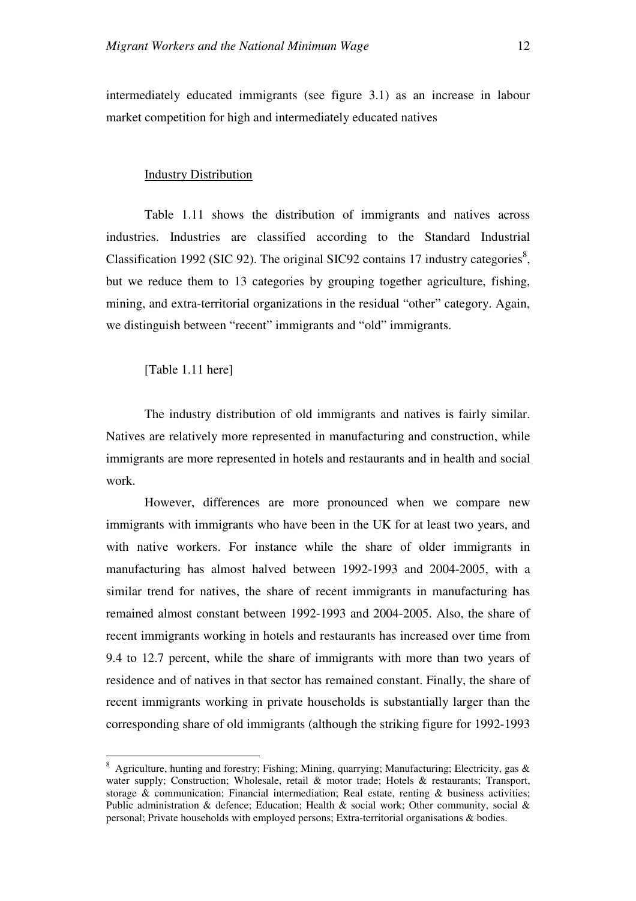intermediately educated immigrants (see figure 3.1) as an increase in labour market competition for high and intermediately educated natives

#### Industry Distribution

Table 1.11 shows the distribution of immigrants and natives across industries. Industries are classified according to the Standard Industrial Classification 1992 (SIC 92). The original SIC92 contains 17 industry categories<sup>8</sup>, but we reduce them to 13 categories by grouping together agriculture, fishing, mining, and extra-territorial organizations in the residual "other" category. Again, we distinguish between "recent" immigrants and "old" immigrants.

#### [Table 1.11 here]

 $\overline{a}$ 

The industry distribution of old immigrants and natives is fairly similar. Natives are relatively more represented in manufacturing and construction, while immigrants are more represented in hotels and restaurants and in health and social work.

However, differences are more pronounced when we compare new immigrants with immigrants who have been in the UK for at least two years, and with native workers. For instance while the share of older immigrants in manufacturing has almost halved between 1992-1993 and 2004-2005, with a similar trend for natives, the share of recent immigrants in manufacturing has remained almost constant between 1992-1993 and 2004-2005. Also, the share of recent immigrants working in hotels and restaurants has increased over time from 9.4 to 12.7 percent, while the share of immigrants with more than two years of residence and of natives in that sector has remained constant. Finally, the share of recent immigrants working in private households is substantially larger than the corresponding share of old immigrants (although the striking figure for 1992-1993

<sup>&</sup>lt;sup>8</sup> Agriculture, hunting and forestry; Fishing; Mining, quarrying; Manufacturing; Electricity, gas & water supply; Construction; Wholesale, retail & motor trade; Hotels & restaurants; Transport, storage & communication; Financial intermediation; Real estate, renting & business activities: Public administration & defence; Education; Health & social work; Other community, social & personal; Private households with employed persons; Extra-territorial organisations & bodies.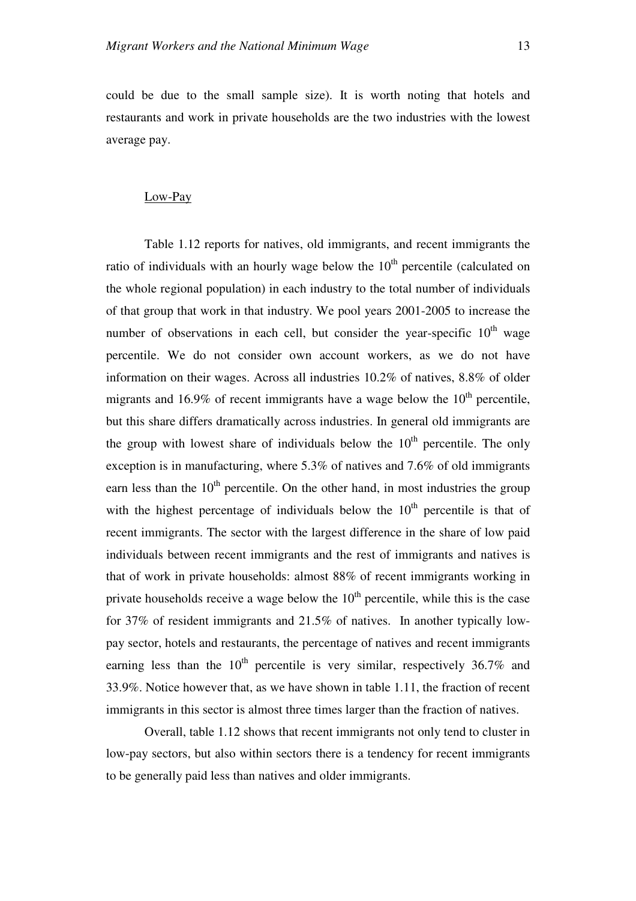could be due to the small sample size). It is worth noting that hotels and restaurants and work in private households are the two industries with the lowest average pay.

#### Low-Pay

Table 1.12 reports for natives, old immigrants, and recent immigrants the ratio of individuals with an hourly wage below the  $10<sup>th</sup>$  percentile (calculated on the whole regional population) in each industry to the total number of individuals of that group that work in that industry. We pool years 2001-2005 to increase the number of observations in each cell, but consider the year-specific  $10<sup>th</sup>$  wage percentile. We do not consider own account workers, as we do not have information on their wages. Across all industries 10.2% of natives, 8.8% of older migrants and 16.9% of recent immigrants have a wage below the  $10<sup>th</sup>$  percentile, but this share differs dramatically across industries. In general old immigrants are the group with lowest share of individuals below the  $10<sup>th</sup>$  percentile. The only exception is in manufacturing, where 5.3% of natives and 7.6% of old immigrants earn less than the  $10<sup>th</sup>$  percentile. On the other hand, in most industries the group with the highest percentage of individuals below the  $10<sup>th</sup>$  percentile is that of recent immigrants. The sector with the largest difference in the share of low paid individuals between recent immigrants and the rest of immigrants and natives is that of work in private households: almost 88% of recent immigrants working in private households receive a wage below the  $10<sup>th</sup>$  percentile, while this is the case for 37% of resident immigrants and 21.5% of natives. In another typically lowpay sector, hotels and restaurants, the percentage of natives and recent immigrants earning less than the  $10^{th}$  percentile is very similar, respectively 36.7% and 33.9%. Notice however that, as we have shown in table 1.11, the fraction of recent immigrants in this sector is almost three times larger than the fraction of natives.

Overall, table 1.12 shows that recent immigrants not only tend to cluster in low-pay sectors, but also within sectors there is a tendency for recent immigrants to be generally paid less than natives and older immigrants.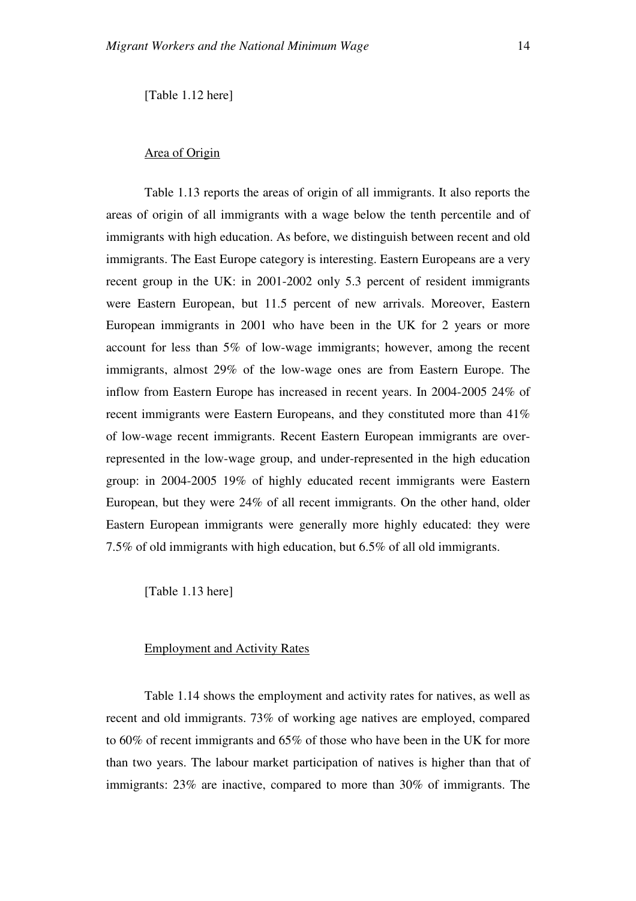[Table 1.12 here]

#### Area of Origin

Table 1.13 reports the areas of origin of all immigrants. It also reports the areas of origin of all immigrants with a wage below the tenth percentile and of immigrants with high education. As before, we distinguish between recent and old immigrants. The East Europe category is interesting. Eastern Europeans are a very recent group in the UK: in 2001-2002 only 5.3 percent of resident immigrants were Eastern European, but 11.5 percent of new arrivals. Moreover, Eastern European immigrants in 2001 who have been in the UK for 2 years or more account for less than 5% of low-wage immigrants; however, among the recent immigrants, almost 29% of the low-wage ones are from Eastern Europe. The inflow from Eastern Europe has increased in recent years. In 2004-2005 24% of recent immigrants were Eastern Europeans, and they constituted more than 41% of low-wage recent immigrants. Recent Eastern European immigrants are overrepresented in the low-wage group, and under-represented in the high education group: in 2004-2005 19% of highly educated recent immigrants were Eastern European, but they were 24% of all recent immigrants. On the other hand, older Eastern European immigrants were generally more highly educated: they were 7.5% of old immigrants with high education, but 6.5% of all old immigrants.

[Table 1.13 here]

#### Employment and Activity Rates

Table 1.14 shows the employment and activity rates for natives, as well as recent and old immigrants. 73% of working age natives are employed, compared to 60% of recent immigrants and 65% of those who have been in the UK for more than two years. The labour market participation of natives is higher than that of immigrants: 23% are inactive, compared to more than 30% of immigrants. The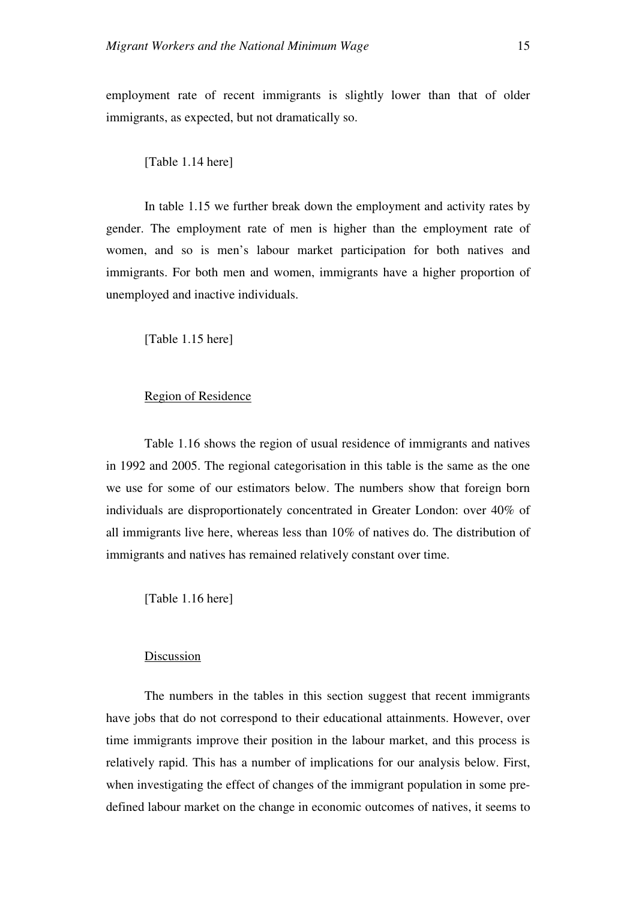employment rate of recent immigrants is slightly lower than that of older immigrants, as expected, but not dramatically so.

[Table 1.14 here]

In table 1.15 we further break down the employment and activity rates by gender. The employment rate of men is higher than the employment rate of women, and so is men's labour market participation for both natives and immigrants. For both men and women, immigrants have a higher proportion of unemployed and inactive individuals.

[Table 1.15 here]

#### Region of Residence

Table 1.16 shows the region of usual residence of immigrants and natives in 1992 and 2005. The regional categorisation in this table is the same as the one we use for some of our estimators below. The numbers show that foreign born individuals are disproportionately concentrated in Greater London: over 40% of all immigrants live here, whereas less than 10% of natives do. The distribution of immigrants and natives has remained relatively constant over time.

[Table 1.16 here]

#### Discussion

The numbers in the tables in this section suggest that recent immigrants have jobs that do not correspond to their educational attainments. However, over time immigrants improve their position in the labour market, and this process is relatively rapid. This has a number of implications for our analysis below. First, when investigating the effect of changes of the immigrant population in some predefined labour market on the change in economic outcomes of natives, it seems to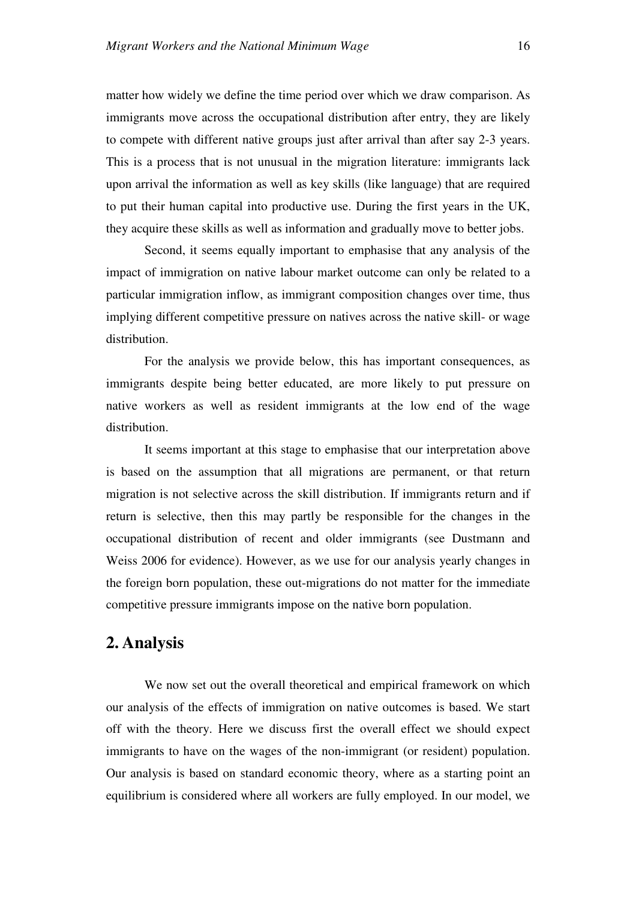matter how widely we define the time period over which we draw comparison. As immigrants move across the occupational distribution after entry, they are likely to compete with different native groups just after arrival than after say 2-3 years. This is a process that is not unusual in the migration literature: immigrants lack upon arrival the information as well as key skills (like language) that are required to put their human capital into productive use. During the first years in the UK, they acquire these skills as well as information and gradually move to better jobs.

Second, it seems equally important to emphasise that any analysis of the impact of immigration on native labour market outcome can only be related to a particular immigration inflow, as immigrant composition changes over time, thus implying different competitive pressure on natives across the native skill- or wage distribution.

For the analysis we provide below, this has important consequences, as immigrants despite being better educated, are more likely to put pressure on native workers as well as resident immigrants at the low end of the wage distribution.

It seems important at this stage to emphasise that our interpretation above is based on the assumption that all migrations are permanent, or that return migration is not selective across the skill distribution. If immigrants return and if return is selective, then this may partly be responsible for the changes in the occupational distribution of recent and older immigrants (see Dustmann and Weiss 2006 for evidence). However, as we use for our analysis yearly changes in the foreign born population, these out-migrations do not matter for the immediate competitive pressure immigrants impose on the native born population.

## **2. Analysis**

We now set out the overall theoretical and empirical framework on which our analysis of the effects of immigration on native outcomes is based. We start off with the theory. Here we discuss first the overall effect we should expect immigrants to have on the wages of the non-immigrant (or resident) population. Our analysis is based on standard economic theory, where as a starting point an equilibrium is considered where all workers are fully employed. In our model, we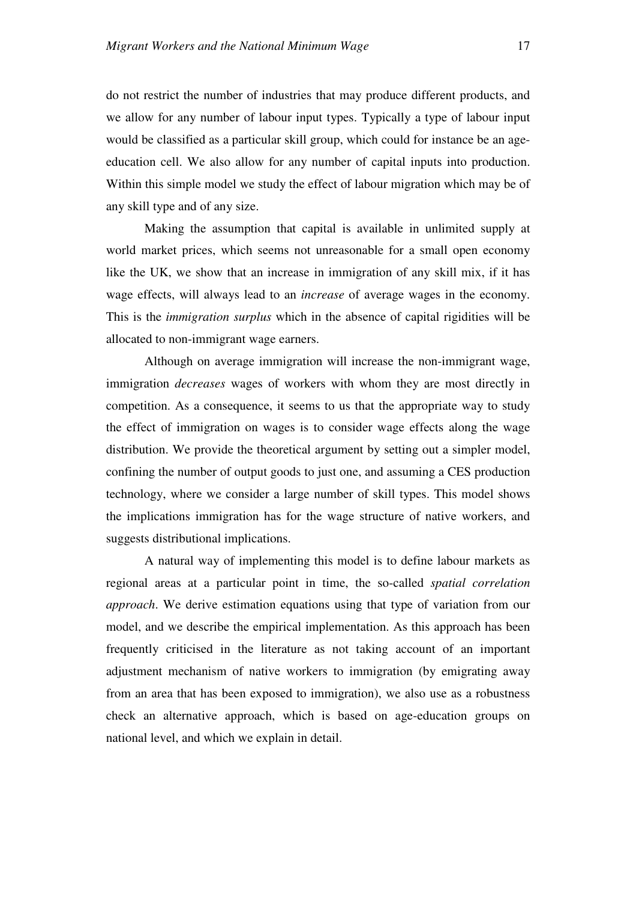do not restrict the number of industries that may produce different products, and we allow for any number of labour input types. Typically a type of labour input would be classified as a particular skill group, which could for instance be an ageeducation cell. We also allow for any number of capital inputs into production. Within this simple model we study the effect of labour migration which may be of any skill type and of any size.

Making the assumption that capital is available in unlimited supply at world market prices, which seems not unreasonable for a small open economy like the UK, we show that an increase in immigration of any skill mix, if it has wage effects, will always lead to an *increase* of average wages in the economy. This is the *immigration surplus* which in the absence of capital rigidities will be allocated to non-immigrant wage earners.

Although on average immigration will increase the non-immigrant wage, immigration *decreases* wages of workers with whom they are most directly in competition. As a consequence, it seems to us that the appropriate way to study the effect of immigration on wages is to consider wage effects along the wage distribution. We provide the theoretical argument by setting out a simpler model, confining the number of output goods to just one, and assuming a CES production technology, where we consider a large number of skill types. This model shows the implications immigration has for the wage structure of native workers, and suggests distributional implications.

A natural way of implementing this model is to define labour markets as regional areas at a particular point in time, the so-called *spatial correlation approach*. We derive estimation equations using that type of variation from our model, and we describe the empirical implementation. As this approach has been frequently criticised in the literature as not taking account of an important adjustment mechanism of native workers to immigration (by emigrating away from an area that has been exposed to immigration), we also use as a robustness check an alternative approach, which is based on age-education groups on national level, and which we explain in detail.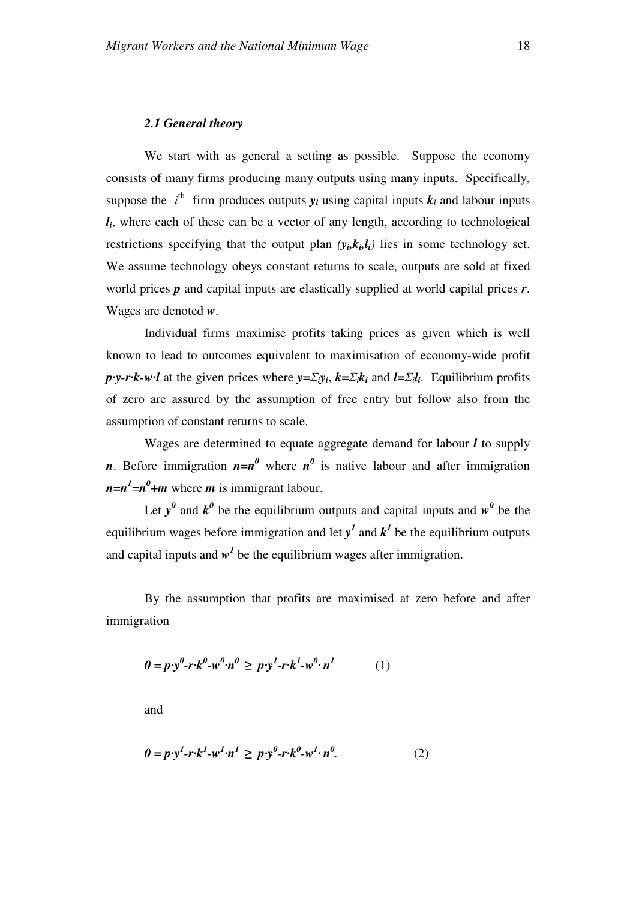We start with as general a setting as possible. Suppose the economy consists of many firms producing many outputs using many inputs. Specifically, suppose the  $i^{\text{th}}$  firm produces outputs  $y_i$  using capital inputs  $k_i$  and labour inputs *li* , where each of these can be a vector of any length, according to technological restrictions specifying that the output plan  $(y_i, k_i, l_i)$  lies in some technology set. We assume technology obeys constant returns to scale, outputs are sold at fixed world prices *p* and capital inputs are elastically supplied at world capital prices *r*. Wages are denoted *w*.

Individual firms maximise profits taking prices as given which is well known to lead to outcomes equivalent to maximisation of economy-wide profit *p·y-r·k-w·l* at the given prices where  $y = \sum_i y_i$ ,  $k = \sum_i k_i$  and  $l = \sum_i l_i$ . Equilibrium profits of zero are assured by the assumption of free entry but follow also from the assumption of constant returns to scale.

Wages are determined to equate aggregate demand for labour *l* to supply *n*. Before immigration  $n=n^0$  where  $n^0$  is native labour and after immigration  $n=n^l=n^0+m$  where *m* is immigrant labour.

Let  $y^0$  and  $k^0$  be the equilibrium outputs and capital inputs and  $w^0$  be the equilibrium wages before immigration and let  $y<sup>1</sup>$  and  $k<sup>1</sup>$  be the equilibrium outputs and capital inputs and  $w<sup>1</sup>$  be the equilibrium wages after immigration.

By the assumption that profits are maximised at zero before and after immigration

$$
0 = p \cdot y^0 - r \cdot k^0 - w^0 \cdot n^0 \geq p \cdot y^1 - r \cdot k^1 - w^0 \cdot n^1 \tag{1}
$$

and

$$
0 = p \cdot y^l - r \cdot k^l - w^l \cdot n^l \geq p \cdot y^0 - r \cdot k^0 - w^l \cdot n^0. \tag{2}
$$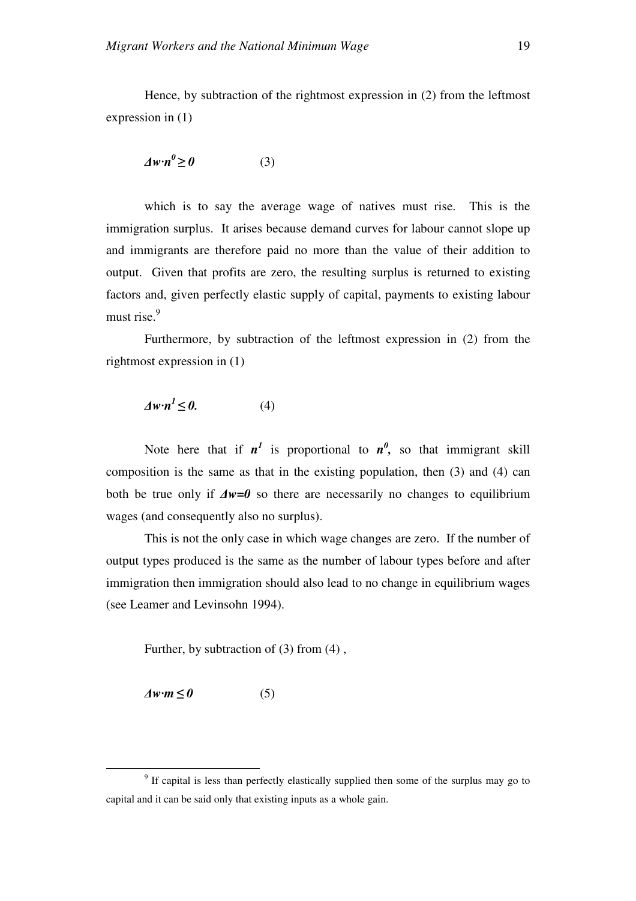Hence, by subtraction of the rightmost expression in (2) from the leftmost expression in (1)

$$
\Delta w \cdot n^0 \ge 0 \tag{3}
$$

which is to say the average wage of natives must rise. This is the immigration surplus. It arises because demand curves for labour cannot slope up and immigrants are therefore paid no more than the value of their addition to output. Given that profits are zero, the resulting surplus is returned to existing factors and, given perfectly elastic supply of capital, payments to existing labour must rise.<sup>9</sup>

Furthermore, by subtraction of the leftmost expression in (2) from the rightmost expression in (1)

$$
\Delta w \cdot n^l \le 0. \tag{4}
$$

Note here that if  $n^l$  is proportional to  $n^0$ , so that immigrant skill composition is the same as that in the existing population, then (3) and (4) can both be true only if ∆*w=0* so there are necessarily no changes to equilibrium wages (and consequently also no surplus).

This is not the only case in which wage changes are zero. If the number of output types produced is the same as the number of labour types before and after immigration then immigration should also lead to no change in equilibrium wages (see Leamer and Levinsohn 1994).

Further, by subtraction of (3) from (4) ,

 $\Delta w \cdot m \le 0$  (5)

 $\overline{a}$ 

<sup>&</sup>lt;sup>9</sup> If capital is less than perfectly elastically supplied then some of the surplus may go to capital and it can be said only that existing inputs as a whole gain.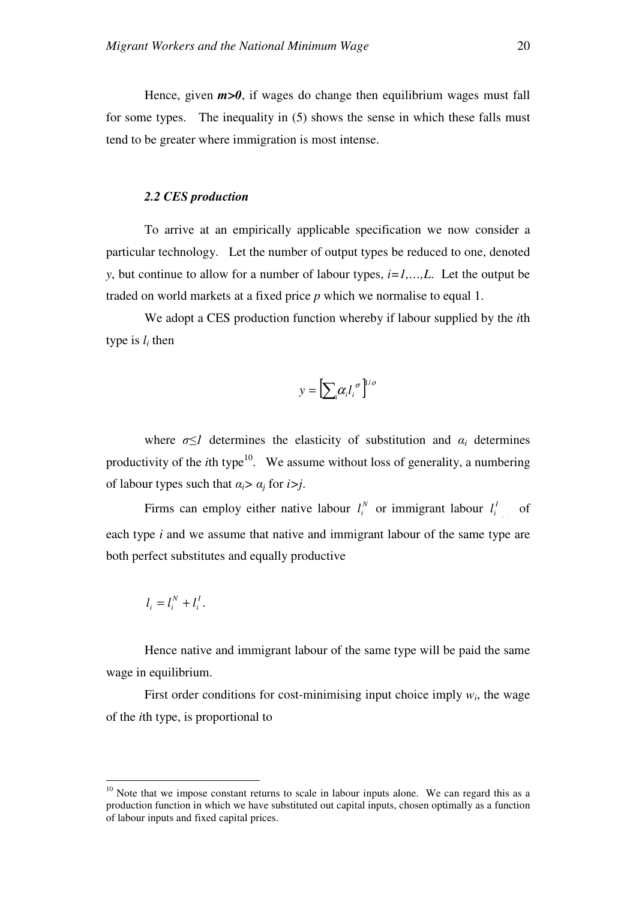Hence, given  $m>0$ , if wages do change then equilibrium wages must fall for some types. The inequality in (5) shows the sense in which these falls must tend to be greater where immigration is most intense.

#### *2.2 CES production*

To arrive at an empirically applicable specification we now consider a particular technology. Let the number of output types be reduced to one, denoted *y*, but continue to allow for a number of labour types, *i=1,…,L*. Let the output be traded on world markets at a fixed price *p* which we normalise to equal 1.

We adopt a CES production function whereby if labour supplied by the *i*th type is  $l_i$  then

$$
y = \left[\sum_{i} \alpha_{i} l_{i}^{\ \sigma}\right]^{1/\sigma}
$$

where  $\sigma \leq 1$  determines the elasticity of substitution and  $\alpha_i$  determines productivity of the *i*th type<sup>10</sup>. We assume without loss of generality, a numbering of labour types such that  $\alpha_i > \alpha_j$  for  $i > j$ .

Firms can employ either native labour  $l_i^N$  or immigrant labour  $l_i^l$  of each type *i* and we assume that native and immigrant labour of the same type are both perfect substitutes and equally productive

$$
l_i = l_i^N + l_i^I.
$$

 $\overline{a}$ 

Hence native and immigrant labour of the same type will be paid the same wage in equilibrium.

First order conditions for cost-minimising input choice imply  $w_i$ , the wage of the *i*th type, is proportional to

 $10$  Note that we impose constant returns to scale in labour inputs alone. We can regard this as a production function in which we have substituted out capital inputs, chosen optimally as a function of labour inputs and fixed capital prices.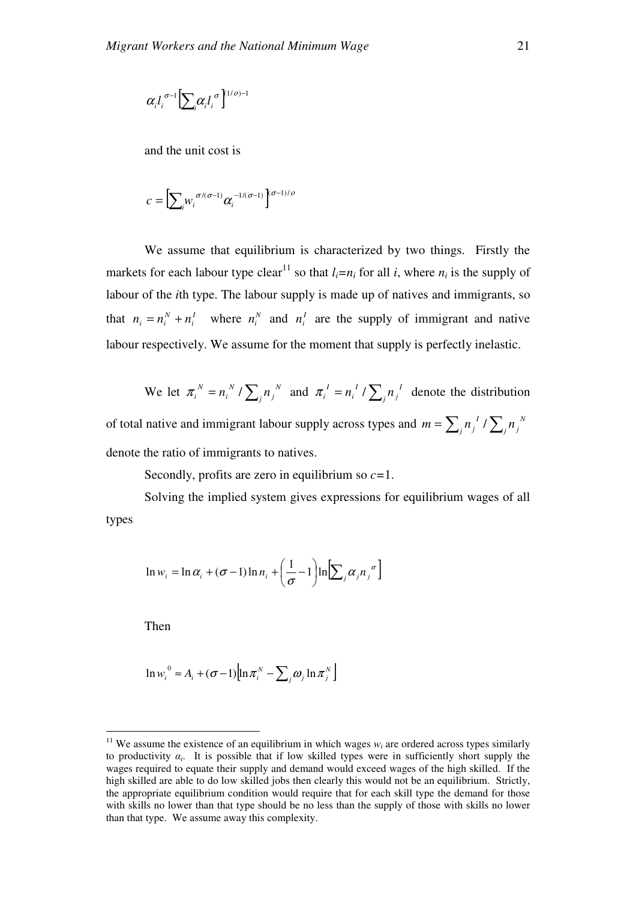$$
\alpha_il_i^{\,\,\sigma\!-\!1}\!\left[\!\sum_i\!\alpha_il_i^{\,\,\sigma}\right]^{_{(1/O)}-1}
$$

and the unit cost is

$$
c = \left[\sum_i w_i^{\sigma/(\sigma-1)} \alpha_i^{-1/(\sigma-1)}\right]^{\sigma-1)/o}
$$

We assume that equilibrium is characterized by two things. Firstly the markets for each labour type clear<sup>11</sup> so that  $l_i = n_i$  for all *i*, where  $n_i$  is the supply of labour of the *i*th type. The labour supply is made up of natives and immigrants, so that  $n_i = n_i^N + n_i^I$ *N*  $n_i = n_i^N + n_i^I$  where  $n_i^N$  and  $n_i^I$  are the supply of immigrant and native labour respectively. We assume for the moment that supply is perfectly inelastic.

We let  $\pi_i^N = n_i^N / \sum_j n_j^N$ *j N i*  $\pi_i^N = n_i^N / \sum_j n_j^N$  and  $\pi_i^I = n_i^I / \sum_j n_j^I$ *j I i*  $\pi_i^I = n_i^I / \sum_i n_i^I$  denote the distribution of total native and immigrant labour supply across types and  $m = \sum_j n_j^2 / \sum_j n_j^N$  $j^{\prime \prime}$  $j^{\prime \prime}$  $\sum_j^{\prime \prime}$  $j^{\prime \prime}$  $m = \sum_i n_i^I / \sum_i n_i$ denote the ratio of immigrants to natives.

Secondly, profits are zero in equilibrium so *c=*1.

Solving the implied system gives expressions for equilibrium wages of all types

$$
\ln w_i = \ln \alpha_i + (\sigma - 1) \ln n_i + \left(\frac{1}{\sigma} - 1\right) \ln \left[\sum_j \alpha_j n_j^{\sigma}\right]
$$

Then

 $\overline{a}$ 

$$
\ln w_i^0 \approx A_i + (\sigma - 1) \Big[ \ln \pi_i^N - \sum_j \omega_j \ln \pi_j^N \Big]
$$

<sup>&</sup>lt;sup>11</sup> We assume the existence of an equilibrium in which wages  $w_i$  are ordered across types similarly to productivity  $\alpha_i$ . It is possible that if low skilled types were in sufficiently short supply the wages required to equate their supply and demand would exceed wages of the high skilled. If the high skilled are able to do low skilled jobs then clearly this would not be an equilibrium. Strictly, the appropriate equilibrium condition would require that for each skill type the demand for those with skills no lower than that type should be no less than the supply of those with skills no lower than that type. We assume away this complexity.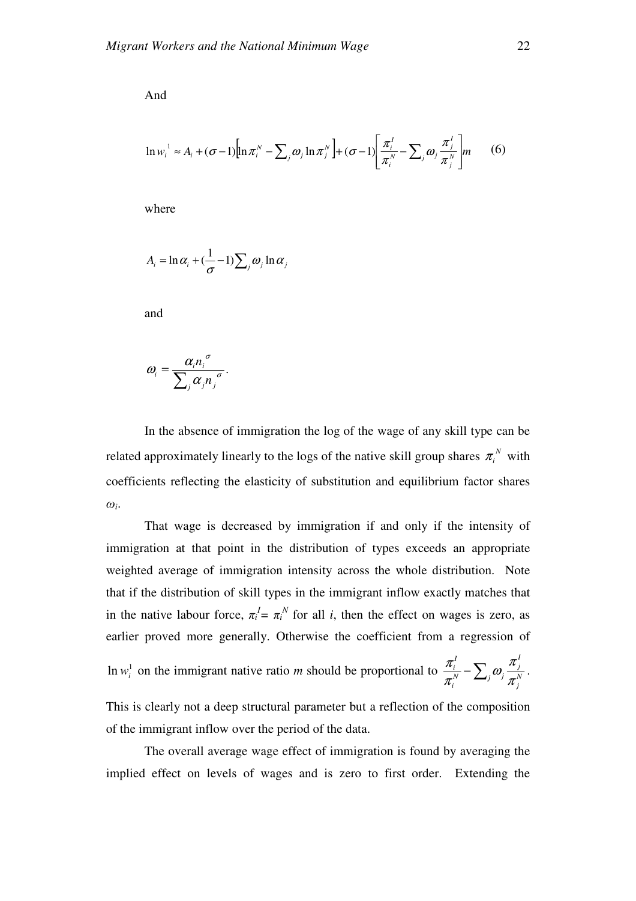And

$$
\ln w_i^1 \approx A_i + (\sigma - 1) \Big[ \ln \pi_i^N - \sum_j \omega_j \ln \pi_j^N \Big] + (\sigma - 1) \Big[ \frac{\pi_i^1}{\pi_i^N} - \sum_j \omega_j \frac{\pi_j^1}{\pi_j^N} \Big] m \qquad (6)
$$

where

$$
A_i = \ln \alpha_i + (\frac{1}{\sigma} - 1) \sum_j \omega_j \ln \alpha_j
$$

and

$$
\omega_i = \frac{\alpha_i n_i^{\sigma}}{\sum_j \alpha_j n_j^{\sigma}}.
$$

In the absence of immigration the log of the wage of any skill type can be related approximately linearly to the logs of the native skill group shares  $\pi_i^N$  with coefficients reflecting the elasticity of substitution and equilibrium factor shares  $\omega_i$ .

That wage is decreased by immigration if and only if the intensity of immigration at that point in the distribution of types exceeds an appropriate weighted average of immigration intensity across the whole distribution. Note that if the distribution of skill types in the immigrant inflow exactly matches that in the native labour force,  $\pi_i^I = \pi_i^N$  for all *i*, then the effect on wages is zero, as earlier proved more generally. Otherwise the coefficient from a regression of

In  $w_i^1$  on the immigrant native ratio *m* should be proportional to  $\frac{\pi_i^1}{\pi_i^N} - \sum_j \omega_j \frac{\pi_j}{\pi_j^N}$ *I j N*  $\Delta_i$ <sup> $\omega_j$ </sup> *i I i* π π ω π  $\frac{\pi_i}{N} - \sum_i \omega_i \frac{\pi_j}{N}$ .

This is clearly not a deep structural parameter but a reflection of the composition of the immigrant inflow over the period of the data.

The overall average wage effect of immigration is found by averaging the implied effect on levels of wages and is zero to first order. Extending the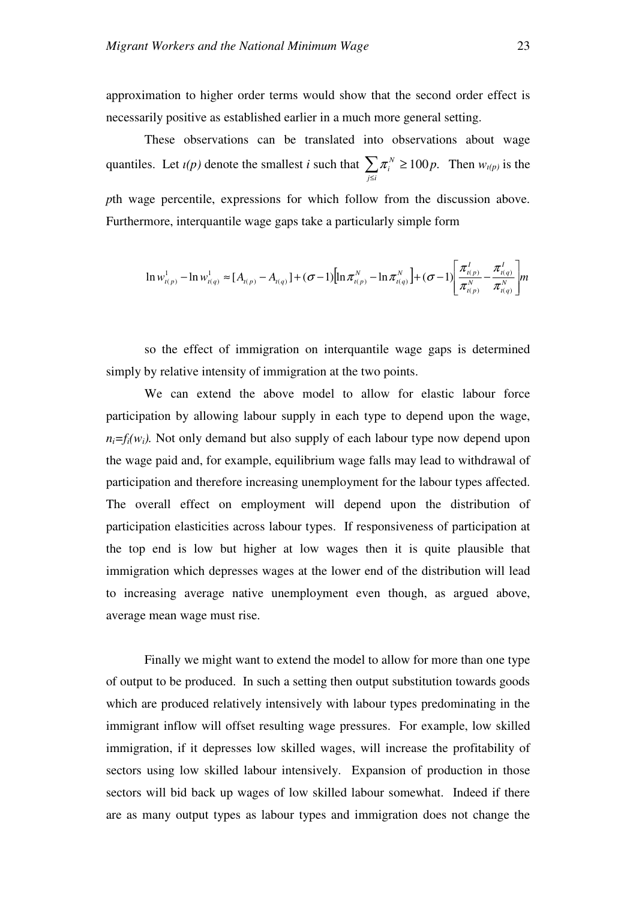approximation to higher order terms would show that the second order effect is necessarily positive as established earlier in a much more general setting.

These observations can be translated into observations about wage quantiles. Let  $\iota(p)$  denote the smallest *i* such that  $\sum$ ≤ ≥ *j i*  $\pi_i^N \ge 100p$ . Then  $w_{i(p)}$  is the *p*th wage percentile, expressions for which follow from the discussion above. Furthermore, interquantile wage gaps take a particularly simple form

$$
\ln w_{t(p)}^1 - \ln w_{t(q)}^1 \approx [A_{t(p)} - A_{t(q)}] + (\sigma - 1)[\ln \pi_{t(p)}^N - \ln \pi_{t(q)}^N] + (\sigma - 1)[\frac{\pi_{t(p)}^1}{\pi_{t(p)}^N} - \frac{\pi_{t(q)}^1}{\pi_{t(q)}^N}]m
$$

so the effect of immigration on interquantile wage gaps is determined simply by relative intensity of immigration at the two points.

We can extend the above model to allow for elastic labour force participation by allowing labour supply in each type to depend upon the wage,  $n_i = f_i(w_i)$ . Not only demand but also supply of each labour type now depend upon the wage paid and, for example, equilibrium wage falls may lead to withdrawal of participation and therefore increasing unemployment for the labour types affected. The overall effect on employment will depend upon the distribution of participation elasticities across labour types. If responsiveness of participation at the top end is low but higher at low wages then it is quite plausible that immigration which depresses wages at the lower end of the distribution will lead to increasing average native unemployment even though, as argued above, average mean wage must rise.

Finally we might want to extend the model to allow for more than one type of output to be produced. In such a setting then output substitution towards goods which are produced relatively intensively with labour types predominating in the immigrant inflow will offset resulting wage pressures. For example, low skilled immigration, if it depresses low skilled wages, will increase the profitability of sectors using low skilled labour intensively. Expansion of production in those sectors will bid back up wages of low skilled labour somewhat. Indeed if there are as many output types as labour types and immigration does not change the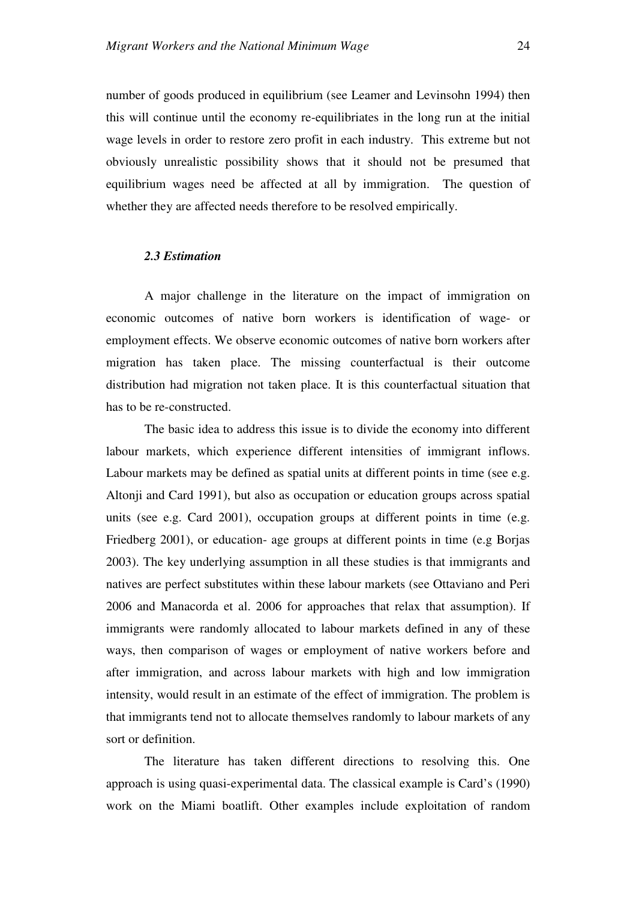number of goods produced in equilibrium (see Leamer and Levinsohn 1994) then this will continue until the economy re-equilibriates in the long run at the initial wage levels in order to restore zero profit in each industry. This extreme but not obviously unrealistic possibility shows that it should not be presumed that equilibrium wages need be affected at all by immigration. The question of whether they are affected needs therefore to be resolved empirically.

#### *2.3 Estimation*

A major challenge in the literature on the impact of immigration on economic outcomes of native born workers is identification of wage- or employment effects. We observe economic outcomes of native born workers after migration has taken place. The missing counterfactual is their outcome distribution had migration not taken place. It is this counterfactual situation that has to be re-constructed.

The basic idea to address this issue is to divide the economy into different labour markets, which experience different intensities of immigrant inflows. Labour markets may be defined as spatial units at different points in time (see e.g. Altonji and Card 1991), but also as occupation or education groups across spatial units (see e.g. Card 2001), occupation groups at different points in time (e.g. Friedberg 2001), or education- age groups at different points in time (e.g Borjas 2003). The key underlying assumption in all these studies is that immigrants and natives are perfect substitutes within these labour markets (see Ottaviano and Peri 2006 and Manacorda et al. 2006 for approaches that relax that assumption). If immigrants were randomly allocated to labour markets defined in any of these ways, then comparison of wages or employment of native workers before and after immigration, and across labour markets with high and low immigration intensity, would result in an estimate of the effect of immigration. The problem is that immigrants tend not to allocate themselves randomly to labour markets of any sort or definition.

The literature has taken different directions to resolving this. One approach is using quasi-experimental data. The classical example is Card's (1990) work on the Miami boatlift. Other examples include exploitation of random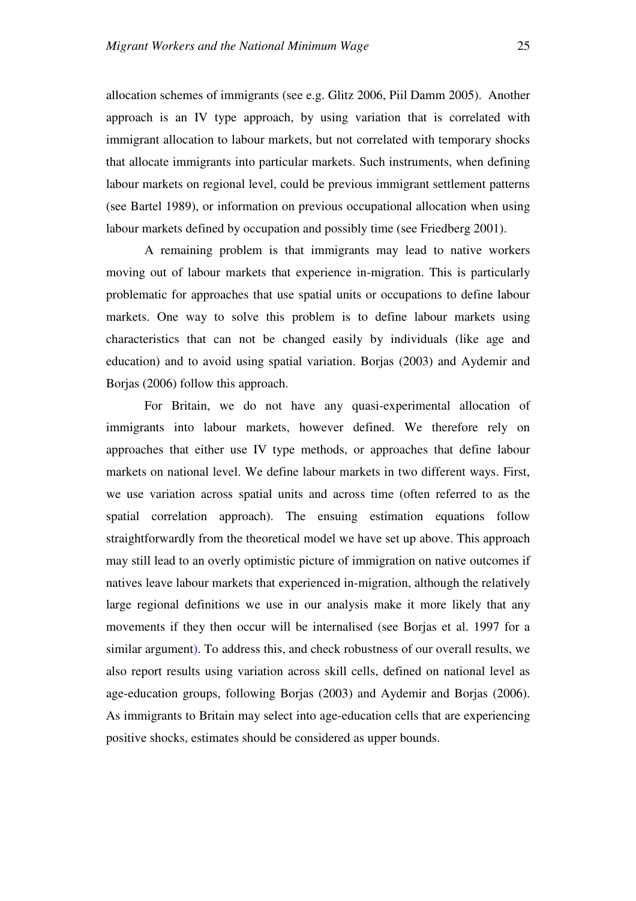allocation schemes of immigrants (see e.g. Glitz 2006, Piil Damm 2005). Another approach is an IV type approach, by using variation that is correlated with immigrant allocation to labour markets, but not correlated with temporary shocks that allocate immigrants into particular markets. Such instruments, when defining labour markets on regional level, could be previous immigrant settlement patterns (see Bartel 1989), or information on previous occupational allocation when using labour markets defined by occupation and possibly time (see Friedberg 2001).

A remaining problem is that immigrants may lead to native workers moving out of labour markets that experience in-migration. This is particularly problematic for approaches that use spatial units or occupations to define labour markets. One way to solve this problem is to define labour markets using characteristics that can not be changed easily by individuals (like age and education) and to avoid using spatial variation. Borjas (2003) and Aydemir and Borjas (2006) follow this approach.

For Britain, we do not have any quasi-experimental allocation of immigrants into labour markets, however defined. We therefore rely on approaches that either use IV type methods, or approaches that define labour markets on national level. We define labour markets in two different ways. First, we use variation across spatial units and across time (often referred to as the spatial correlation approach). The ensuing estimation equations follow straightforwardly from the theoretical model we have set up above. This approach may still lead to an overly optimistic picture of immigration on native outcomes if natives leave labour markets that experienced in-migration, although the relatively large regional definitions we use in our analysis make it more likely that any movements if they then occur will be internalised (see Borjas et al. 1997 for a similar argument). To address this, and check robustness of our overall results, we also report results using variation across skill cells, defined on national level as age-education groups, following Borjas (2003) and Aydemir and Borjas (2006). As immigrants to Britain may select into age-education cells that are experiencing positive shocks, estimates should be considered as upper bounds.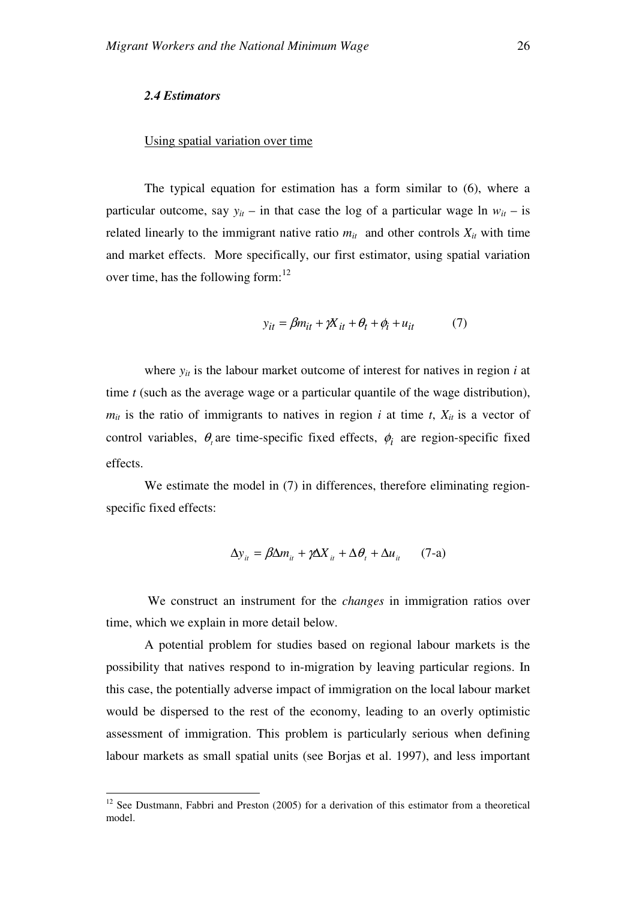#### *2.4 Estimators*

#### Using spatial variation over time

The typical equation for estimation has a form similar to (6), where a particular outcome, say  $y_{it}$  – in that case the log of a particular wage ln  $w_{it}$  – is related linearly to the immigrant native ratio  $m_{it}$  and other controls  $X_{it}$  with time and market effects.More specifically, our first estimator, using spatial variation over time, has the following form:<sup>12</sup>

$$
y_{it} = \beta m_{it} + \gamma X_{it} + \theta_t + \phi_i + u_{it} \tag{7}
$$

where  $y_{it}$  is the labour market outcome of interest for natives in region *i* at time *t* (such as the average wage or a particular quantile of the wage distribution),  $m_{it}$  is the ratio of immigrants to natives in region *i* at time *t*,  $X_{it}$  is a vector of control variables,  $\theta$ <sub>*t*</sub> are time-specific fixed effects,  $\phi$ <sub>*i*</sub> are region-specific fixed effects.

We estimate the model in (7) in differences, therefore eliminating regionspecific fixed effects:

$$
\Delta y_{it} = \beta \Delta m_{it} + \gamma \Delta X_{it} + \Delta \theta_t + \Delta u_{it} \qquad (7\text{-a})
$$

 We construct an instrument for the *changes* in immigration ratios over time, which we explain in more detail below.

A potential problem for studies based on regional labour markets is the possibility that natives respond to in-migration by leaving particular regions. In this case, the potentially adverse impact of immigration on the local labour market would be dispersed to the rest of the economy, leading to an overly optimistic assessment of immigration. This problem is particularly serious when defining labour markets as small spatial units (see Borjas et al. 1997), and less important

 $\overline{a}$  $12$  See Dustmann, Fabbri and Preston (2005) for a derivation of this estimator from a theoretical model.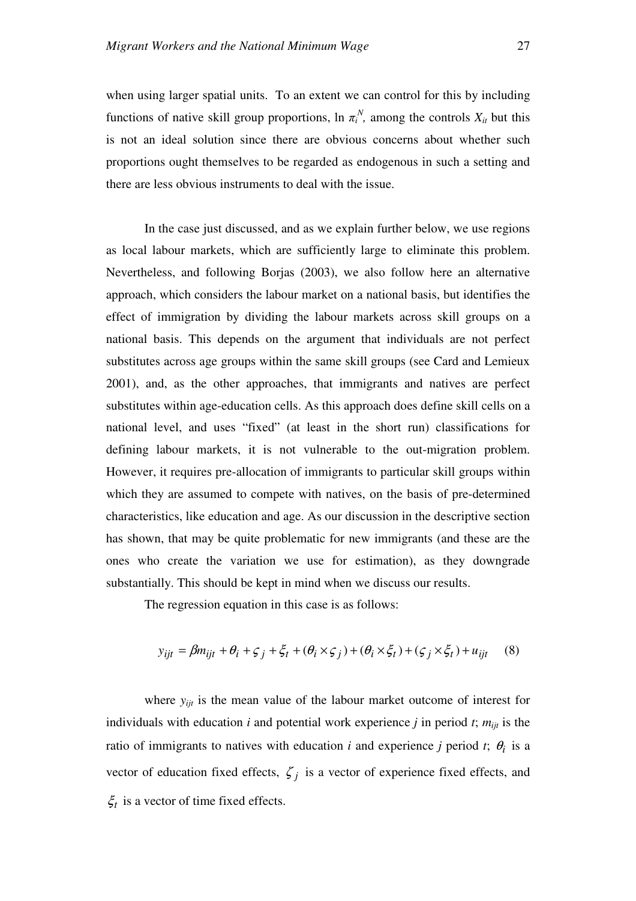when using larger spatial units. To an extent we can control for this by including functions of native skill group proportions,  $\ln \pi_i^N$ , among the controls  $X_i$  but this is not an ideal solution since there are obvious concerns about whether such proportions ought themselves to be regarded as endogenous in such a setting and there are less obvious instruments to deal with the issue.

In the case just discussed, and as we explain further below, we use regions as local labour markets, which are sufficiently large to eliminate this problem. Nevertheless, and following Borjas (2003), we also follow here an alternative approach, which considers the labour market on a national basis, but identifies the effect of immigration by dividing the labour markets across skill groups on a national basis. This depends on the argument that individuals are not perfect substitutes across age groups within the same skill groups (see Card and Lemieux 2001), and, as the other approaches, that immigrants and natives are perfect substitutes within age-education cells. As this approach does define skill cells on a national level, and uses "fixed" (at least in the short run) classifications for defining labour markets, it is not vulnerable to the out-migration problem. However, it requires pre-allocation of immigrants to particular skill groups within which they are assumed to compete with natives, on the basis of pre-determined characteristics, like education and age. As our discussion in the descriptive section has shown, that may be quite problematic for new immigrants (and these are the ones who create the variation we use for estimation), as they downgrade substantially. This should be kept in mind when we discuss our results.

The regression equation in this case is as follows:

$$
y_{ijt} = \beta m_{ijt} + \theta_i + \zeta_j + \xi_t + (\theta_i \times \zeta_j) + (\theta_i \times \xi_t) + (\zeta_j \times \xi_t) + u_{ijt}
$$
 (8)

where  $y_{ijt}$  is the mean value of the labour market outcome of interest for individuals with education  $i$  and potential work experience  $j$  in period  $t$ ;  $m_{ijt}$  is the ratio of immigrants to natives with education *i* and experience *j* period *t*;  $\theta_i$  is a vector of education fixed effects,  $\zeta_j$  is a vector of experience fixed effects, and  $\xi_t$  is a vector of time fixed effects.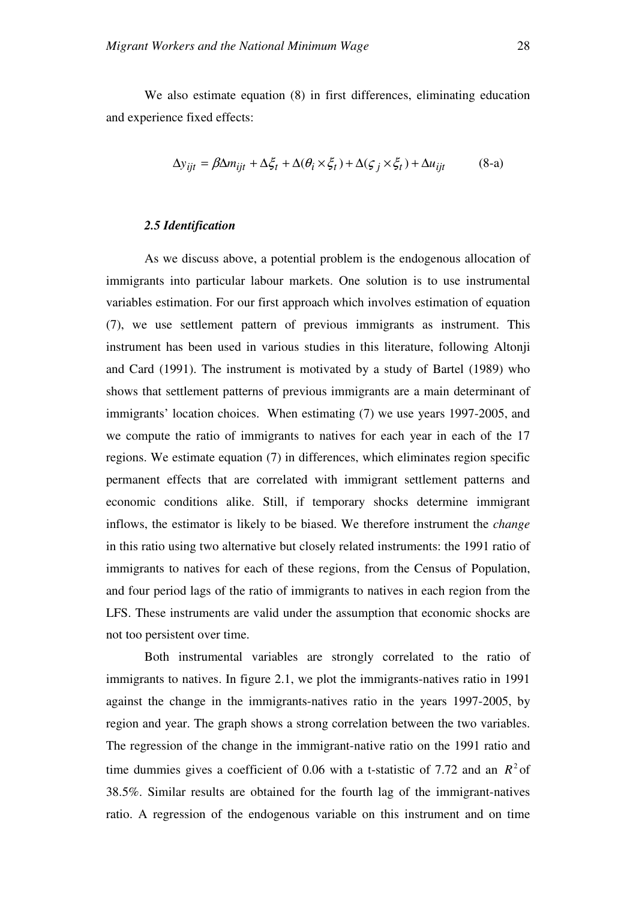We also estimate equation (8) in first differences, eliminating education and experience fixed effects:

$$
\Delta y_{ijt} = \beta \Delta m_{ijt} + \Delta \xi_t + \Delta (\theta_i \times \xi_t) + \Delta (\xi_j \times \xi_t) + \Delta u_{ijt}
$$
 (8-a)

#### *2.5 Identification*

As we discuss above, a potential problem is the endogenous allocation of immigrants into particular labour markets. One solution is to use instrumental variables estimation. For our first approach which involves estimation of equation (7), we use settlement pattern of previous immigrants as instrument. This instrument has been used in various studies in this literature, following Altonji and Card (1991). The instrument is motivated by a study of Bartel (1989) who shows that settlement patterns of previous immigrants are a main determinant of immigrants' location choices. When estimating (7) we use years 1997-2005, and we compute the ratio of immigrants to natives for each year in each of the 17 regions. We estimate equation (7) in differences, which eliminates region specific permanent effects that are correlated with immigrant settlement patterns and economic conditions alike. Still, if temporary shocks determine immigrant inflows, the estimator is likely to be biased. We therefore instrument the *change* in this ratio using two alternative but closely related instruments: the 1991 ratio of immigrants to natives for each of these regions, from the Census of Population, and four period lags of the ratio of immigrants to natives in each region from the LFS. These instruments are valid under the assumption that economic shocks are not too persistent over time.

Both instrumental variables are strongly correlated to the ratio of immigrants to natives. In figure 2.1, we plot the immigrants-natives ratio in 1991 against the change in the immigrants-natives ratio in the years 1997-2005, by region and year. The graph shows a strong correlation between the two variables. The regression of the change in the immigrant-native ratio on the 1991 ratio and time dummies gives a coefficient of 0.06 with a t-statistic of 7.72 and an  $R^2$  of 38.5%. Similar results are obtained for the fourth lag of the immigrant-natives ratio. A regression of the endogenous variable on this instrument and on time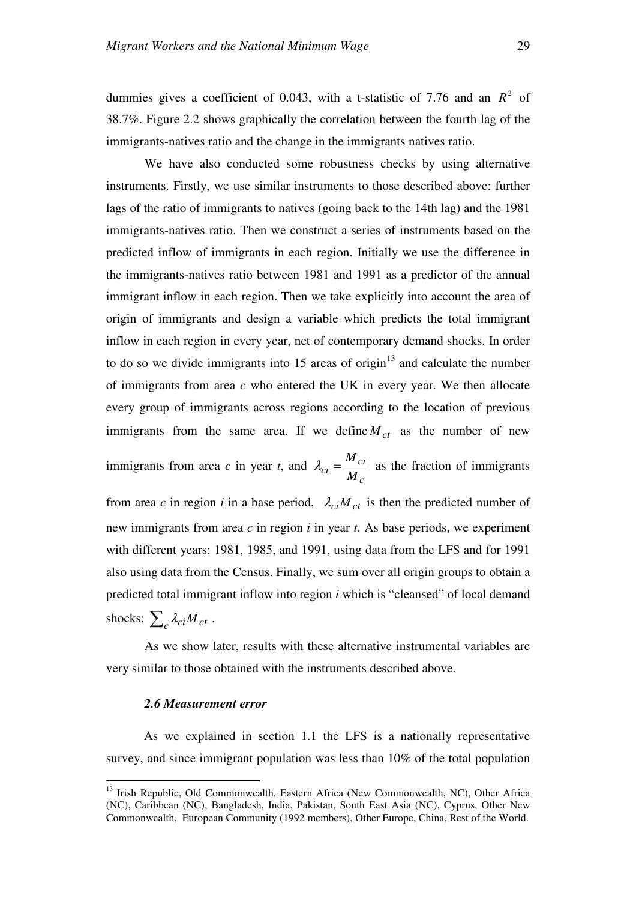dummies gives a coefficient of 0.043, with a t-statistic of 7.76 and an  $R^2$  of 38.7%. Figure 2.2 shows graphically the correlation between the fourth lag of the immigrants-natives ratio and the change in the immigrants natives ratio.

We have also conducted some robustness checks by using alternative instruments. Firstly, we use similar instruments to those described above: further lags of the ratio of immigrants to natives (going back to the 14th lag) and the 1981 immigrants-natives ratio. Then we construct a series of instruments based on the predicted inflow of immigrants in each region. Initially we use the difference in the immigrants-natives ratio between 1981 and 1991 as a predictor of the annual immigrant inflow in each region. Then we take explicitly into account the area of origin of immigrants and design a variable which predicts the total immigrant inflow in each region in every year, net of contemporary demand shocks. In order to do so we divide immigrants into  $15$  areas of origin<sup>13</sup> and calculate the number of immigrants from area *c* who entered the UK in every year. We then allocate every group of immigrants across regions according to the location of previous immigrants from the same area. If we define  $M_{ct}$  as the number of new immigrants from area *c* in year *t*, and *ci*  $\lambda_{ci} = \frac{M_{ci}}{M_{ci}}$  as the fraction of immigrants

*c*  $c_i = \frac{1}{M}$ from area *c* in region *i* in a base period,  $\lambda_{ci} M_{ct}$  is then the predicted number of new immigrants from area *c* in region *i* in year *t*. As base periods, we experiment with different years: 1981, 1985, and 1991, using data from the LFS and for 1991 also using data from the Census. Finally, we sum over all origin groups to obtain a predicted total immigrant inflow into region *i* which is "cleansed" of local demand shocks:  $\sum_{c} \lambda_{ci} M_{ct}$ .

As we show later, results with these alternative instrumental variables are very similar to those obtained with the instruments described above.

#### *2.6 Measurement error*

 $\overline{a}$ 

As we explained in section 1.1 the LFS is a nationally representative survey, and since immigrant population was less than 10% of the total population

<sup>&</sup>lt;sup>13</sup> Irish Republic, Old Commonwealth, Eastern Africa (New Commonwealth, NC), Other Africa (NC), Caribbean (NC), Bangladesh, India, Pakistan, South East Asia (NC), Cyprus, Other New Commonwealth, European Community (1992 members), Other Europe, China, Rest of the World.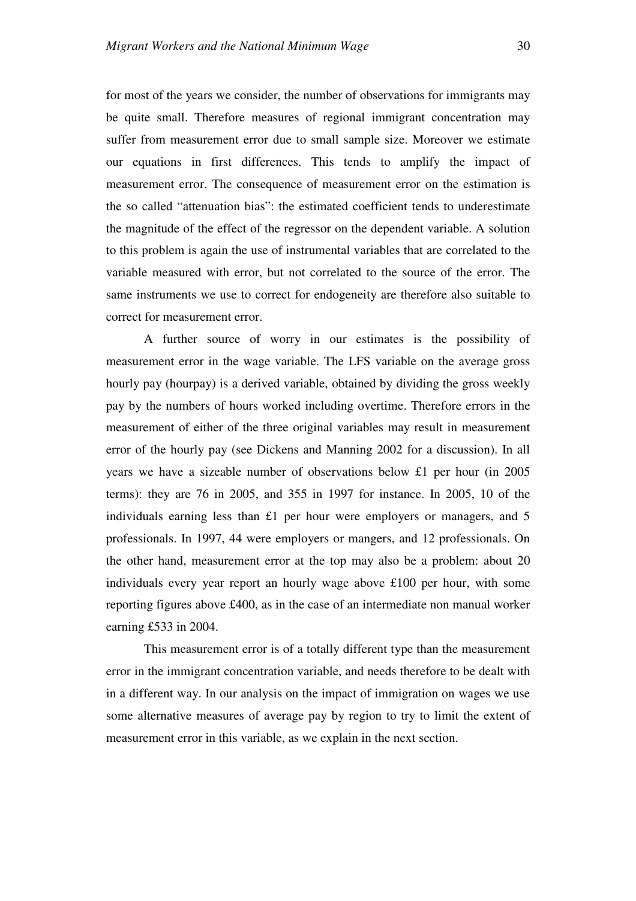for most of the years we consider, the number of observations for immigrants may be quite small. Therefore measures of regional immigrant concentration may suffer from measurement error due to small sample size. Moreover we estimate our equations in first differences. This tends to amplify the impact of measurement error. The consequence of measurement error on the estimation is the so called "attenuation bias": the estimated coefficient tends to underestimate the magnitude of the effect of the regressor on the dependent variable. A solution to this problem is again the use of instrumental variables that are correlated to the variable measured with error, but not correlated to the source of the error. The same instruments we use to correct for endogeneity are therefore also suitable to correct for measurement error.

A further source of worry in our estimates is the possibility of measurement error in the wage variable. The LFS variable on the average gross hourly pay (hourpay) is a derived variable, obtained by dividing the gross weekly pay by the numbers of hours worked including overtime. Therefore errors in the measurement of either of the three original variables may result in measurement error of the hourly pay (see Dickens and Manning 2002 for a discussion). In all years we have a sizeable number of observations below £1 per hour (in 2005 terms): they are 76 in 2005, and 355 in 1997 for instance. In 2005, 10 of the individuals earning less than £1 per hour were employers or managers, and  $5$ professionals. In 1997, 44 were employers or mangers, and 12 professionals. On the other hand, measurement error at the top may also be a problem: about 20 individuals every year report an hourly wage above £100 per hour, with some reporting figures above £400, as in the case of an intermediate non manual worker earning £533 in 2004.

This measurement error is of a totally different type than the measurement error in the immigrant concentration variable, and needs therefore to be dealt with in a different way. In our analysis on the impact of immigration on wages we use some alternative measures of average pay by region to try to limit the extent of measurement error in this variable, as we explain in the next section.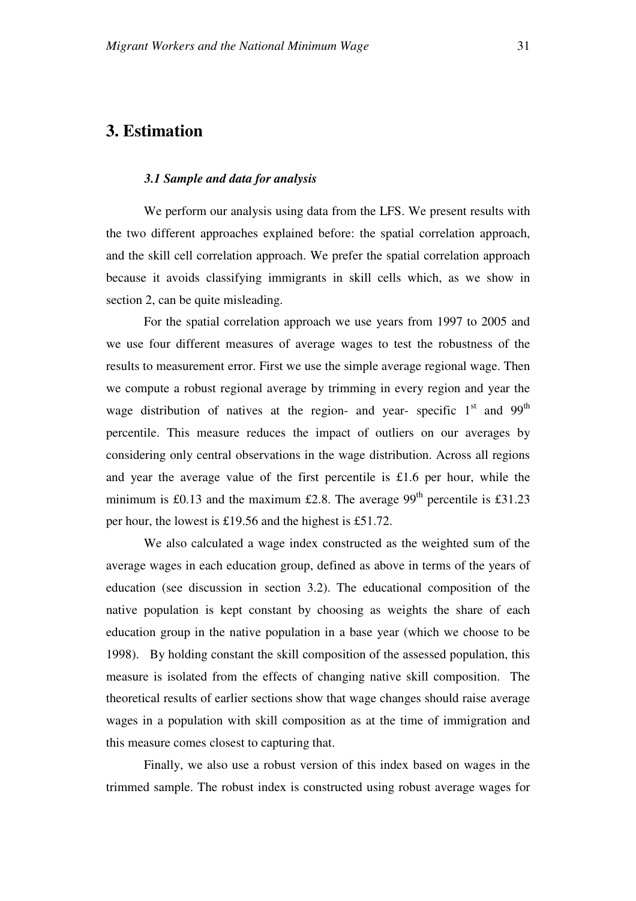## **3. Estimation**

#### *3.1 Sample and data for analysis*

We perform our analysis using data from the LFS. We present results with the two different approaches explained before: the spatial correlation approach, and the skill cell correlation approach. We prefer the spatial correlation approach because it avoids classifying immigrants in skill cells which, as we show in section 2, can be quite misleading.

For the spatial correlation approach we use years from 1997 to 2005 and we use four different measures of average wages to test the robustness of the results to measurement error. First we use the simple average regional wage. Then we compute a robust regional average by trimming in every region and year the wage distribution of natives at the region- and year- specific  $1<sup>st</sup>$  and 99<sup>th</sup> percentile. This measure reduces the impact of outliers on our averages by considering only central observations in the wage distribution. Across all regions and year the average value of the first percentile is £1.6 per hour, while the minimum is £0.13 and the maximum £2.8. The average  $99<sup>th</sup>$  percentile is £31.23 per hour, the lowest is £19.56 and the highest is £51.72.

We also calculated a wage index constructed as the weighted sum of the average wages in each education group, defined as above in terms of the years of education (see discussion in section 3.2). The educational composition of the native population is kept constant by choosing as weights the share of each education group in the native population in a base year (which we choose to be 1998). By holding constant the skill composition of the assessed population, this measure is isolated from the effects of changing native skill composition. The theoretical results of earlier sections show that wage changes should raise average wages in a population with skill composition as at the time of immigration and this measure comes closest to capturing that.

Finally, we also use a robust version of this index based on wages in the trimmed sample. The robust index is constructed using robust average wages for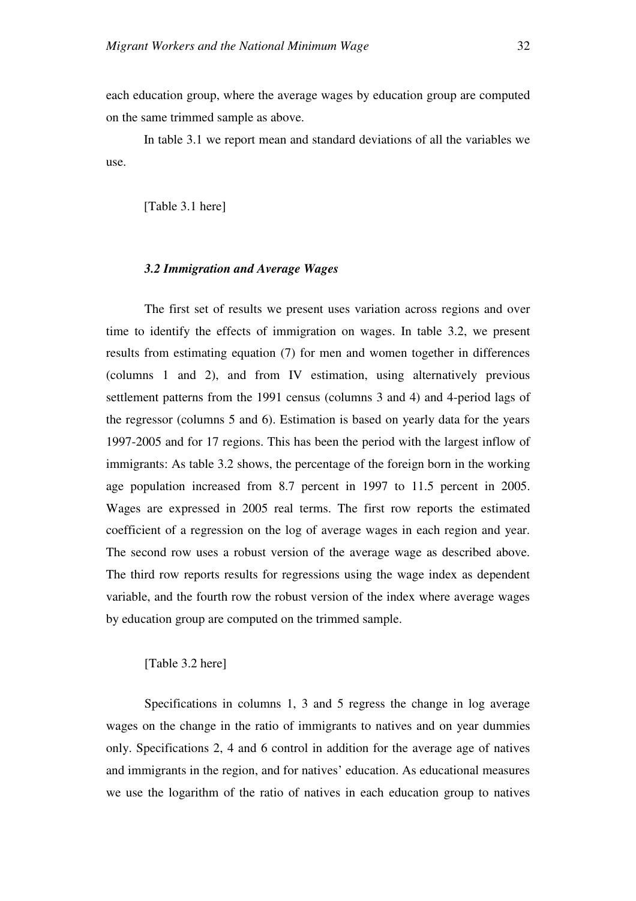each education group, where the average wages by education group are computed on the same trimmed sample as above.

In table 3.1 we report mean and standard deviations of all the variables we use.

[Table 3.1 here]

#### *3.2 Immigration and Average Wages*

The first set of results we present uses variation across regions and over time to identify the effects of immigration on wages. In table 3.2, we present results from estimating equation (7) for men and women together in differences (columns 1 and 2), and from IV estimation, using alternatively previous settlement patterns from the 1991 census (columns 3 and 4) and 4-period lags of the regressor (columns 5 and 6). Estimation is based on yearly data for the years 1997-2005 and for 17 regions. This has been the period with the largest inflow of immigrants: As table 3.2 shows, the percentage of the foreign born in the working age population increased from 8.7 percent in 1997 to 11.5 percent in 2005. Wages are expressed in 2005 real terms. The first row reports the estimated coefficient of a regression on the log of average wages in each region and year. The second row uses a robust version of the average wage as described above. The third row reports results for regressions using the wage index as dependent variable, and the fourth row the robust version of the index where average wages by education group are computed on the trimmed sample.

#### [Table 3.2 here]

Specifications in columns 1, 3 and 5 regress the change in log average wages on the change in the ratio of immigrants to natives and on year dummies only. Specifications 2, 4 and 6 control in addition for the average age of natives and immigrants in the region, and for natives' education. As educational measures we use the logarithm of the ratio of natives in each education group to natives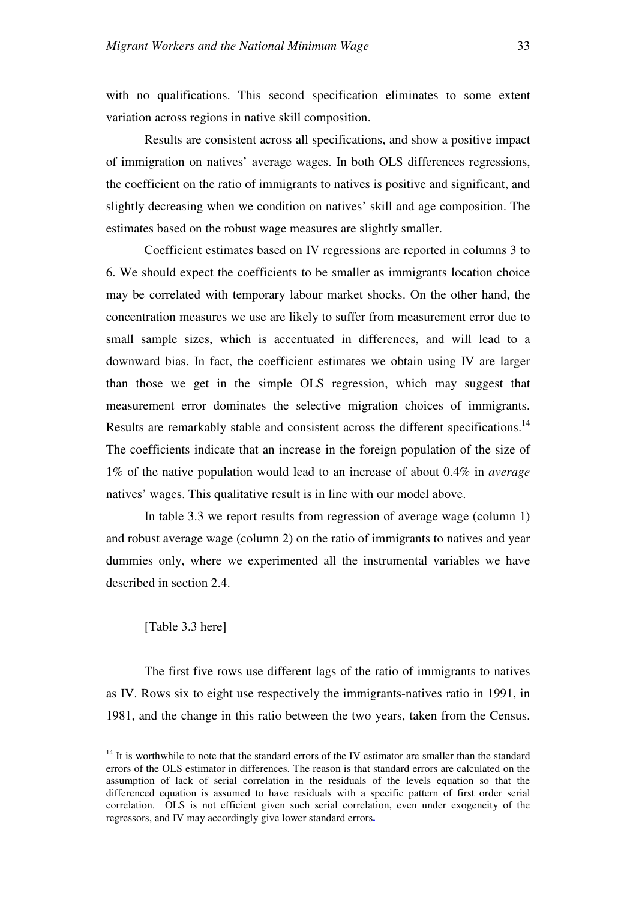with no qualifications. This second specification eliminates to some extent variation across regions in native skill composition.

Results are consistent across all specifications, and show a positive impact of immigration on natives' average wages. In both OLS differences regressions, the coefficient on the ratio of immigrants to natives is positive and significant, and slightly decreasing when we condition on natives' skill and age composition. The estimates based on the robust wage measures are slightly smaller.

Coefficient estimates based on IV regressions are reported in columns 3 to 6. We should expect the coefficients to be smaller as immigrants location choice may be correlated with temporary labour market shocks. On the other hand, the concentration measures we use are likely to suffer from measurement error due to small sample sizes, which is accentuated in differences, and will lead to a downward bias. In fact, the coefficient estimates we obtain using IV are larger than those we get in the simple OLS regression, which may suggest that measurement error dominates the selective migration choices of immigrants. Results are remarkably stable and consistent across the different specifications.<sup>14</sup> The coefficients indicate that an increase in the foreign population of the size of 1% of the native population would lead to an increase of about 0.4% in *average* natives' wages. This qualitative result is in line with our model above.

In table 3.3 we report results from regression of average wage (column 1) and robust average wage (column 2) on the ratio of immigrants to natives and year dummies only, where we experimented all the instrumental variables we have described in section 2.4.

#### [Table 3.3 here]

 $\overline{a}$ 

The first five rows use different lags of the ratio of immigrants to natives as IV. Rows six to eight use respectively the immigrants-natives ratio in 1991, in 1981, and the change in this ratio between the two years, taken from the Census.

<sup>&</sup>lt;sup>14</sup> It is worthwhile to note that the standard errors of the IV estimator are smaller than the standard errors of the OLS estimator in differences. The reason is that standard errors are calculated on the assumption of lack of serial correlation in the residuals of the levels equation so that the differenced equation is assumed to have residuals with a specific pattern of first order serial correlation. OLS is not efficient given such serial correlation, even under exogeneity of the regressors, and IV may accordingly give lower standard errors**.**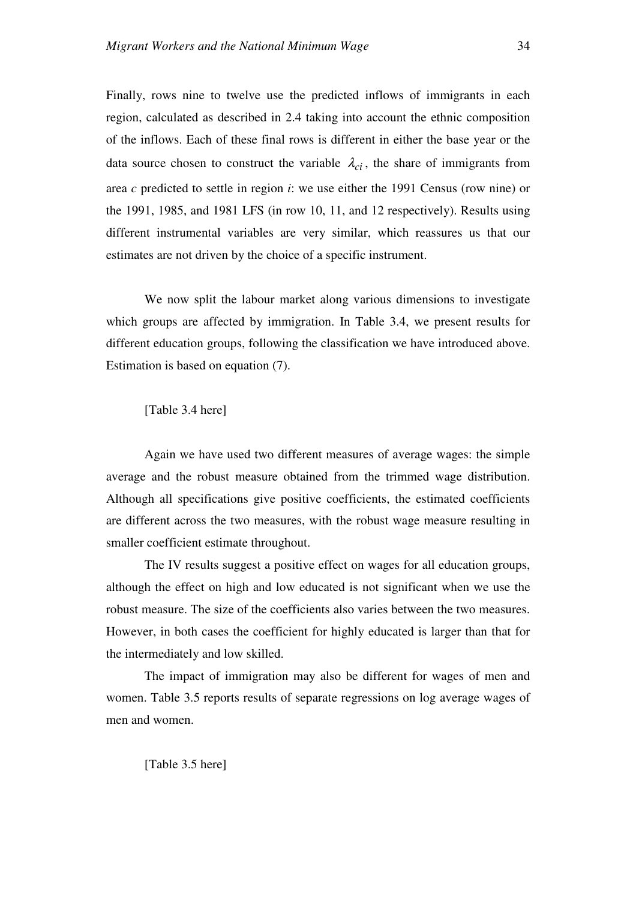Finally, rows nine to twelve use the predicted inflows of immigrants in each region, calculated as described in 2.4 taking into account the ethnic composition of the inflows. Each of these final rows is different in either the base year or the data source chosen to construct the variable  $\lambda_{ci}$ , the share of immigrants from area *c* predicted to settle in region *i*: we use either the 1991 Census (row nine) or the 1991, 1985, and 1981 LFS (in row 10, 11, and 12 respectively). Results using different instrumental variables are very similar, which reassures us that our estimates are not driven by the choice of a specific instrument.

We now split the labour market along various dimensions to investigate which groups are affected by immigration. In Table 3.4, we present results for different education groups, following the classification we have introduced above. Estimation is based on equation (7).

[Table 3.4 here]

Again we have used two different measures of average wages: the simple average and the robust measure obtained from the trimmed wage distribution. Although all specifications give positive coefficients, the estimated coefficients are different across the two measures, with the robust wage measure resulting in smaller coefficient estimate throughout.

The IV results suggest a positive effect on wages for all education groups, although the effect on high and low educated is not significant when we use the robust measure. The size of the coefficients also varies between the two measures. However, in both cases the coefficient for highly educated is larger than that for the intermediately and low skilled.

The impact of immigration may also be different for wages of men and women. Table 3.5 reports results of separate regressions on log average wages of men and women.

[Table 3.5 here]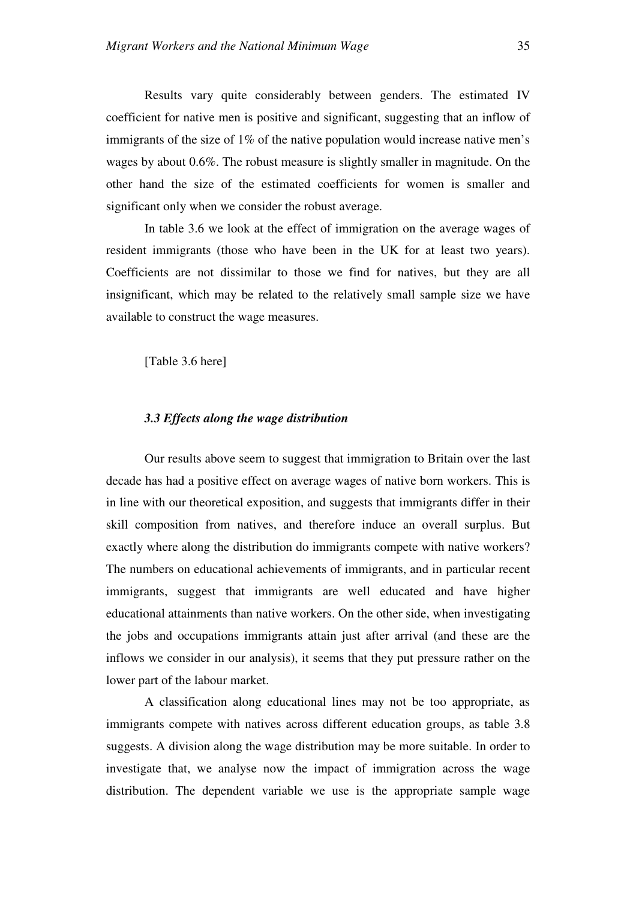Results vary quite considerably between genders. The estimated IV coefficient for native men is positive and significant, suggesting that an inflow of immigrants of the size of 1% of the native population would increase native men's wages by about 0.6%. The robust measure is slightly smaller in magnitude. On the other hand the size of the estimated coefficients for women is smaller and significant only when we consider the robust average.

In table 3.6 we look at the effect of immigration on the average wages of resident immigrants (those who have been in the UK for at least two years). Coefficients are not dissimilar to those we find for natives, but they are all insignificant, which may be related to the relatively small sample size we have available to construct the wage measures.

[Table 3.6 here]

#### *3.3 Effects along the wage distribution*

Our results above seem to suggest that immigration to Britain over the last decade has had a positive effect on average wages of native born workers. This is in line with our theoretical exposition, and suggests that immigrants differ in their skill composition from natives, and therefore induce an overall surplus. But exactly where along the distribution do immigrants compete with native workers? The numbers on educational achievements of immigrants, and in particular recent immigrants, suggest that immigrants are well educated and have higher educational attainments than native workers. On the other side, when investigating the jobs and occupations immigrants attain just after arrival (and these are the inflows we consider in our analysis), it seems that they put pressure rather on the lower part of the labour market.

A classification along educational lines may not be too appropriate, as immigrants compete with natives across different education groups, as table 3.8 suggests. A division along the wage distribution may be more suitable. In order to investigate that, we analyse now the impact of immigration across the wage distribution. The dependent variable we use is the appropriate sample wage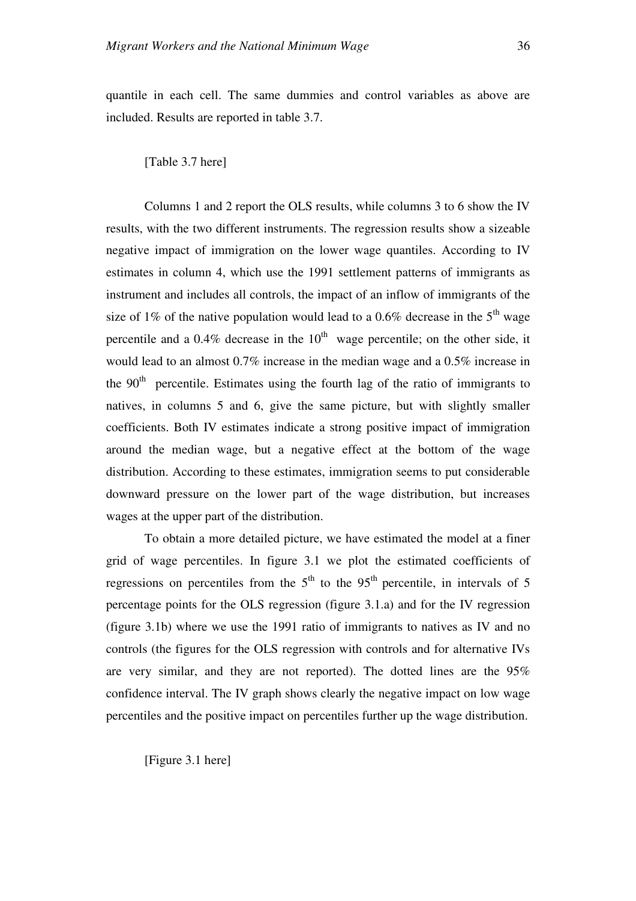[Table 3.7 here]

Columns 1 and 2 report the OLS results, while columns 3 to 6 show the IV results, with the two different instruments. The regression results show a sizeable negative impact of immigration on the lower wage quantiles. According to IV estimates in column 4, which use the 1991 settlement patterns of immigrants as instrument and includes all controls, the impact of an inflow of immigrants of the size of 1% of the native population would lead to a 0.6% decrease in the  $5<sup>th</sup>$  wage percentile and a  $0.4\%$  decrease in the  $10<sup>th</sup>$  wage percentile; on the other side, it would lead to an almost 0.7% increase in the median wage and a 0.5% increase in the  $90<sup>th</sup>$  percentile. Estimates using the fourth lag of the ratio of immigrants to natives, in columns 5 and 6, give the same picture, but with slightly smaller coefficients. Both IV estimates indicate a strong positive impact of immigration around the median wage, but a negative effect at the bottom of the wage distribution. According to these estimates, immigration seems to put considerable downward pressure on the lower part of the wage distribution, but increases wages at the upper part of the distribution.

To obtain a more detailed picture, we have estimated the model at a finer grid of wage percentiles. In figure 3.1 we plot the estimated coefficients of regressions on percentiles from the  $5<sup>th</sup>$  to the  $95<sup>th</sup>$  percentile, in intervals of 5 percentage points for the OLS regression (figure 3.1.a) and for the IV regression (figure 3.1b) where we use the 1991 ratio of immigrants to natives as IV and no controls (the figures for the OLS regression with controls and for alternative IVs are very similar, and they are not reported). The dotted lines are the 95% confidence interval. The IV graph shows clearly the negative impact on low wage percentiles and the positive impact on percentiles further up the wage distribution.

[Figure 3.1 here]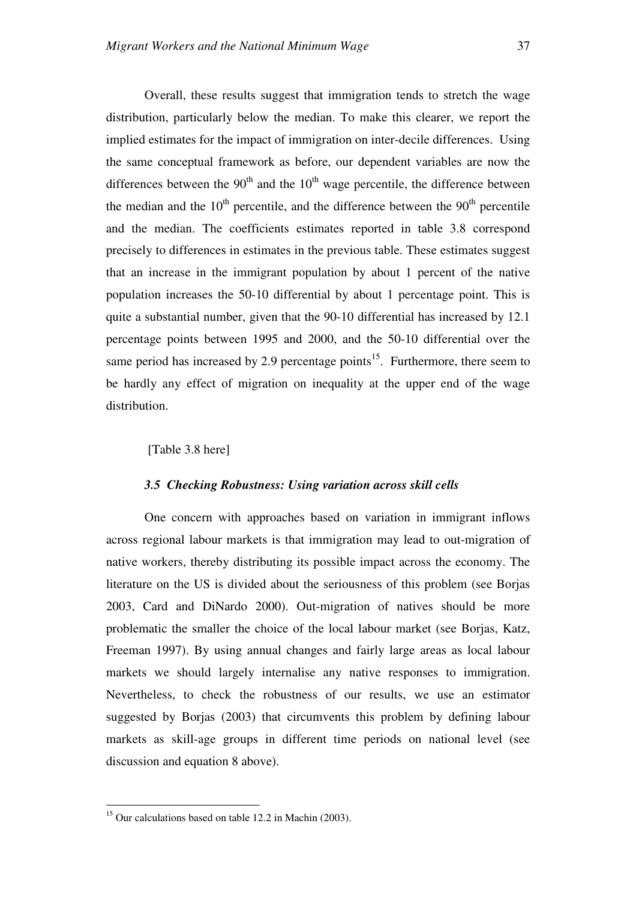Overall, these results suggest that immigration tends to stretch the wage distribution, particularly below the median. To make this clearer, we report the implied estimates for the impact of immigration on inter-decile differences. Using the same conceptual framework as before, our dependent variables are now the differences between the  $90<sup>th</sup>$  and the  $10<sup>th</sup>$  wage percentile, the difference between the median and the  $10<sup>th</sup>$  percentile, and the difference between the  $90<sup>th</sup>$  percentile and the median. The coefficients estimates reported in table 3.8 correspond precisely to differences in estimates in the previous table. These estimates suggest that an increase in the immigrant population by about 1 percent of the native population increases the 50-10 differential by about 1 percentage point. This is quite a substantial number, given that the 90-10 differential has increased by 12.1 percentage points between 1995 and 2000, and the 50-10 differential over the same period has increased by 2.9 percentage points<sup>15</sup>. Furthermore, there seem to be hardly any effect of migration on inequality at the upper end of the wage distribution.

#### [Table 3.8 here]

#### *3.5 Checking Robustness: Using variation across skill cells*

One concern with approaches based on variation in immigrant inflows across regional labour markets is that immigration may lead to out-migration of native workers, thereby distributing its possible impact across the economy. The literature on the US is divided about the seriousness of this problem (see Borjas 2003, Card and DiNardo 2000). Out-migration of natives should be more problematic the smaller the choice of the local labour market (see Borjas, Katz, Freeman 1997). By using annual changes and fairly large areas as local labour markets we should largely internalise any native responses to immigration. Nevertheless, to check the robustness of our results, we use an estimator suggested by Borjas (2003) that circumvents this problem by defining labour markets as skill-age groups in different time periods on national level (see discussion and equation 8 above).

 $\overline{a}$ 

 $15$  Our calculations based on table 12.2 in Machin (2003).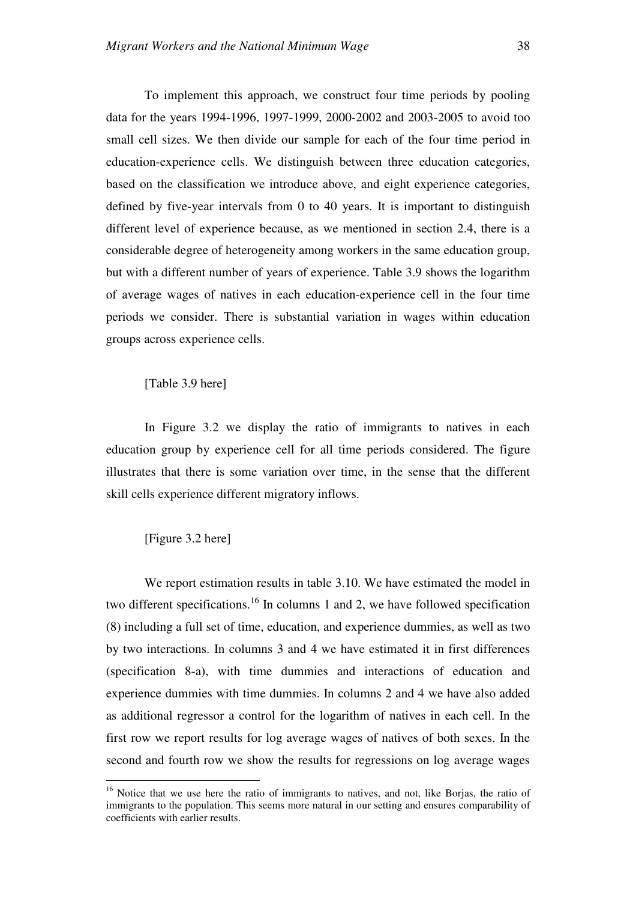To implement this approach, we construct four time periods by pooling data for the years 1994-1996, 1997-1999, 2000-2002 and 2003-2005 to avoid too small cell sizes. We then divide our sample for each of the four time period in education-experience cells. We distinguish between three education categories, based on the classification we introduce above, and eight experience categories, defined by five-year intervals from 0 to 40 years. It is important to distinguish different level of experience because, as we mentioned in section 2.4, there is a considerable degree of heterogeneity among workers in the same education group, but with a different number of years of experience. Table 3.9 shows the logarithm of average wages of natives in each education-experience cell in the four time periods we consider. There is substantial variation in wages within education groups across experience cells.

#### [Table 3.9 here]

In Figure 3.2 we display the ratio of immigrants to natives in each education group by experience cell for all time periods considered. The figure illustrates that there is some variation over time, in the sense that the different skill cells experience different migratory inflows.

#### [Figure 3.2 here]

 $\overline{a}$ 

We report estimation results in table 3.10. We have estimated the model in two different specifications.<sup>16</sup> In columns 1 and 2, we have followed specification (8) including a full set of time, education, and experience dummies, as well as two by two interactions. In columns 3 and 4 we have estimated it in first differences (specification 8-a), with time dummies and interactions of education and experience dummies with time dummies. In columns 2 and 4 we have also added as additional regressor a control for the logarithm of natives in each cell. In the first row we report results for log average wages of natives of both sexes. In the second and fourth row we show the results for regressions on log average wages

<sup>&</sup>lt;sup>16</sup> Notice that we use here the ratio of immigrants to natives, and not, like Borjas, the ratio of immigrants to the population. This seems more natural in our setting and ensures comparability of coefficients with earlier results.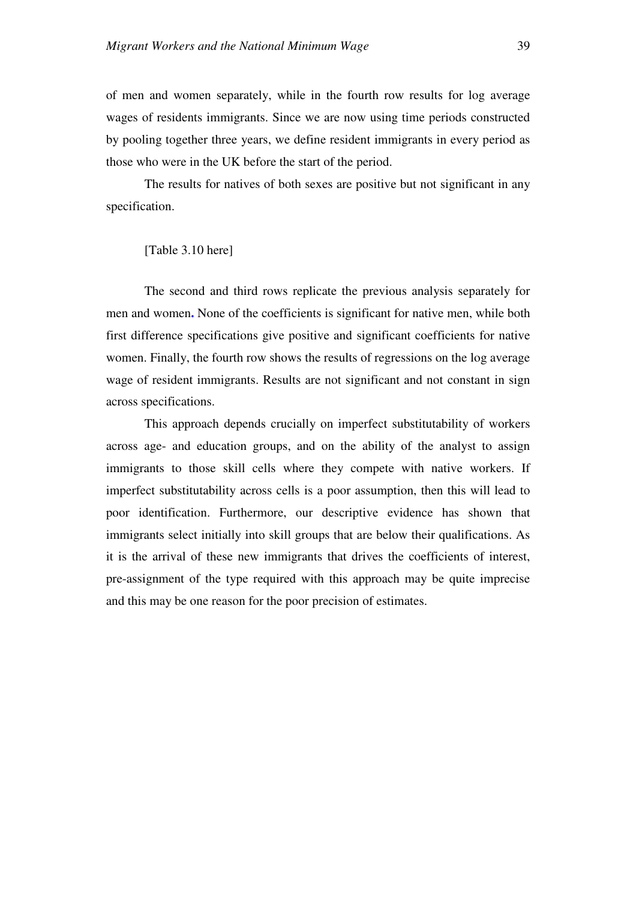of men and women separately, while in the fourth row results for log average wages of residents immigrants. Since we are now using time periods constructed by pooling together three years, we define resident immigrants in every period as those who were in the UK before the start of the period.

The results for natives of both sexes are positive but not significant in any specification.

#### [Table 3.10 here]

The second and third rows replicate the previous analysis separately for men and women**.** None of the coefficients is significant for native men, while both first difference specifications give positive and significant coefficients for native women. Finally, the fourth row shows the results of regressions on the log average wage of resident immigrants. Results are not significant and not constant in sign across specifications.

This approach depends crucially on imperfect substitutability of workers across age- and education groups, and on the ability of the analyst to assign immigrants to those skill cells where they compete with native workers. If imperfect substitutability across cells is a poor assumption, then this will lead to poor identification. Furthermore, our descriptive evidence has shown that immigrants select initially into skill groups that are below their qualifications. As it is the arrival of these new immigrants that drives the coefficients of interest, pre-assignment of the type required with this approach may be quite imprecise and this may be one reason for the poor precision of estimates.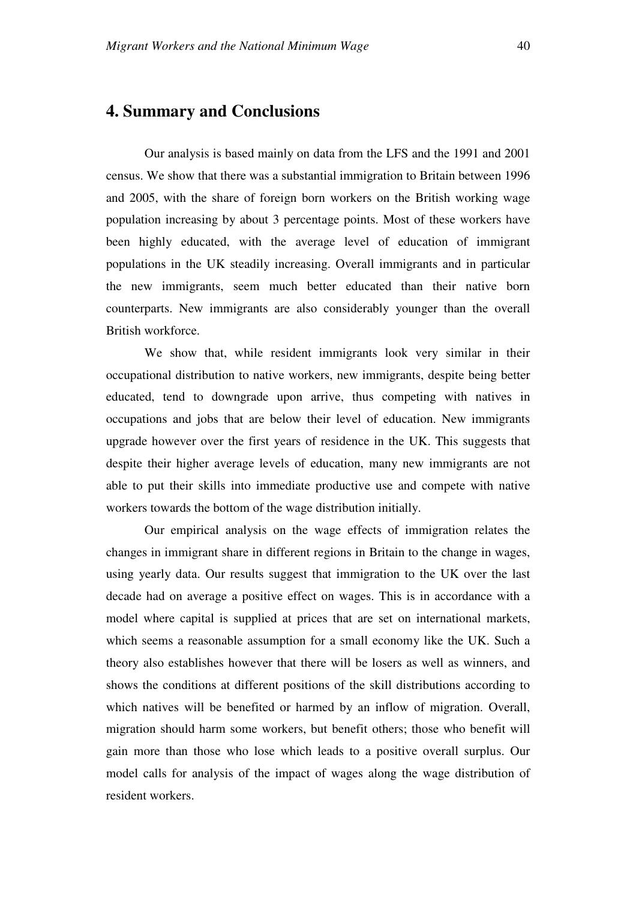## **4. Summary and Conclusions**

Our analysis is based mainly on data from the LFS and the 1991 and 2001 census. We show that there was a substantial immigration to Britain between 1996 and 2005, with the share of foreign born workers on the British working wage population increasing by about 3 percentage points. Most of these workers have been highly educated, with the average level of education of immigrant populations in the UK steadily increasing. Overall immigrants and in particular the new immigrants, seem much better educated than their native born counterparts. New immigrants are also considerably younger than the overall British workforce.

We show that, while resident immigrants look very similar in their occupational distribution to native workers, new immigrants, despite being better educated, tend to downgrade upon arrive, thus competing with natives in occupations and jobs that are below their level of education. New immigrants upgrade however over the first years of residence in the UK. This suggests that despite their higher average levels of education, many new immigrants are not able to put their skills into immediate productive use and compete with native workers towards the bottom of the wage distribution initially.

Our empirical analysis on the wage effects of immigration relates the changes in immigrant share in different regions in Britain to the change in wages, using yearly data. Our results suggest that immigration to the UK over the last decade had on average a positive effect on wages. This is in accordance with a model where capital is supplied at prices that are set on international markets, which seems a reasonable assumption for a small economy like the UK. Such a theory also establishes however that there will be losers as well as winners, and shows the conditions at different positions of the skill distributions according to which natives will be benefited or harmed by an inflow of migration. Overall, migration should harm some workers, but benefit others; those who benefit will gain more than those who lose which leads to a positive overall surplus. Our model calls for analysis of the impact of wages along the wage distribution of resident workers.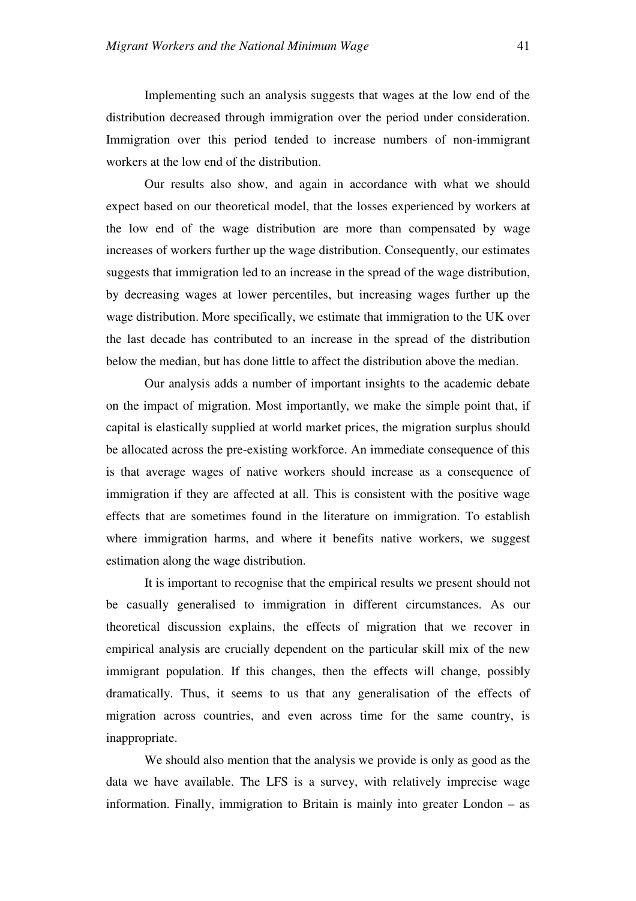Implementing such an analysis suggests that wages at the low end of the distribution decreased through immigration over the period under consideration. Immigration over this period tended to increase numbers of non-immigrant workers at the low end of the distribution.

Our results also show, and again in accordance with what we should expect based on our theoretical model, that the losses experienced by workers at the low end of the wage distribution are more than compensated by wage increases of workers further up the wage distribution. Consequently, our estimates suggests that immigration led to an increase in the spread of the wage distribution, by decreasing wages at lower percentiles, but increasing wages further up the wage distribution. More specifically, we estimate that immigration to the UK over the last decade has contributed to an increase in the spread of the distribution below the median, but has done little to affect the distribution above the median.

Our analysis adds a number of important insights to the academic debate on the impact of migration. Most importantly, we make the simple point that, if capital is elastically supplied at world market prices, the migration surplus should be allocated across the pre-existing workforce. An immediate consequence of this is that average wages of native workers should increase as a consequence of immigration if they are affected at all. This is consistent with the positive wage effects that are sometimes found in the literature on immigration. To establish where immigration harms, and where it benefits native workers, we suggest estimation along the wage distribution.

It is important to recognise that the empirical results we present should not be casually generalised to immigration in different circumstances. As our theoretical discussion explains, the effects of migration that we recover in empirical analysis are crucially dependent on the particular skill mix of the new immigrant population. If this changes, then the effects will change, possibly dramatically. Thus, it seems to us that any generalisation of the effects of migration across countries, and even across time for the same country, is inappropriate.

We should also mention that the analysis we provide is only as good as the data we have available. The LFS is a survey, with relatively imprecise wage information. Finally, immigration to Britain is mainly into greater London – as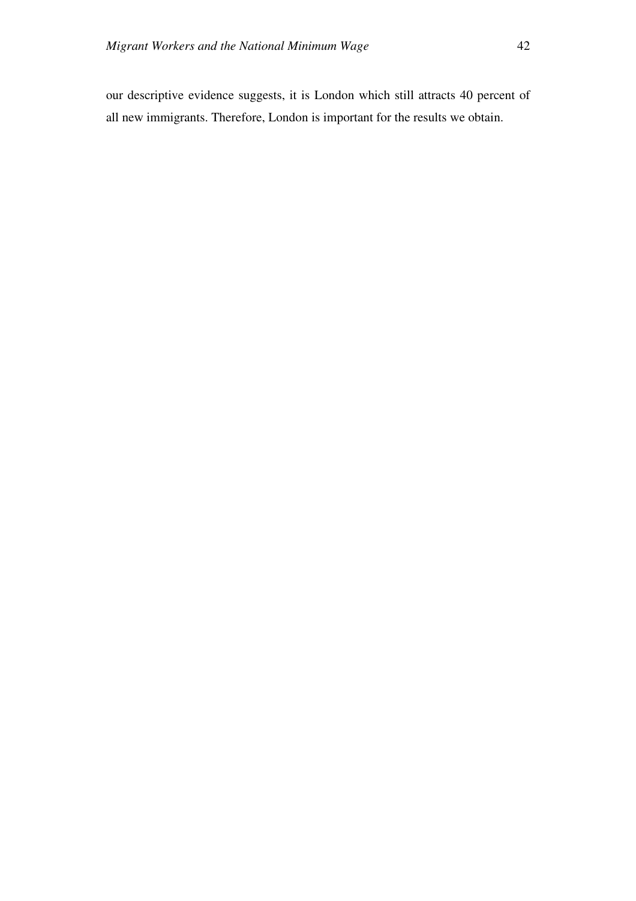our descriptive evidence suggests, it is London which still attracts 40 percent of all new immigrants. Therefore, London is important for the results we obtain.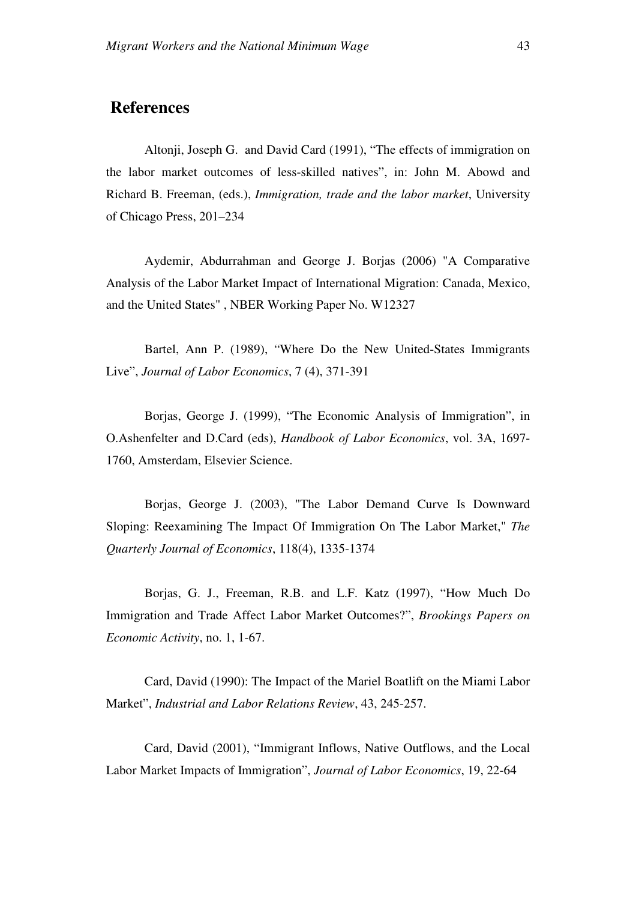## **References**

Altonji, Joseph G. and David Card (1991), "The effects of immigration on the labor market outcomes of less-skilled natives", in: John M. Abowd and Richard B. Freeman, (eds.), *Immigration, trade and the labor market*, University of Chicago Press, 201–234

Aydemir, Abdurrahman and George J. Borjas (2006) "A Comparative Analysis of the Labor Market Impact of International Migration: Canada, Mexico, and the United States" , NBER Working Paper No. W12327

Bartel, Ann P. (1989), "Where Do the New United-States Immigrants Live", *Journal of Labor Economics*, 7 (4), 371-391

Borjas, George J. (1999), "The Economic Analysis of Immigration", in O.Ashenfelter and D.Card (eds), *Handbook of Labor Economics*, vol. 3A, 1697- 1760, Amsterdam, Elsevier Science.

Borjas, George J. (2003), "The Labor Demand Curve Is Downward Sloping: Reexamining The Impact Of Immigration On The Labor Market," *The Quarterly Journal of Economics*, 118(4), 1335-1374

Borjas, G. J., Freeman, R.B. and L.F. Katz (1997), "How Much Do Immigration and Trade Affect Labor Market Outcomes?", *Brookings Papers on Economic Activity*, no. 1, 1-67.

Card, David (1990): The Impact of the Mariel Boatlift on the Miami Labor Market", *Industrial and Labor Relations Review*, 43, 245-257.

Card, David (2001), "Immigrant Inflows, Native Outflows, and the Local Labor Market Impacts of Immigration", *Journal of Labor Economics*, 19, 22-64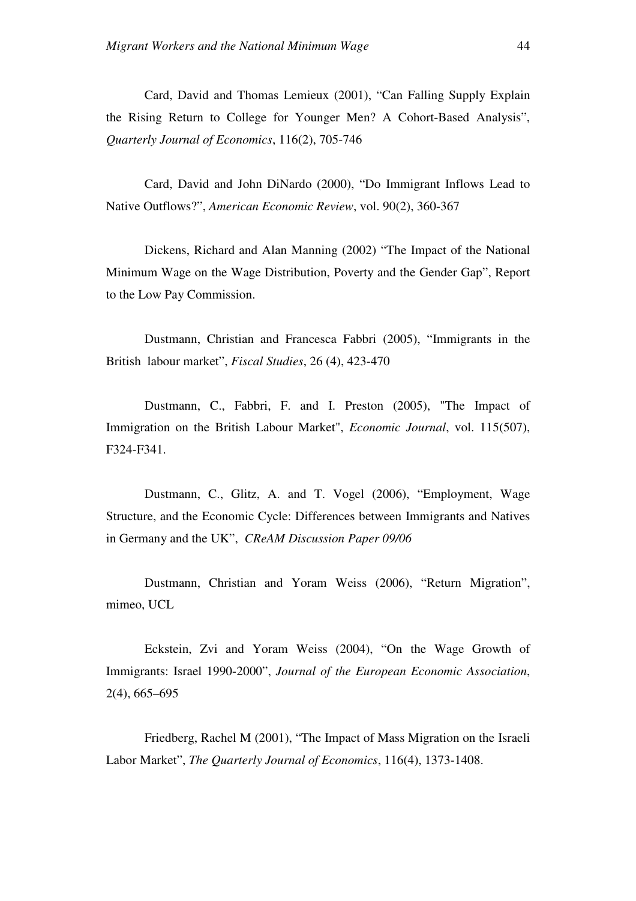Card, David and Thomas Lemieux (2001), "Can Falling Supply Explain the Rising Return to College for Younger Men? A Cohort-Based Analysis", *Quarterly Journal of Economics*, 116(2), 705-746

Card, David and John DiNardo (2000), "Do Immigrant Inflows Lead to Native Outflows?", *American Economic Review*, vol. 90(2), 360-367

Dickens, Richard and Alan Manning (2002) "The Impact of the National Minimum Wage on the Wage Distribution, Poverty and the Gender Gap", Report to the Low Pay Commission.

Dustmann, Christian and Francesca Fabbri (2005), "Immigrants in the British labour market", *Fiscal Studies*, 26 (4), 423-470

Dustmann, C., Fabbri, F. and I. Preston (2005), "The Impact of Immigration on the British Labour Market", *Economic Journal*, vol. 115(507), F324-F341.

Dustmann, C., Glitz, A. and T. Vogel (2006), "Employment, Wage Structure, and the Economic Cycle: Differences between Immigrants and Natives in Germany and the UK", *CReAM Discussion Paper 09/06*

Dustmann, Christian and Yoram Weiss (2006), "Return Migration", mimeo, UCL

Eckstein, Zvi and Yoram Weiss (2004), "On the Wage Growth of Immigrants: Israel 1990-2000", *Journal of the European Economic Association*, 2(4), 665–695

Friedberg, Rachel M (2001), "The Impact of Mass Migration on the Israeli Labor Market", *The Quarterly Journal of Economics*, 116(4), 1373-1408.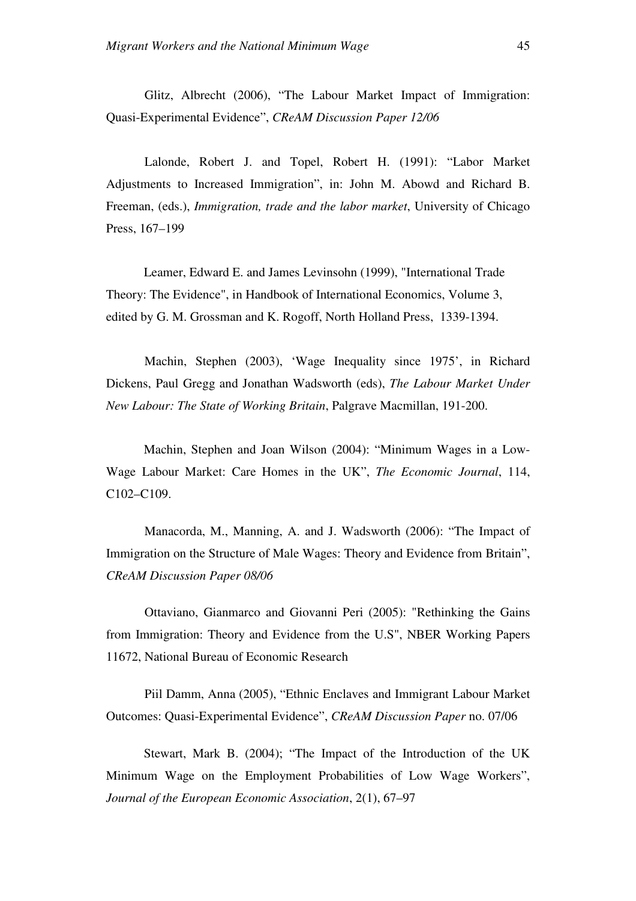Glitz, Albrecht (2006), "The Labour Market Impact of Immigration: Quasi-Experimental Evidence", *CReAM Discussion Paper 12/06*

Lalonde, Robert J. and Topel, Robert H. (1991): "Labor Market Adjustments to Increased Immigration", in: John M. Abowd and Richard B. Freeman, (eds.), *Immigration, trade and the labor market*, University of Chicago Press, 167–199

Leamer, Edward E. and James Levinsohn (1999), "International Trade Theory: The Evidence", in Handbook of International Economics, Volume 3, edited by G. M. Grossman and K. Rogoff, North Holland Press, 1339-1394.

Machin, Stephen (2003), 'Wage Inequality since 1975', in Richard Dickens, Paul Gregg and Jonathan Wadsworth (eds), *The Labour Market Under New Labour: The State of Working Britain*, Palgrave Macmillan, 191-200.

Machin, Stephen and Joan Wilson (2004): "Minimum Wages in a Low-Wage Labour Market: Care Homes in the UK", *The Economic Journal*, 114, C102–C109.

Manacorda, M., Manning, A. and J. Wadsworth (2006): "The Impact of Immigration on the Structure of Male Wages: Theory and Evidence from Britain", *CReAM Discussion Paper 08/06* 

Ottaviano, Gianmarco and Giovanni Peri (2005): "Rethinking the Gains from Immigration: Theory and Evidence from the U.S", NBER Working Papers 11672, National Bureau of Economic Research

Piil Damm, Anna (2005), "Ethnic Enclaves and Immigrant Labour Market Outcomes: Quasi-Experimental Evidence", *CReAM Discussion Paper* no. 07/06

Stewart, Mark B. (2004); "The Impact of the Introduction of the UK Minimum Wage on the Employment Probabilities of Low Wage Workers", *Journal of the European Economic Association*, 2(1), 67–97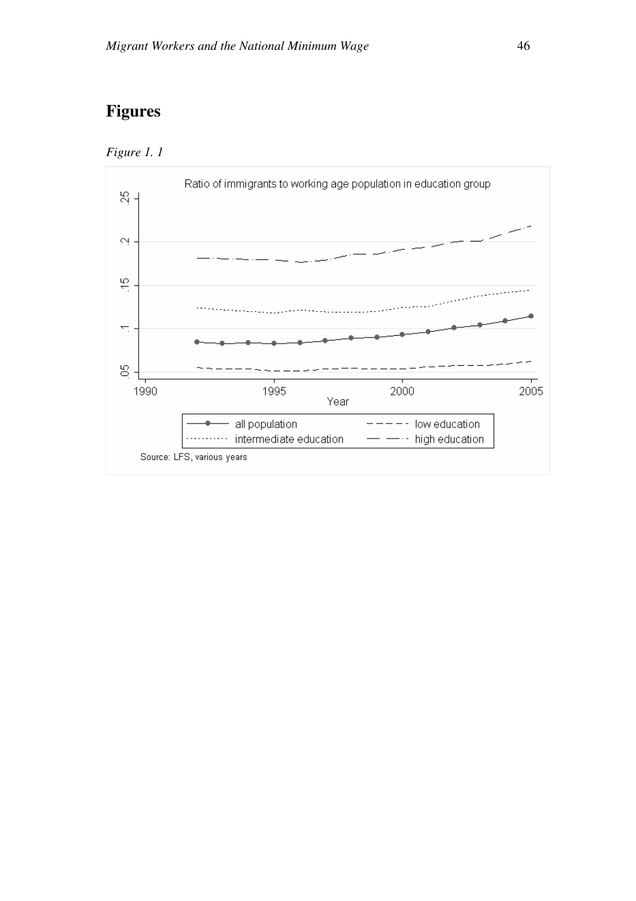## **Figures**



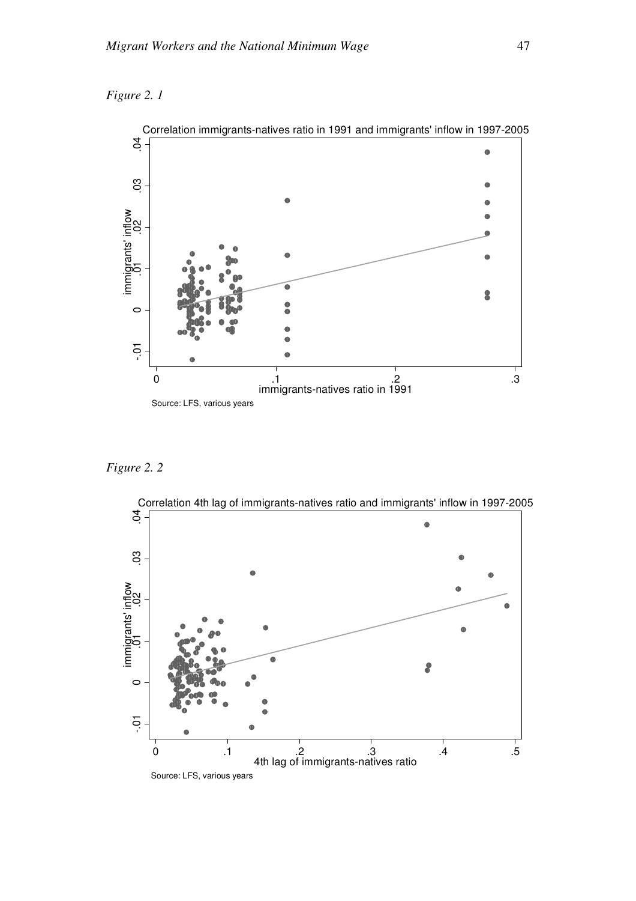



*Figure 2. 2* 



Correlation immigrants-natives ratio in 1991 and immigrants' inflow in 1997-2005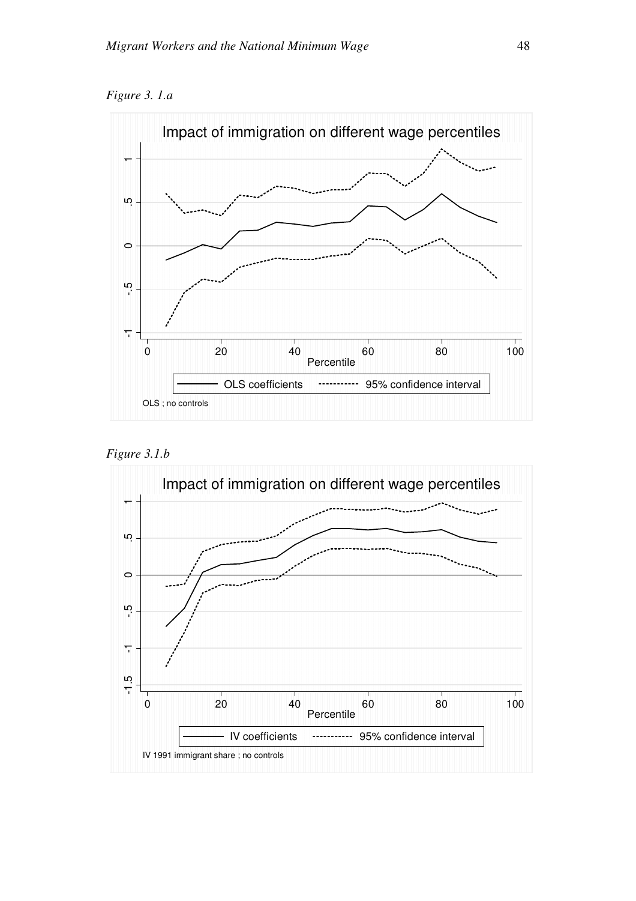*Figure 3. 1.a* 





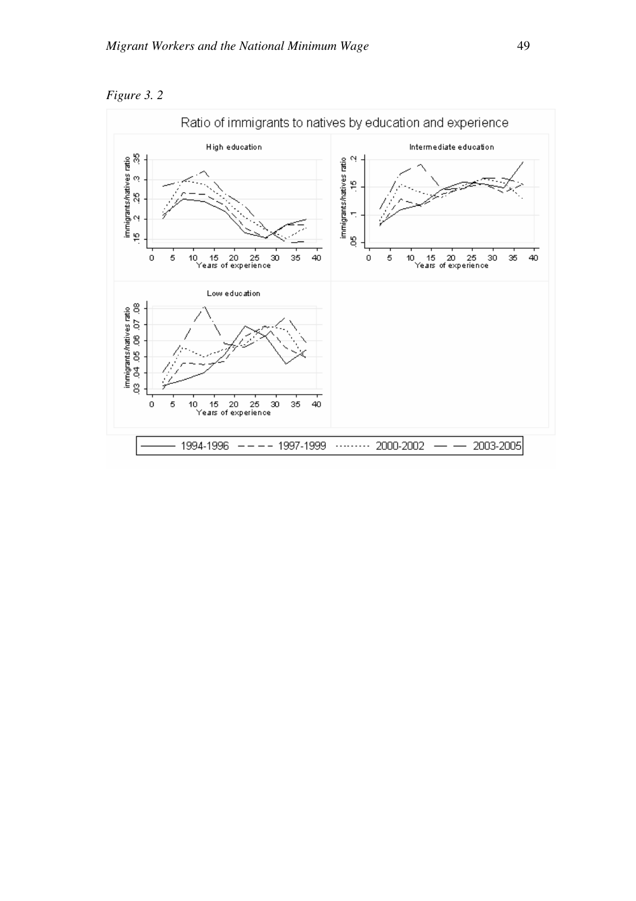

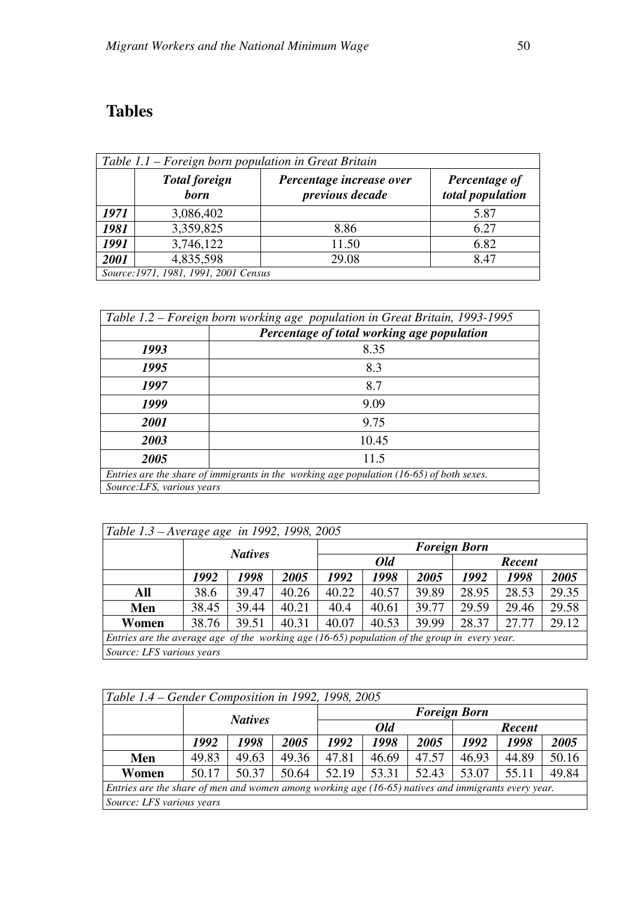# **Tables**

| Table 1.1 – Foreign born population in Great Britain |                                      |                                             |                                   |  |  |  |  |  |  |
|------------------------------------------------------|--------------------------------------|---------------------------------------------|-----------------------------------|--|--|--|--|--|--|
|                                                      | <b>Total foreign</b><br><b>born</b>  | Percentage increase over<br>previous decade | Percentage of<br>total population |  |  |  |  |  |  |
| 1971                                                 | 3,086,402                            |                                             | 5.87                              |  |  |  |  |  |  |
| 1981                                                 | 3,359,825                            | 8.86                                        | 6.27                              |  |  |  |  |  |  |
| 1991                                                 | 3,746,122                            | 11.50                                       | 6.82                              |  |  |  |  |  |  |
| 2001                                                 | 4,835,598                            | 29.08                                       | 8.47                              |  |  |  |  |  |  |
|                                                      | Source:1971, 1981, 1991, 2001 Census |                                             |                                   |  |  |  |  |  |  |

|                                                                                            | Table 1.2 – Foreign born working age population in Great Britain, 1993-1995 |  |  |  |  |  |  |
|--------------------------------------------------------------------------------------------|-----------------------------------------------------------------------------|--|--|--|--|--|--|
|                                                                                            | Percentage of total working age population                                  |  |  |  |  |  |  |
| 1993                                                                                       | 8.35                                                                        |  |  |  |  |  |  |
| 1995                                                                                       | 8.3                                                                         |  |  |  |  |  |  |
| 1997                                                                                       | 8.7                                                                         |  |  |  |  |  |  |
| 1999                                                                                       | 9.09                                                                        |  |  |  |  |  |  |
| 2001                                                                                       | 9.75                                                                        |  |  |  |  |  |  |
| 2003                                                                                       | 10.45                                                                       |  |  |  |  |  |  |
| 2005                                                                                       | 11.5                                                                        |  |  |  |  |  |  |
| Entries are the share of immigrants in the working age population $(16-65)$ of both sexes. |                                                                             |  |  |  |  |  |  |
|                                                                                            | Source: LFS, various years                                                  |  |  |  |  |  |  |

| Table 1.3 – Average age in 1992, 1998, 2005                                                     |       |                |       |       |                     |       |       |       |       |  |
|-------------------------------------------------------------------------------------------------|-------|----------------|-------|-------|---------------------|-------|-------|-------|-------|--|
|                                                                                                 |       | <b>Natives</b> |       |       | <b>Foreign Born</b> |       |       |       |       |  |
|                                                                                                 |       |                |       |       | Old                 |       |       |       |       |  |
|                                                                                                 | 1992  | 1998           | 2005  | 1992  | 1998                | 2005  | 1992  | 1998  | 2005  |  |
| All                                                                                             | 38.6  | 39.47          | 40.26 | 40.22 | 40.57               | 39.89 | 28.95 | 28.53 | 29.35 |  |
| Men                                                                                             | 38.45 | 39.44          | 40.21 | 40.4  | 40.61               | 39.77 | 29.59 | 29.46 | 29.58 |  |
| Women                                                                                           | 38.76 | 39.51          | 40.31 | 40.07 | 40.53               | 39.99 | 28.37 | 27.77 | 29.12 |  |
| Entries are the average age of the working age $(16-65)$ population of the group in every year. |       |                |       |       |                     |       |       |       |       |  |
| Source: LFS various years                                                                       |       |                |       |       |                     |       |       |       |       |  |

| Table 1.4 – Gender Composition in 1992, 1998, 2005                                                  |       |                |       |       |                     |       |       |       |       |  |
|-----------------------------------------------------------------------------------------------------|-------|----------------|-------|-------|---------------------|-------|-------|-------|-------|--|
|                                                                                                     |       | <b>Natives</b> |       |       | <b>Foreign Born</b> |       |       |       |       |  |
|                                                                                                     |       |                |       |       | <b>Old</b>          |       |       |       |       |  |
|                                                                                                     | 1992  | 1998           | 2005  | 1992  | 1998                | 2005  | 1992  | 1998  | 2005  |  |
| Men                                                                                                 | 49.83 | 49.63          | 49.36 | 47.81 | 46.69               | 47.57 | 46.93 | 44.89 | 50.16 |  |
| Women                                                                                               | 50.17 | 50.37          | 50.64 | 52.19 | 53.31               | 52.43 | 53.07 | 55.11 | 49.84 |  |
| Entries are the share of men and women among working age (16-65) natives and immigrants every year. |       |                |       |       |                     |       |       |       |       |  |
| Source: LFS various years                                                                           |       |                |       |       |                     |       |       |       |       |  |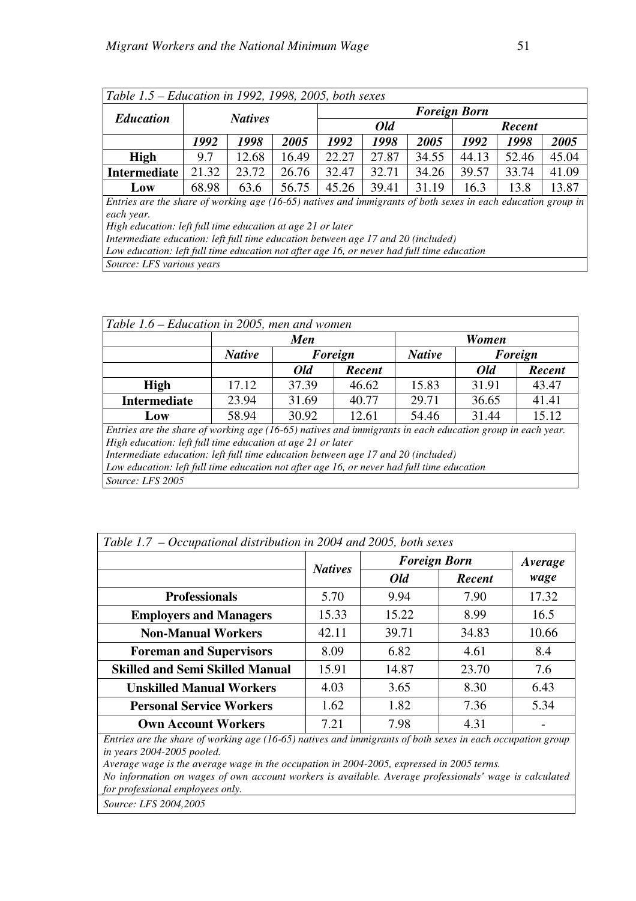| Table 1.5 – Education in 1992, 1998, 2005, both sexes                                                        |                                              |       |       |                     |       |       |       |       |       |  |  |
|--------------------------------------------------------------------------------------------------------------|----------------------------------------------|-------|-------|---------------------|-------|-------|-------|-------|-------|--|--|
| <b>Education</b>                                                                                             |                                              |       |       | <b>Foreign Born</b> |       |       |       |       |       |  |  |
| <b>Natives</b>                                                                                               |                                              |       |       |                     | Old   |       |       |       |       |  |  |
|                                                                                                              | 1992<br>1998<br>1998<br>2005<br>1992<br>2005 |       |       |                     | 1992  | 1998  | 2005  |       |       |  |  |
| <b>High</b>                                                                                                  | 9.7                                          | 12.68 | 16.49 | 22.27               | 27.87 | 34.55 | 44.13 | 52.46 | 45.04 |  |  |
| <b>Intermediate</b>                                                                                          | 21.32                                        | 23.72 | 26.76 | 32.47               | 32.71 | 34.26 | 39.57 | 33.74 | 41.09 |  |  |
| Low                                                                                                          | 63.6<br>56.75<br>68.98                       |       |       | 45.26               | 39.41 | 31.19 | 16.3  | 13.8  | 13.87 |  |  |
| Entries are the share of working age (16-65) natives and immigrants of both sexes in each education group in |                                              |       |       |                     |       |       |       |       |       |  |  |
| each year.                                                                                                   |                                              |       |       |                     |       |       |       |       |       |  |  |
| High education: left full time education at age 21 or later                                                  |                                              |       |       |                     |       |       |       |       |       |  |  |
| Intermediate education: left full time education between age 17 and 20 (included)                            |                                              |       |       |                     |       |       |       |       |       |  |  |
| Low education: left full time education not after age 16, or never had full time education                   |                                              |       |       |                     |       |       |       |       |       |  |  |
| Source: LFS various years                                                                                    |                                              |       |       |                     |       |       |       |       |       |  |  |

| Table 1.6 – Education in 2005, men and women                                                                |               |                |         |               |              |        |  |  |  |
|-------------------------------------------------------------------------------------------------------------|---------------|----------------|---------|---------------|--------------|--------|--|--|--|
|                                                                                                             |               | <b>Men</b>     |         |               | <b>Women</b> |        |  |  |  |
|                                                                                                             | <b>Native</b> |                | Foreign | <b>Native</b> | Foreign      |        |  |  |  |
|                                                                                                             |               | Old            | Recent  |               | Old          | Recent |  |  |  |
| <b>High</b>                                                                                                 | 17.12         | 37.39          | 46.62   | 15.83         | 31.91        | 43.47  |  |  |  |
| <b>Intermediate</b>                                                                                         | 23.94         | 31.69<br>40.77 |         | 29.71         | 36.65        | 41.41  |  |  |  |
| Low                                                                                                         | 58.94         | 30.92          | 12.61   | 54.46         | 31.44        | 15.12  |  |  |  |
| Entries are the share of working age $(16-65)$ natives and immigrants in each education group in each year. |               |                |         |               |              |        |  |  |  |
| High education: left full time education at age 21 or later                                                 |               |                |         |               |              |        |  |  |  |
| Intermediate education: left full time education between age 17 and 20 (included)                           |               |                |         |               |              |        |  |  |  |
| Low education: left full time education not after age 16, or never had full time education                  |               |                |         |               |              |        |  |  |  |
| Source: LFS 2005                                                                                            |               |                |         |               |              |        |  |  |  |

| Table 1.7 – Occupational distribution in 2004 and 2005, both sexes |                |                     |               |         |  |  |  |  |  |
|--------------------------------------------------------------------|----------------|---------------------|---------------|---------|--|--|--|--|--|
|                                                                    | <b>Natives</b> | <b>Foreign Born</b> |               | Average |  |  |  |  |  |
|                                                                    |                | Old                 | <b>Recent</b> | wage    |  |  |  |  |  |
| <b>Professionals</b>                                               | 5.70           | 9.94                | 7.90          | 17.32   |  |  |  |  |  |
| <b>Employers and Managers</b>                                      | 15.33          | 15.22               | 8.99          | 16.5    |  |  |  |  |  |
| <b>Non-Manual Workers</b>                                          | 42.11          | 39.71               | 34.83         | 10.66   |  |  |  |  |  |
| <b>Foreman and Supervisors</b>                                     | 8.09           | 6.82                | 4.61          | 8.4     |  |  |  |  |  |
| <b>Skilled and Semi Skilled Manual</b>                             | 15.91          | 14.87               | 23.70         | 7.6     |  |  |  |  |  |
| <b>Unskilled Manual Workers</b>                                    | 4.03           | 3.65                | 8.30          | 6.43    |  |  |  |  |  |
| <b>Personal Service Workers</b>                                    | 1.62           | 1.82                | 7.36          | 5.34    |  |  |  |  |  |
| <b>Own Account Workers</b>                                         | 7.21           | 7.98                | 4.31          |         |  |  |  |  |  |

*Entries are the share of working age (16-65) natives and immigrants of both sexes in each occupation group in years 2004-2005 pooled.* 

*Average wage is the average wage in the occupation in 2004-2005, expressed in 2005 terms.* 

*No information on wages of own account workers is available. Average professionals' wage is calculated for professional employees only.* 

*Source: LFS 2004,2005*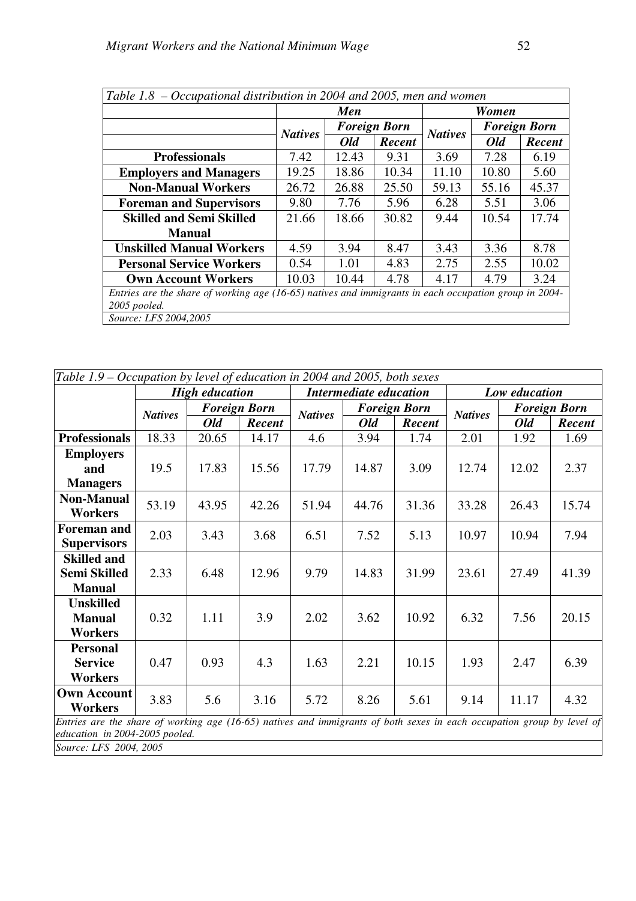| Table 1.8 – Occupational distribution in 2004 and 2005, men and women                                 |                |            |                     |                |                     |        |  |  |  |  |
|-------------------------------------------------------------------------------------------------------|----------------|------------|---------------------|----------------|---------------------|--------|--|--|--|--|
|                                                                                                       |                | <b>Men</b> |                     |                | Women               |        |  |  |  |  |
|                                                                                                       | <b>Natives</b> |            | <b>Foreign Born</b> | <b>Natives</b> | <b>Foreign Born</b> |        |  |  |  |  |
|                                                                                                       |                | Old        | Recent              |                | Old                 | Recent |  |  |  |  |
| <b>Professionals</b>                                                                                  | 7.42           | 12.43      | 9.31                | 3.69           | 7.28                | 6.19   |  |  |  |  |
| <b>Employers and Managers</b>                                                                         | 19.25          | 18.86      | 10.34               | 11.10          | 10.80               | 5.60   |  |  |  |  |
| <b>Non-Manual Workers</b>                                                                             | 26.72          | 26.88      | 25.50               | 59.13          | 55.16               | 45.37  |  |  |  |  |
| <b>Foreman and Supervisors</b>                                                                        | 9.80           | 7.76       | 5.96                | 6.28           | 5.51                | 3.06   |  |  |  |  |
| <b>Skilled and Semi Skilled</b>                                                                       | 21.66          | 18.66      | 30.82               | 9.44           | 10.54               | 17.74  |  |  |  |  |
| <b>Manual</b>                                                                                         |                |            |                     |                |                     |        |  |  |  |  |
| <b>Unskilled Manual Workers</b>                                                                       | 4.59           | 3.94       | 8.47                | 3.43           | 3.36                | 8.78   |  |  |  |  |
| <b>Personal Service Workers</b>                                                                       | 0.54           | 1.01       | 4.83                | 2.75           | 2.55                | 10.02  |  |  |  |  |
| <b>Own Account Workers</b>                                                                            | 10.03          | 10.44      | 4.78                | 4.17           | 4.79                | 3.24   |  |  |  |  |
| Entries are the share of working age (16-65) natives and immigrants in each occupation group in 2004- |                |            |                     |                |                     |        |  |  |  |  |
| 2005 pooled.                                                                                          |                |            |                     |                |                     |        |  |  |  |  |
| Source: LFS 2004,2005                                                                                 |                |            |                     |                |                     |        |  |  |  |  |

|                                                                                                                        | Table 1.9 – Occupation by level of education in 2004 and 2005, both sexes |                       |                     |                |                        |                     |                |               |                     |  |  |
|------------------------------------------------------------------------------------------------------------------------|---------------------------------------------------------------------------|-----------------------|---------------------|----------------|------------------------|---------------------|----------------|---------------|---------------------|--|--|
|                                                                                                                        |                                                                           | <b>High education</b> |                     |                | Intermediate education |                     |                | Low education |                     |  |  |
|                                                                                                                        | <b>Natives</b>                                                            |                       | <b>Foreign Born</b> | <b>Natives</b> |                        | <b>Foreign Born</b> |                |               | <b>Foreign Born</b> |  |  |
|                                                                                                                        |                                                                           | <b>Old</b>            | Recent              |                | <b>Old</b>             | Recent              | <b>Natives</b> | Old           | Recent              |  |  |
| <b>Professionals</b>                                                                                                   | 18.33                                                                     | 20.65                 | 14.17               | 4.6            | 3.94                   | 1.74                | 2.01           | 1.92          | 1.69                |  |  |
| <b>Employers</b>                                                                                                       |                                                                           |                       |                     |                |                        |                     |                |               |                     |  |  |
| and                                                                                                                    | 19.5                                                                      | 17.83                 | 15.56               | 17.79          | 14.87                  | 3.09                | 12.74          | 12.02         | 2.37                |  |  |
| <b>Managers</b>                                                                                                        |                                                                           |                       |                     |                |                        |                     |                |               |                     |  |  |
| <b>Non-Manual</b>                                                                                                      | 53.19                                                                     | 43.95                 | 42.26               | 51.94          | 44.76                  | 31.36               | 33.28          | 26.43         | 15.74               |  |  |
| <b>Workers</b>                                                                                                         |                                                                           |                       |                     |                |                        |                     |                |               |                     |  |  |
| <b>Foreman and</b>                                                                                                     | 2.03                                                                      | 3.43                  | 3.68                | 6.51           | 7.52                   | 5.13                | 10.97          | 10.94         | 7.94                |  |  |
| <b>Supervisors</b>                                                                                                     |                                                                           |                       |                     |                |                        |                     |                |               |                     |  |  |
| <b>Skilled and</b>                                                                                                     |                                                                           |                       |                     |                |                        |                     |                |               |                     |  |  |
| <b>Semi Skilled</b>                                                                                                    | 2.33                                                                      | 6.48                  | 12.96               | 9.79           | 14.83                  | 31.99               | 23.61          | 27.49         | 41.39               |  |  |
| <b>Manual</b>                                                                                                          |                                                                           |                       |                     |                |                        |                     |                |               |                     |  |  |
| <b>Unskilled</b>                                                                                                       |                                                                           |                       |                     |                |                        |                     |                |               |                     |  |  |
| <b>Manual</b>                                                                                                          | 0.32                                                                      | 1.11                  | 3.9                 | 2.02           | 3.62                   | 10.92               | 6.32           | 7.56          | 20.15               |  |  |
| <b>Workers</b>                                                                                                         |                                                                           |                       |                     |                |                        |                     |                |               |                     |  |  |
| <b>Personal</b>                                                                                                        |                                                                           |                       |                     |                |                        |                     |                |               |                     |  |  |
| <b>Service</b>                                                                                                         | 0.47                                                                      | 0.93                  | 4.3                 | 1.63           | 2.21                   | 10.15               | 1.93           | 2.47          | 6.39                |  |  |
| <b>Workers</b>                                                                                                         |                                                                           |                       |                     |                |                        |                     |                |               |                     |  |  |
| <b>Own Account</b>                                                                                                     | 3.83                                                                      | 5.6                   | 3.16                | 5.72           | 8.26                   | 5.61                | 9.14           | 11.17         | 4.32                |  |  |
| <b>Workers</b>                                                                                                         |                                                                           |                       |                     |                |                        |                     |                |               |                     |  |  |
| Entries are the share of working age (16-65) natives and immigrants of both sexes in each occupation group by level of |                                                                           |                       |                     |                |                        |                     |                |               |                     |  |  |
| education in 2004-2005 pooled.                                                                                         |                                                                           |                       |                     |                |                        |                     |                |               |                     |  |  |
| <i>Source: LFS 2004 2005</i>                                                                                           |                                                                           |                       |                     |                |                        |                     |                |               |                     |  |  |

*Source: LFS 2004, 2005*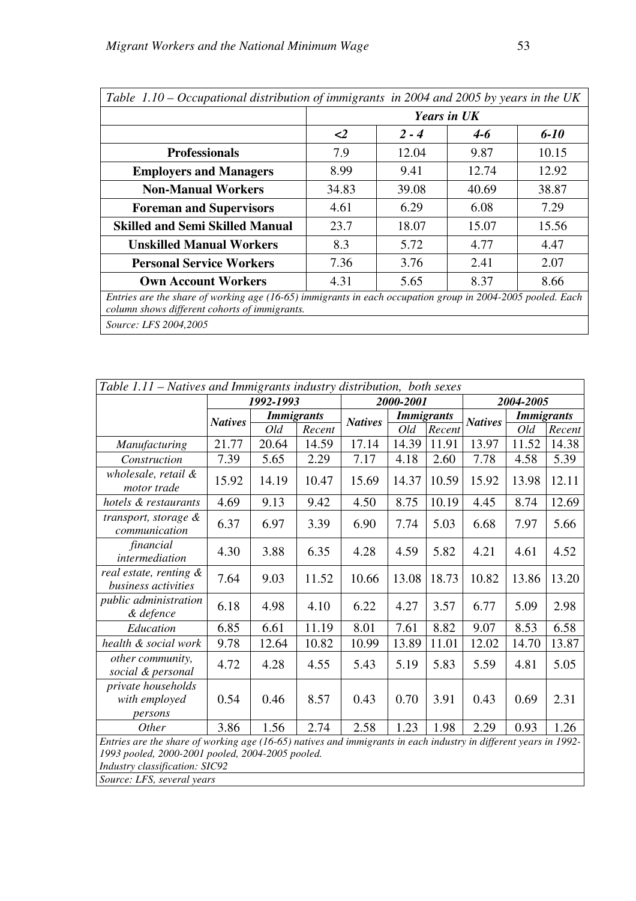Ē

|                                                                                                                                                             | <b>Years in UK</b>  |         |         |          |  |  |  |  |
|-------------------------------------------------------------------------------------------------------------------------------------------------------------|---------------------|---------|---------|----------|--|--|--|--|
|                                                                                                                                                             | $\langle 2 \rangle$ | $2 - 4$ | $4 - 6$ | $6 - 10$ |  |  |  |  |
| <b>Professionals</b>                                                                                                                                        | 7.9                 | 12.04   | 9.87    | 10.15    |  |  |  |  |
| <b>Employers and Managers</b>                                                                                                                               | 8.99                | 9.41    | 12.74   | 12.92    |  |  |  |  |
| <b>Non-Manual Workers</b>                                                                                                                                   | 34.83               | 39.08   | 40.69   | 38.87    |  |  |  |  |
| <b>Foreman and Supervisors</b>                                                                                                                              | 4.61                | 6.29    | 6.08    | 7.29     |  |  |  |  |
| <b>Skilled and Semi Skilled Manual</b>                                                                                                                      | 23.7                | 18.07   | 15.07   | 15.56    |  |  |  |  |
| <b>Unskilled Manual Workers</b>                                                                                                                             | 8.3                 | 5.72    | 4.77    | 4.47     |  |  |  |  |
| <b>Personal Service Workers</b>                                                                                                                             | 7.36                | 3.76    | 2.41    | 2.07     |  |  |  |  |
| <b>Own Account Workers</b>                                                                                                                                  | 4.31                | 5.65    | 8.37    | 8.66     |  |  |  |  |
| Entries are the share of working age (16-65) immigrants in each occupation group in 2004-2005 pooled. Each<br>column shows different cohorts of immigrants. |                     |         |         |          |  |  |  |  |
| Source: LFS 2004,2005                                                                                                                                       |                     |         |         |          |  |  |  |  |

| Table 1.11 - Natives and Immigrants industry distribution, both sexes                                                                                                                                  |                |                   |        |                |           |                   |                |                   |        |
|--------------------------------------------------------------------------------------------------------------------------------------------------------------------------------------------------------|----------------|-------------------|--------|----------------|-----------|-------------------|----------------|-------------------|--------|
|                                                                                                                                                                                                        |                | 1992-1993         |        |                | 2000-2001 |                   |                | 2004-2005         |        |
|                                                                                                                                                                                                        | <b>Natives</b> | <b>Immigrants</b> |        | <b>Natives</b> |           | <b>Immigrants</b> | <b>Natives</b> | <b>Immigrants</b> |        |
|                                                                                                                                                                                                        |                | Old               | Recent |                | Old       | Recent            |                | Old               | Recent |
| Manufacturing                                                                                                                                                                                          | 21.77          | 20.64             | 14.59  | 17.14          | 14.39     | 11.91             | 13.97          | 11.52             | 14.38  |
| Construction                                                                                                                                                                                           | 7.39           | 5.65              | 2.29   | 7.17           | 4.18      | 2.60              | 7.78           | 4.58              | 5.39   |
| wholesale, retail &<br>motor trade                                                                                                                                                                     | 15.92          | 14.19             | 10.47  | 15.69          | 14.37     | 10.59             | 15.92          | 13.98             | 12.11  |
| hotels & restaurants                                                                                                                                                                                   | 4.69           | 9.13              | 9.42   | 4.50           | 8.75      | 10.19             | 4.45           | 8.74              | 12.69  |
| transport, storage &<br>communication                                                                                                                                                                  | 6.37           | 6.97              | 3.39   | 6.90           | 7.74      | 5.03              | 6.68           | 7.97              | 5.66   |
| financial<br>intermediation                                                                                                                                                                            | 4.30           | 3.88              | 6.35   | 4.28           | 4.59      | 5.82              | 4.21           | 4.61              | 4.52   |
| real estate, renting &<br>business activities                                                                                                                                                          | 7.64           | 9.03              | 11.52  | 10.66          | 13.08     | 18.73             | 10.82          | 13.86             | 13.20  |
| public administration<br>& defence                                                                                                                                                                     | 6.18           | 4.98              | 4.10   | 6.22           | 4.27      | 3.57              | 6.77           | 5.09              | 2.98   |
| Education                                                                                                                                                                                              | 6.85           | 6.61              | 11.19  | 8.01           | 7.61      | 8.82              | 9.07           | 8.53              | 6.58   |
| health & social work                                                                                                                                                                                   | 9.78           | 12.64             | 10.82  | 10.99          | 13.89     | 11.01             | 12.02          | 14.70             | 13.87  |
| other community,<br>social & personal                                                                                                                                                                  | 4.72           | 4.28              | 4.55   | 5.43           | 5.19      | 5.83              | 5.59           | 4.81              | 5.05   |
| private households<br>with employed<br>persons                                                                                                                                                         | 0.54           | 0.46              | 8.57   | 0.43           | 0.70      | 3.91              | 0.43           | 0.69              | 2.31   |
| Other                                                                                                                                                                                                  | 3.86           | 1.56              | 2.74   | 2.58           | 1.23      | 1.98              | 2.29           | 0.93              | 1.26   |
| Entries are the share of working age (16-65) natives and immigrants in each industry in different years in 1992-<br>1993 pooled, 2000-2001 pooled, 2004-2005 pooled.<br>Industry classification: SIC92 |                |                   |        |                |           |                   |                |                   |        |

h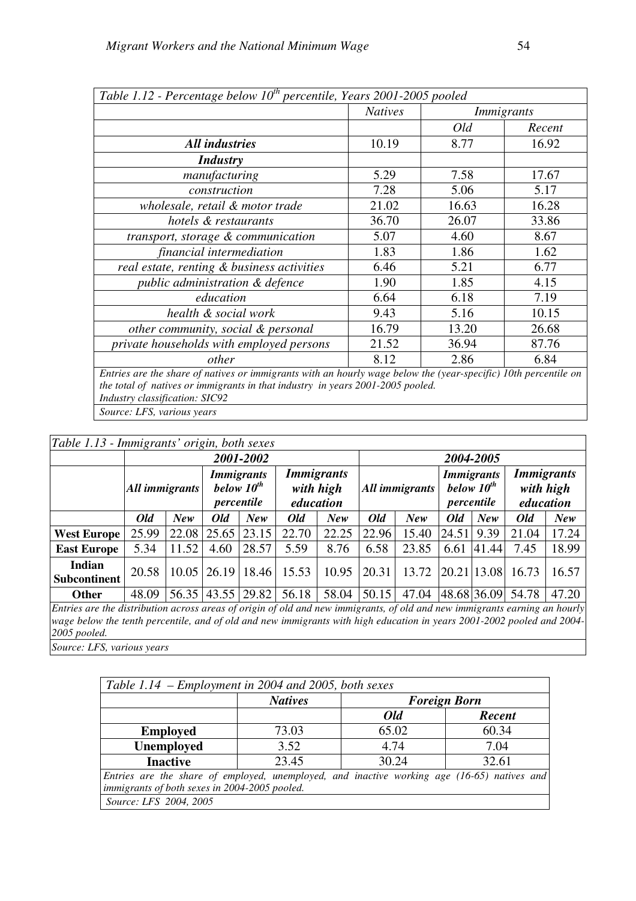| Table 1.12 - Percentage below $10^{th}$ percentile, Years 2001-2005 pooled                                      |                |       |                   |  |  |  |  |  |
|-----------------------------------------------------------------------------------------------------------------|----------------|-------|-------------------|--|--|--|--|--|
|                                                                                                                 | <b>Natives</b> |       | <b>Immigrants</b> |  |  |  |  |  |
|                                                                                                                 |                | Old   | Recent            |  |  |  |  |  |
| <b>All industries</b>                                                                                           | 10.19          | 8.77  | 16.92             |  |  |  |  |  |
| <i>Industry</i>                                                                                                 |                |       |                   |  |  |  |  |  |
| manufacturing                                                                                                   | 5.29           | 7.58  | 17.67             |  |  |  |  |  |
| construction                                                                                                    | 7.28           | 5.06  | 5.17              |  |  |  |  |  |
| wholesale, retail & motor trade                                                                                 | 21.02          | 16.63 | 16.28             |  |  |  |  |  |
| hotels & restaurants                                                                                            | 36.70          | 26.07 | 33.86             |  |  |  |  |  |
| transport, storage & communication                                                                              | 5.07           | 4.60  | 8.67              |  |  |  |  |  |
| financial intermediation                                                                                        | 1.83           | 1.86  | 1.62              |  |  |  |  |  |
| real estate, renting & business activities                                                                      | 6.46           | 5.21  | 6.77              |  |  |  |  |  |
| public administration & defence                                                                                 | 1.90           | 1.85  | 4.15              |  |  |  |  |  |
| education                                                                                                       | 6.64           | 6.18  | 7.19              |  |  |  |  |  |
| health & social work                                                                                            | 9.43           | 5.16  | 10.15             |  |  |  |  |  |
| other community, social & personal                                                                              | 16.79          | 13.20 | 26.68             |  |  |  |  |  |
| private households with employed persons                                                                        | 21.52          | 36.94 | 87.76             |  |  |  |  |  |
| other                                                                                                           | 8.12           | 2.86  | 6.84              |  |  |  |  |  |
| Entries are the share of natives or immigrants with an hourly wage below the (year-specific) 10th percentile on |                |       |                   |  |  |  |  |  |
| the total of natives or immigrants in that industry in years 2001-2005 pooled.                                  |                |       |                   |  |  |  |  |  |
| Industry classification: SIC92                                                                                  |                |       |                   |  |  |  |  |  |

*Source: LFS, various years* 

## *Table 1.13 - Immigrants' origin, both sexes*

| 1.0000 1.10                          | minizianis viizin, võin sexes |            |                   |                                 |                                             |           |       |                |       |                                                    |                                             |       |
|--------------------------------------|-------------------------------|------------|-------------------|---------------------------------|---------------------------------------------|-----------|-------|----------------|-------|----------------------------------------------------|---------------------------------------------|-------|
|                                      | 2001-2002                     |            |                   |                                 |                                             | 2004-2005 |       |                |       |                                                    |                                             |       |
|                                      | All immigrants                |            | below $10^{th}$   | <b>Immigrants</b><br>percentile | <i>Immigrants</i><br>with high<br>education |           |       | All immigrants |       | <i>Immigrants</i><br>below $10^{th}$<br>percentile | <b>Immigrants</b><br>with high<br>education |       |
|                                      | Old                           | <b>New</b> | Old               | New                             | Old                                         | New       | Old   | New            | Old   | New                                                | Old                                         | New   |
| West Europe                          | 25.99                         | 22.08      | 25.65             | 23.15                           | 22.70                                       | 22.25     | 22.96 | 15.40          | 24.51 | 9.39                                               | 21.04                                       | 17.24 |
| <b>East Europe</b>                   | 5.34                          | 11.52      | 4.60              | 28.57                           | 5.59                                        | 8.76      | 6.58  | 23.85          | 6.61  | 41.44                                              | 7.45                                        | 18.99 |
| <b>Indian</b><br><b>Subcontinent</b> | 20.58                         |            | $10.05$   26.19   | 18.46                           | 15.53                                       | 10.95     | 20.31 | 13.72          |       | 20.21 13.08                                        | 16.73                                       | 16.57 |
| Other                                | 48.09                         |            | 56.35 43.55 29.82 |                                 | 56.18                                       | 58.04     | 50.15 | 47.04          |       | 48.68 36.09                                        | 54.78                                       | 47.20 |

*Entries are the distribution across areas of origin of old and new immigrants, of old and new immigrants earning an hourly wage below the tenth percentile, and of old and new immigrants with high education in years 2001-2002 pooled and 2004- 2005 pooled.* 

*Source: LFS, various years* 

| Table 1.14 – Employment in 2004 and 2005, both sexes                                        |                |                     |               |  |  |  |
|---------------------------------------------------------------------------------------------|----------------|---------------------|---------------|--|--|--|
|                                                                                             | <b>Natives</b> | <b>Foreign Born</b> |               |  |  |  |
|                                                                                             |                | Old                 | <b>Recent</b> |  |  |  |
| <b>Employed</b>                                                                             | 73.03          | 65.02               | 60.34         |  |  |  |
| <b>Unemployed</b>                                                                           | 3.52           | 4.74                | 7.04          |  |  |  |
| <b>Inactive</b>                                                                             | 23.45          | 30.24               | 32.61         |  |  |  |
| Entries are the share of employed, unemployed, and inactive working age (16-65) natives and |                |                     |               |  |  |  |
| immigrants of both sexes in 2004-2005 pooled.                                               |                |                     |               |  |  |  |
| Source: LFS 2004, 2005                                                                      |                |                     |               |  |  |  |

٦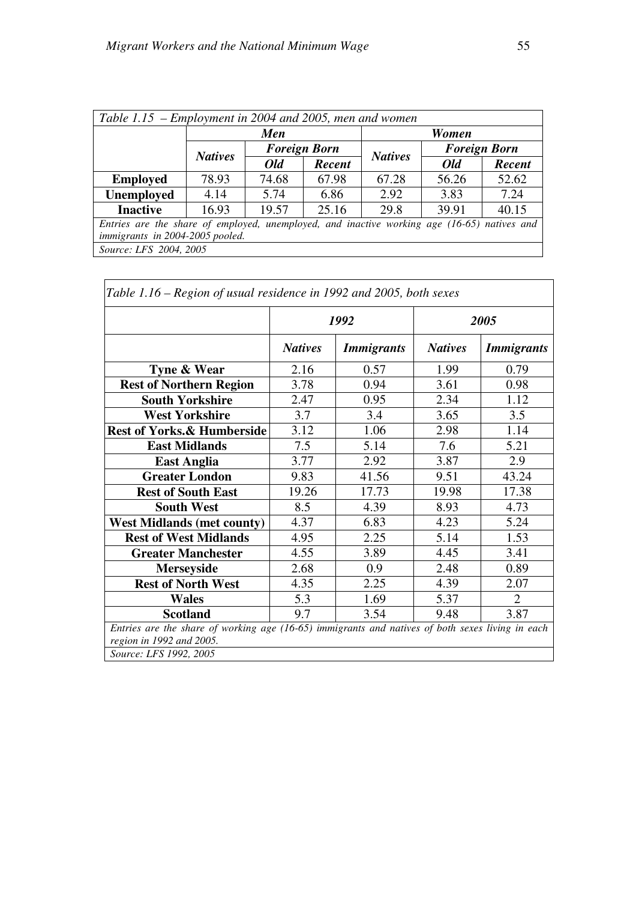ľ

| Table 1.15 – Employment in 2004 and 2005, men and women                                     |                                                              |       |        |                       |       |        |  |  |
|---------------------------------------------------------------------------------------------|--------------------------------------------------------------|-------|--------|-----------------------|-------|--------|--|--|
|                                                                                             | Men                                                          |       |        |                       | Women |        |  |  |
|                                                                                             | <b>Foreign Born</b><br><b>Foreign Born</b><br><b>Natives</b> |       |        |                       |       |        |  |  |
|                                                                                             |                                                              | Old   | Recent | <b>Natives</b><br>Old |       | Recent |  |  |
| <b>Employed</b>                                                                             | 78.93                                                        | 74.68 | 67.98  | 67.28                 | 56.26 | 52.62  |  |  |
| <b>Unemployed</b>                                                                           | 4.14                                                         | 5.74  | 6.86   | 2.92                  | 3.83  | 7.24   |  |  |
| <b>Inactive</b>                                                                             | 16.93                                                        | 19.57 | 25.16  | 29.8                  | 39.91 | 40.15  |  |  |
| Entries are the share of employed, unemployed, and inactive working age (16-65) natives and |                                                              |       |        |                       |       |        |  |  |
| immigrants in 2004-2005 pooled.                                                             |                                                              |       |        |                       |       |        |  |  |
| Source: LFS 2004, 2005                                                                      |                                                              |       |        |                       |       |        |  |  |

|                                       |                | 1992              |                | 2005              |
|---------------------------------------|----------------|-------------------|----------------|-------------------|
|                                       | <b>Natives</b> | <b>Immigrants</b> | <b>Natives</b> | <b>Immigrants</b> |
| Tyne & Wear                           | 2.16           | 0.57              | 1.99           | 0.79              |
| <b>Rest of Northern Region</b>        | 3.78           | 0.94              | 3.61           | 0.98              |
| <b>South Yorkshire</b>                | 2.47           | 0.95              | 2.34           | 1.12              |
| <b>West Yorkshire</b>                 | 3.7            | 3.4               | 3.65           | 3.5               |
| <b>Rest of Yorks.&amp; Humberside</b> | 3.12           | 1.06              | 2.98           | 1.14              |
| <b>East Midlands</b>                  | 7.5            | 5.14              | 7.6            | 5.21              |
| <b>East Anglia</b>                    | 3.77           | 2.92              | 3.87           | 2.9               |
| <b>Greater London</b>                 | 9.83           | 41.56             | 9.51           | 43.24             |
| <b>Rest of South East</b>             | 19.26          | 17.73             | 19.98          | 17.38             |
| <b>South West</b>                     | 8.5            | 4.39              | 8.93           | 4.73              |
| <b>West Midlands (met county)</b>     | 4.37           | 6.83              | 4.23           | 5.24              |
| <b>Rest of West Midlands</b>          | 4.95           | 2.25              | 5.14           | 1.53              |
| <b>Greater Manchester</b>             | 4.55           | 3.89              | 4.45           | 3.41              |
| <b>Merseyside</b>                     | 2.68           | 0.9               | 2.48           | 0.89              |
| <b>Rest of North West</b>             | 4.35           | 2.25              | 4.39           | 2.07              |
| <b>Wales</b>                          | 5.3            | 1.69              | 5.37           | $\overline{2}$    |
| <b>Scotland</b>                       | 9.7            | 3.54              | 9.48           | 3.87              |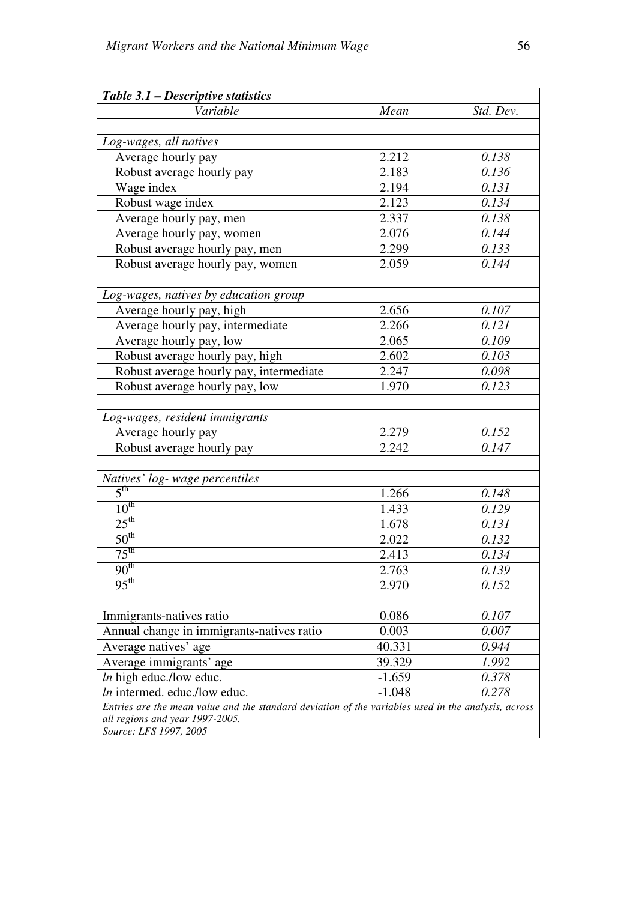| Table 3.1 – Descriptive statistics                                                                  |          |           |
|-----------------------------------------------------------------------------------------------------|----------|-----------|
| Variable                                                                                            | Mean     | Std. Dev. |
|                                                                                                     |          |           |
| Log-wages, all natives                                                                              |          |           |
| Average hourly pay                                                                                  | 2.212    | 0.138     |
| Robust average hourly pay                                                                           | 2.183    | 0.136     |
| Wage index                                                                                          | 2.194    | 0.131     |
| Robust wage index                                                                                   | 2.123    | 0.134     |
| Average hourly pay, men                                                                             | 2.337    | 0.138     |
| Average hourly pay, women                                                                           | 2.076    | 0.144     |
| Robust average hourly pay, men                                                                      | 2.299    | 0.133     |
| Robust average hourly pay, women                                                                    | 2.059    | 0.144     |
|                                                                                                     |          |           |
| Log-wages, natives by education group                                                               |          |           |
| Average hourly pay, high                                                                            | 2.656    | 0.107     |
| Average hourly pay, intermediate                                                                    | 2.266    | 0.121     |
| Average hourly pay, low                                                                             | 2.065    | 0.109     |
| Robust average hourly pay, high                                                                     | 2.602    | 0.103     |
| Robust average hourly pay, intermediate                                                             | 2.247    | 0.098     |
| Robust average hourly pay, low                                                                      | 1.970    | 0.123     |
|                                                                                                     |          |           |
| Log-wages, resident immigrants                                                                      |          |           |
| Average hourly pay                                                                                  | 2.279    | 0.152     |
| Robust average hourly pay                                                                           | 2.242    | 0.147     |
|                                                                                                     |          |           |
| Natives' log- wage percentiles                                                                      |          |           |
| $5^{\text{th}}$                                                                                     | 1.266    | 0.148     |
| 10 <sup>th</sup>                                                                                    | 1.433    | 0.129     |
| 25 <sup>th</sup>                                                                                    | 1.678    | 0.131     |
| 50 <sup>th</sup>                                                                                    | 2.022    | 0.132     |
| $75^{\text{th}}$                                                                                    | 2.413    | 0.134     |
| 90 <sup>th</sup>                                                                                    | 2.763    | 0.139     |
| $9\overline{5^{th}}$                                                                                | 2.970    | 0.152     |
|                                                                                                     |          |           |
| Immigrants-natives ratio                                                                            | 0.086    | 0.107     |
| Annual change in immigrants-natives ratio                                                           | 0.003    | 0.007     |
| Average natives' age                                                                                | 40.331   | 0.944     |
| Average immigrants' age                                                                             | 39.329   | 1.992     |
| $ln$ high educ./low educ.                                                                           | $-1.659$ | 0.378     |
| In intermed. educ./low educ.                                                                        | $-1.048$ | 0.278     |
| Entries are the mean value and the standard deviation of the variables used in the analysis, across |          |           |
| all regions and year 1997-2005.                                                                     |          |           |
| Source: LFS 1997, 2005                                                                              |          |           |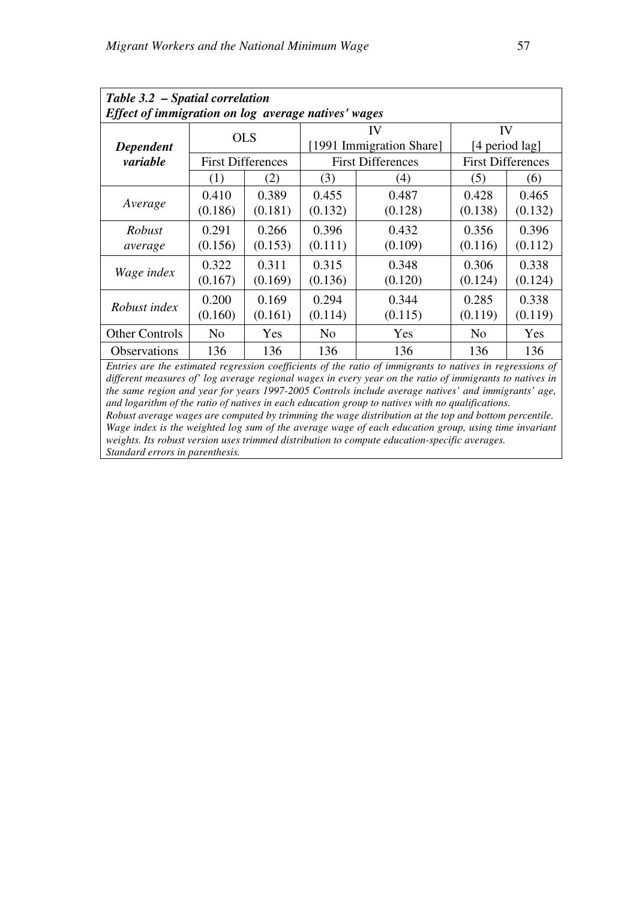| Table 3.2 - Spatial correlation                     |                |                          |                |                                                                                                           |                |                          |  |  |  |
|-----------------------------------------------------|----------------|--------------------------|----------------|-----------------------------------------------------------------------------------------------------------|----------------|--------------------------|--|--|--|
| Effect of immigration on log average natives' wages |                |                          |                |                                                                                                           |                |                          |  |  |  |
|                                                     |                | <b>OLS</b>               |                | IV                                                                                                        | IV             |                          |  |  |  |
| Dependent                                           |                |                          |                | [1991 Immigration Share]                                                                                  | [4 period lag] |                          |  |  |  |
| variable                                            |                | <b>First Differences</b> |                | <b>First Differences</b>                                                                                  |                | <b>First Differences</b> |  |  |  |
|                                                     | (1)            | (2)                      | (3)            | (4)                                                                                                       | (5)            | (6)                      |  |  |  |
|                                                     | 0.410          | 0.389                    | 0.455          | 0.487                                                                                                     | 0.428          | 0.465                    |  |  |  |
| Average                                             | (0.186)        | (0.181)                  | (0.132)        | (0.128)                                                                                                   | (0.138)        | (0.132)                  |  |  |  |
| Robust                                              | 0.291          | 0.266                    | 0.396          | 0.432                                                                                                     | 0.356          | 0.396                    |  |  |  |
| average                                             | (0.156)        | (0.153)                  | (0.111)        | (0.109)                                                                                                   | (0.116)        | (0.112)                  |  |  |  |
|                                                     | 0.322          | 0.311                    | 0.315          | 0.348                                                                                                     | 0.306          | 0.338                    |  |  |  |
| Wage index                                          | (0.167)        | (0.169)                  | (0.136)        | (0.120)                                                                                                   | (0.124)        | (0.124)                  |  |  |  |
|                                                     | 0.200          | 0.169                    | 0.294          | 0.344                                                                                                     | 0.285          | 0.338                    |  |  |  |
| Robust index                                        | (0.160)        | (0.161)                  | (0.114)        | (0.115)                                                                                                   | (0.119)        | (0.119)                  |  |  |  |
| <b>Other Controls</b>                               | N <sub>0</sub> | Yes                      | N <sub>o</sub> | Yes                                                                                                       | N <sub>0</sub> | <b>Yes</b>               |  |  |  |
| Observations                                        | 136            | 136                      | 136            | 136                                                                                                       | 136            | 136                      |  |  |  |
|                                                     |                |                          |                | Entries are the estimated regression coefficients of the ratio of immigrants to natives in regressions of |                |                          |  |  |  |

*different measures of' log average regional wages in every year on the ratio of immigrants to natives in the same region and year for years 1997-2005 Controls include average natives' and immigrants' age, and logarithm of the ratio of natives in each education group to natives with no qualifications.* 

*Robust average wages are computed by trimming the wage distribution at the top and bottom percentile. Wage index is the weighted log sum of the average wage of each education group, using time invariant weights. Its robust version uses trimmed distribution to compute education-specific averages. Standard errors in parenthesis.*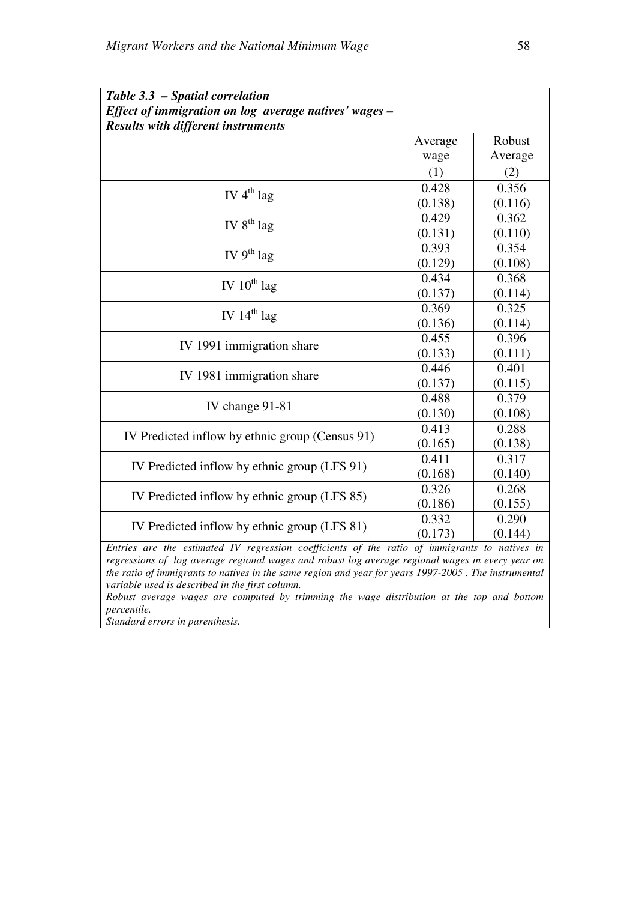| Effect of immigration on log average natives' wages -<br><b>Results with different instruments</b><br>Robust<br>Average<br>Average<br>wage<br>(1)<br>(2)<br>0.428<br>0.356<br>IV $4^{th}$ lag<br>(0.138)<br>(0.116)<br>0.429<br>0.362<br>IV $8^{th}$ lag<br>(0.131)<br>(0.110)<br>0.393<br>0.354<br>IV $9^{th}$ lag<br>(0.129)<br>(0.108)<br>0.434<br>0.368<br>IV $10^{th}$ lag<br>(0.137)<br>(0.114)<br>0.325<br>0.369<br>IV $14^{th}$ lag<br>(0.136)<br>(0.114)<br>0.396<br>0.455<br>IV 1991 immigration share<br>(0.133)<br>(0.111)<br>0.446<br>0.401<br>IV 1981 immigration share<br>(0.137)<br>(0.115)<br>0.488<br>0.379<br>IV change 91-81<br>(0.108)<br>(0.130)<br>0.413<br>0.288<br>IV Predicted inflow by ethnic group (Census 91)<br>(0.165)<br>(0.138) | Table 3.3 - Spatial correlation |  |
|-------------------------------------------------------------------------------------------------------------------------------------------------------------------------------------------------------------------------------------------------------------------------------------------------------------------------------------------------------------------------------------------------------------------------------------------------------------------------------------------------------------------------------------------------------------------------------------------------------------------------------------------------------------------------------------------------------------------------------------------------------------------|---------------------------------|--|
|                                                                                                                                                                                                                                                                                                                                                                                                                                                                                                                                                                                                                                                                                                                                                                   |                                 |  |
|                                                                                                                                                                                                                                                                                                                                                                                                                                                                                                                                                                                                                                                                                                                                                                   |                                 |  |
|                                                                                                                                                                                                                                                                                                                                                                                                                                                                                                                                                                                                                                                                                                                                                                   |                                 |  |
|                                                                                                                                                                                                                                                                                                                                                                                                                                                                                                                                                                                                                                                                                                                                                                   |                                 |  |
|                                                                                                                                                                                                                                                                                                                                                                                                                                                                                                                                                                                                                                                                                                                                                                   |                                 |  |
|                                                                                                                                                                                                                                                                                                                                                                                                                                                                                                                                                                                                                                                                                                                                                                   |                                 |  |
|                                                                                                                                                                                                                                                                                                                                                                                                                                                                                                                                                                                                                                                                                                                                                                   |                                 |  |
|                                                                                                                                                                                                                                                                                                                                                                                                                                                                                                                                                                                                                                                                                                                                                                   |                                 |  |
|                                                                                                                                                                                                                                                                                                                                                                                                                                                                                                                                                                                                                                                                                                                                                                   |                                 |  |
|                                                                                                                                                                                                                                                                                                                                                                                                                                                                                                                                                                                                                                                                                                                                                                   |                                 |  |
|                                                                                                                                                                                                                                                                                                                                                                                                                                                                                                                                                                                                                                                                                                                                                                   |                                 |  |
|                                                                                                                                                                                                                                                                                                                                                                                                                                                                                                                                                                                                                                                                                                                                                                   |                                 |  |
|                                                                                                                                                                                                                                                                                                                                                                                                                                                                                                                                                                                                                                                                                                                                                                   |                                 |  |
|                                                                                                                                                                                                                                                                                                                                                                                                                                                                                                                                                                                                                                                                                                                                                                   |                                 |  |
|                                                                                                                                                                                                                                                                                                                                                                                                                                                                                                                                                                                                                                                                                                                                                                   |                                 |  |
|                                                                                                                                                                                                                                                                                                                                                                                                                                                                                                                                                                                                                                                                                                                                                                   |                                 |  |
|                                                                                                                                                                                                                                                                                                                                                                                                                                                                                                                                                                                                                                                                                                                                                                   |                                 |  |
|                                                                                                                                                                                                                                                                                                                                                                                                                                                                                                                                                                                                                                                                                                                                                                   |                                 |  |
|                                                                                                                                                                                                                                                                                                                                                                                                                                                                                                                                                                                                                                                                                                                                                                   |                                 |  |
|                                                                                                                                                                                                                                                                                                                                                                                                                                                                                                                                                                                                                                                                                                                                                                   |                                 |  |
|                                                                                                                                                                                                                                                                                                                                                                                                                                                                                                                                                                                                                                                                                                                                                                   |                                 |  |
|                                                                                                                                                                                                                                                                                                                                                                                                                                                                                                                                                                                                                                                                                                                                                                   |                                 |  |
|                                                                                                                                                                                                                                                                                                                                                                                                                                                                                                                                                                                                                                                                                                                                                                   |                                 |  |
| 0.411<br>0.317                                                                                                                                                                                                                                                                                                                                                                                                                                                                                                                                                                                                                                                                                                                                                    |                                 |  |
| IV Predicted inflow by ethnic group (LFS 91)<br>(0.168)<br>(0.140)                                                                                                                                                                                                                                                                                                                                                                                                                                                                                                                                                                                                                                                                                                |                                 |  |
| 0.268<br>0.326                                                                                                                                                                                                                                                                                                                                                                                                                                                                                                                                                                                                                                                                                                                                                    |                                 |  |
| IV Predicted inflow by ethnic group (LFS 85)<br>(0.186)<br>(0.155)                                                                                                                                                                                                                                                                                                                                                                                                                                                                                                                                                                                                                                                                                                |                                 |  |
| 0.332<br>0.290                                                                                                                                                                                                                                                                                                                                                                                                                                                                                                                                                                                                                                                                                                                                                    |                                 |  |
| IV Predicted inflow by ethnic group (LFS 81)<br>(0.173)<br>(0.144)                                                                                                                                                                                                                                                                                                                                                                                                                                                                                                                                                                                                                                                                                                |                                 |  |

*Entries are the estimated IV regression coefficients of the ratio of immigrants to natives in regressions of log average regional wages and robust log average regional wages in every year on the ratio of immigrants to natives in the same region and year for years 1997-2005 . The instrumental variable used is described in the first column.* 

*Robust average wages are computed by trimming the wage distribution at the top and bottom percentile.* 

*Standard errors in parenthesis.*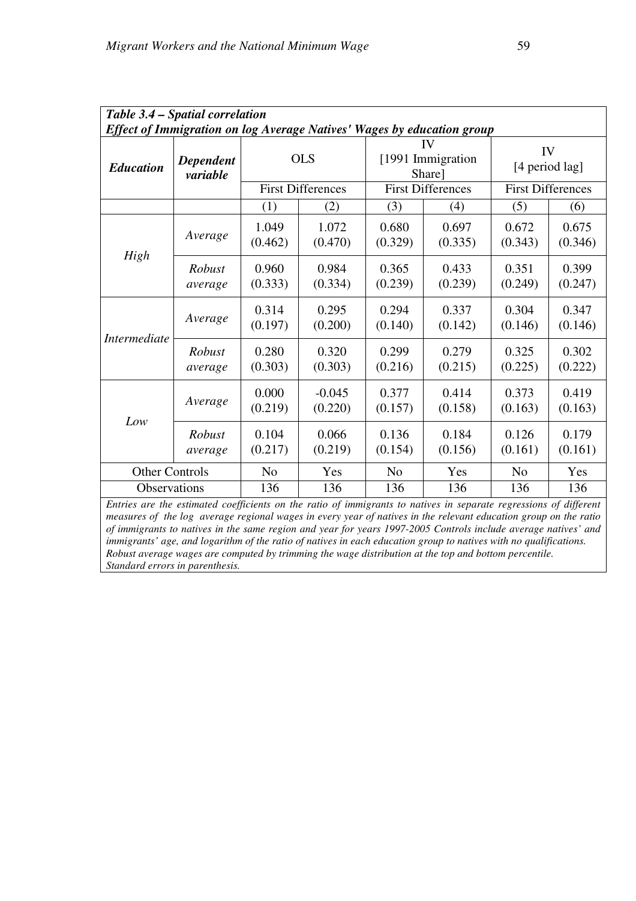| Table 3.4 – Spatial correlation                                                                                                                                                                                                       |                                                                        |                  |                          |                  |                             |                      |                          |  |  |
|---------------------------------------------------------------------------------------------------------------------------------------------------------------------------------------------------------------------------------------|------------------------------------------------------------------------|------------------|--------------------------|------------------|-----------------------------|----------------------|--------------------------|--|--|
|                                                                                                                                                                                                                                       | Effect of Immigration on log Average Natives' Wages by education group |                  |                          |                  |                             |                      |                          |  |  |
| <b>Education</b>                                                                                                                                                                                                                      | <b>Dependent</b><br>variable                                           |                  | <b>OLS</b>               |                  | [1991 Immigration<br>Share] | IV<br>[4 period lag] |                          |  |  |
|                                                                                                                                                                                                                                       |                                                                        |                  | <b>First Differences</b> |                  | <b>First Differences</b>    |                      | <b>First Differences</b> |  |  |
|                                                                                                                                                                                                                                       |                                                                        | (1)              | (2)                      | (3)              | (4)                         | (5)                  | (6)                      |  |  |
| High                                                                                                                                                                                                                                  | Average                                                                | 1.049<br>(0.462) | 1.072<br>(0.470)         | 0.680<br>(0.329) | 0.697<br>(0.335)            | 0.672<br>(0.343)     | 0.675<br>(0.346)         |  |  |
|                                                                                                                                                                                                                                       | Robust<br>average                                                      | 0.960<br>(0.333) | 0.984<br>(0.334)         | 0.365<br>(0.239) | 0.433<br>(0.239)            | 0.351<br>(0.249)     | 0.399<br>(0.247)         |  |  |
|                                                                                                                                                                                                                                       | Average                                                                | 0.314<br>(0.197) | 0.295<br>(0.200)         | 0.294<br>(0.140) | 0.337<br>(0.142)            | 0.304<br>(0.146)     | 0.347<br>(0.146)         |  |  |
| <i>Intermediate</i>                                                                                                                                                                                                                   | Robust<br>average                                                      | 0.280<br>(0.303) | 0.320<br>(0.303)         | 0.299<br>(0.216) | 0.279<br>(0.215)            | 0.325<br>(0.225)     | 0.302<br>(0.222)         |  |  |
|                                                                                                                                                                                                                                       | Average                                                                | 0.000<br>(0.219) | $-0.045$<br>(0.220)      | 0.377<br>(0.157) | 0.414<br>(0.158)            | 0.373<br>(0.163)     | 0.419<br>(0.163)         |  |  |
| Low                                                                                                                                                                                                                                   | Robust<br>average                                                      | 0.104<br>(0.217) | 0.066<br>(0.219)         | 0.136<br>(0.154) | 0.184<br>(0.156)            | 0.126<br>(0.161)     | 0.179<br>(0.161)         |  |  |
| <b>Other Controls</b>                                                                                                                                                                                                                 |                                                                        | N <sub>o</sub>   | Yes                      | N <sub>o</sub>   | Yes                         | N <sub>o</sub>       | Yes                      |  |  |
| Observations                                                                                                                                                                                                                          |                                                                        | 136              | 136                      | 136              | 136                         | 136                  | 136                      |  |  |
| Entries are the estimated coefficients on the ratio of immigrants to natives in separate regressions of different<br>measures of the log average regional wages in every year of natives in the relevant education group on the ratio |                                                                        |                  |                          |                  |                             |                      |                          |  |  |

*of immigrants to natives in the same region and year for years 1997-2005 Controls include average natives' and immigrants' age, and logarithm of the ratio of natives in each education group to natives with no qualifications. Robust average wages are computed by trimming the wage distribution at the top and bottom percentile. Standard errors in parenthesis.*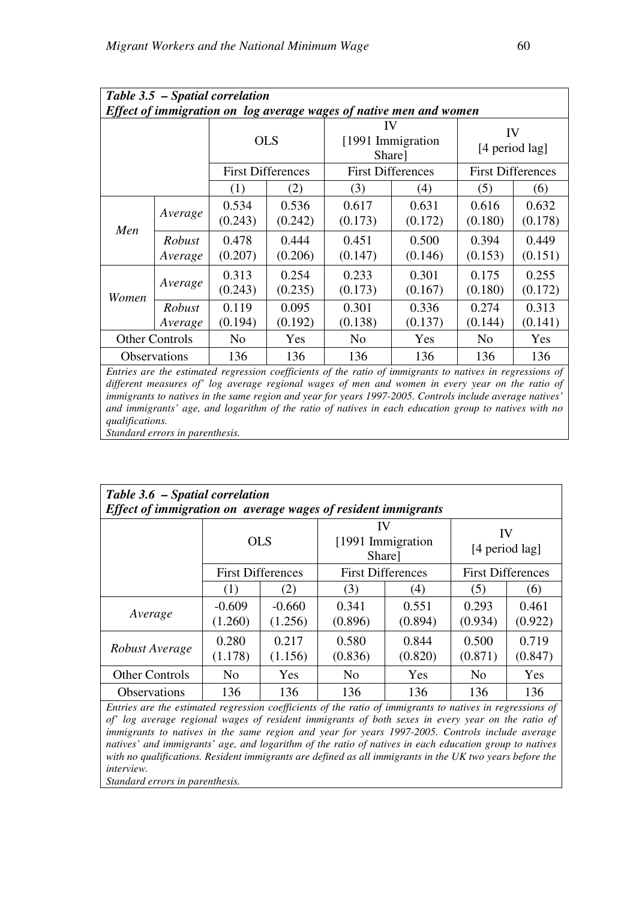| Table 3.5 - Spatial correlation                                    |                            |                                                      |                  |                  |                          |                      |                  |  |  |
|--------------------------------------------------------------------|----------------------------|------------------------------------------------------|------------------|------------------|--------------------------|----------------------|------------------|--|--|
| Effect of immigration on log average wages of native men and women |                            |                                                      |                  |                  |                          |                      |                  |  |  |
|                                                                    |                            | <b>OLS</b>                                           |                  | IV<br>Share]     | [1991 Immigration]       | IV<br>[4 period lag] |                  |  |  |
|                                                                    |                            | <b>First Differences</b><br><b>First Differences</b> |                  |                  | <b>First Differences</b> |                      |                  |  |  |
|                                                                    |                            | (1)                                                  | (2)              | (3)              | (4)                      | (5)                  | (6)              |  |  |
| Men                                                                | Average                    | 0.534<br>(0.243)                                     | 0.536<br>(0.242) | 0.617<br>(0.173) | 0.631<br>(0.172)         | 0.616<br>(0.180)     | 0.632<br>(0.178) |  |  |
|                                                                    | <b>Robust</b><br>Average   | 0.478<br>(0.207)                                     | 0.444<br>(0.206) | 0.451<br>(0.147) | 0.500<br>(0.146)         | 0.394<br>(0.153)     | 0.449<br>(0.151) |  |  |
| Women                                                              | Average                    | 0.313<br>(0.243)                                     | 0.254<br>(0.235) | 0.233<br>(0.173) | 0.301<br>(0.167)         | 0.175<br>(0.180)     | 0.255<br>(0.172) |  |  |
|                                                                    | Robust<br>Average          | 0.119<br>(0.194)                                     | 0.095<br>(0.192) | 0.301<br>(0.138) | 0.336<br>(0.137)         | 0.274<br>(0.144)     | 0.313<br>(0.141) |  |  |
|                                                                    | <b>Other Controls</b>      | No                                                   | Yes              | N <sub>0</sub>   | Yes                      | N <sub>0</sub>       | Yes              |  |  |
|                                                                    | <i><b>Observations</b></i> | 136                                                  | 136              | 136              | 136                      | 136                  | 136              |  |  |

*Entries are the estimated regression coefficients of the ratio of immigrants to natives in regressions of different measures of' log average regional wages of men and women in every year on the ratio of immigrants to natives in the same region and year for years 1997-2005. Controls include average natives' and immigrants' age, and logarithm of the ratio of natives in each education group to natives with no qualifications.* 

|  |  | Standard errors in parenthesis. |
|--|--|---------------------------------|

| Table 3.6 - Spatial correlation<br>Effect of immigration on average wages of resident immigrants |                          |                     |                                    |                  |                          |                  |  |  |
|--------------------------------------------------------------------------------------------------|--------------------------|---------------------|------------------------------------|------------------|--------------------------|------------------|--|--|
|                                                                                                  | <b>OLS</b>               |                     | IV<br>[1991 Immigration]<br>Share] |                  | IV                       | [4 period lag]   |  |  |
|                                                                                                  | <b>First Differences</b> |                     | <b>First Differences</b>           |                  | <b>First Differences</b> |                  |  |  |
|                                                                                                  | (1)                      | (2)                 | (3)                                | $\left(4\right)$ | (5)                      | (6)              |  |  |
| Average                                                                                          | $-0.609$<br>(1.260)      | $-0.660$<br>(1.256) | 0.341<br>(0.896)                   | 0.551<br>(0.894) | 0.293<br>(0.934)         | 0.461<br>(0.922) |  |  |
| Robust Average                                                                                   | 0.280<br>(1.178)         | 0.217<br>(1.156)    | 0.580<br>(0.836)                   | 0.844<br>(0.820) | 0.500<br>(0.871)         | 0.719<br>(0.847) |  |  |
| <b>Other Controls</b>                                                                            | N <sub>0</sub>           | Yes                 | N <sub>o</sub>                     | Yes              | N <sub>0</sub>           | Yes              |  |  |
| <b>Observations</b>                                                                              | 136                      | 136                 | 136                                | 136              | 136                      | 136              |  |  |

*Entries are the estimated regression coefficients of the ratio of immigrants to natives in regressions of of' log average regional wages of resident immigrants of both sexes in every year on the ratio of immigrants to natives in the same region and year for years 1997-2005. Controls include average natives' and immigrants' age, and logarithm of the ratio of natives in each education group to natives with no qualifications. Resident immigrants are defined as all immigrants in the UK two years before the interview.* 

*Standard errors in parenthesis.*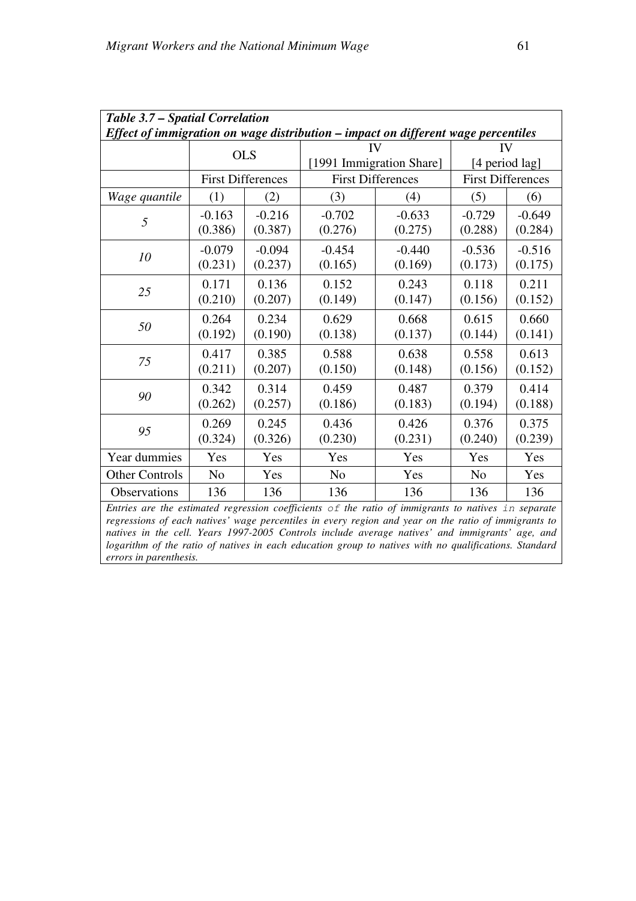| Table 3.7 - Spatial Correlation                                                                     |                     |                          |                                                                                                  |                          |                     |                          |  |  |  |
|-----------------------------------------------------------------------------------------------------|---------------------|--------------------------|--------------------------------------------------------------------------------------------------|--------------------------|---------------------|--------------------------|--|--|--|
| Effect of immigration on wage distribution – impact on different wage percentiles                   |                     |                          |                                                                                                  |                          |                     |                          |  |  |  |
|                                                                                                     |                     | <b>OLS</b>               | IV                                                                                               |                          | IV                  |                          |  |  |  |
|                                                                                                     |                     |                          |                                                                                                  | [1991 Immigration Share] |                     | [4 period lag]           |  |  |  |
|                                                                                                     |                     | <b>First Differences</b> | <b>First Differences</b>                                                                         |                          |                     | <b>First Differences</b> |  |  |  |
| Wage quantile                                                                                       | (1)                 | (2)                      | (3)                                                                                              | (4)                      | (5)                 | (6)                      |  |  |  |
| 5                                                                                                   | $-0.163$<br>(0.386) | $-0.216$<br>(0.387)      | $-0.702$<br>(0.276)                                                                              | $-0.633$<br>(0.275)      | $-0.729$<br>(0.288) | $-0.649$<br>(0.284)      |  |  |  |
| 10                                                                                                  | $-0.079$<br>(0.231) | $-0.094$<br>(0.237)      | $-0.454$<br>(0.165)                                                                              | $-0.440$<br>(0.169)      | $-0.536$<br>(0.173) | $-0.516$<br>(0.175)      |  |  |  |
| 25                                                                                                  | 0.171<br>(0.210)    | 0.136<br>(0.207)         | 0.152<br>(0.149)                                                                                 | 0.243<br>(0.147)         | 0.118<br>(0.156)    | 0.211<br>(0.152)         |  |  |  |
| 50                                                                                                  | 0.264<br>(0.192)    | 0.234<br>(0.190)         | 0.629<br>(0.138)                                                                                 | 0.668<br>(0.137)         | 0.615<br>(0.144)    | 0.660<br>(0.141)         |  |  |  |
| 75                                                                                                  | 0.417<br>(0.211)    | 0.385<br>(0.207)         | 0.588<br>(0.150)                                                                                 | 0.638<br>(0.148)         | 0.558<br>(0.156)    | 0.613<br>(0.152)         |  |  |  |
| 90                                                                                                  | 0.342<br>(0.262)    | 0.314<br>(0.257)         | 0.459<br>(0.186)                                                                                 | 0.487<br>(0.183)         | 0.379<br>(0.194)    | 0.414<br>(0.188)         |  |  |  |
| 95                                                                                                  | 0.269<br>(0.324)    | 0.245<br>(0.326)         | 0.436<br>(0.230)                                                                                 | 0.426<br>(0.231)         | 0.376<br>(0.240)    | 0.375<br>(0.239)         |  |  |  |
| Year dummies                                                                                        | Yes                 | Yes                      | Yes                                                                                              | Yes                      | Yes                 | Yes                      |  |  |  |
| <b>Other Controls</b>                                                                               | N <sub>o</sub>      | Yes                      | N <sub>o</sub>                                                                                   | Yes                      | N <sub>o</sub>      | Yes                      |  |  |  |
| <b>Observations</b>                                                                                 | 136                 | 136                      | 136                                                                                              | 136                      | 136                 | 136                      |  |  |  |
| Entries are the estimated regression coefficients of the ratio of immigrants to natives in separate |                     |                          | operators of sach patiner, was perception in curry person and year on the patio of indicators to |                          |                     |                          |  |  |  |

*regressions of each natives' wage percentiles in every region and year on the ratio of immigrants to natives in the cell. Years 1997-2005 Controls include average natives' and immigrants' age, and logarithm of the ratio of natives in each education group to natives with no qualifications. Standard errors in parenthesis.*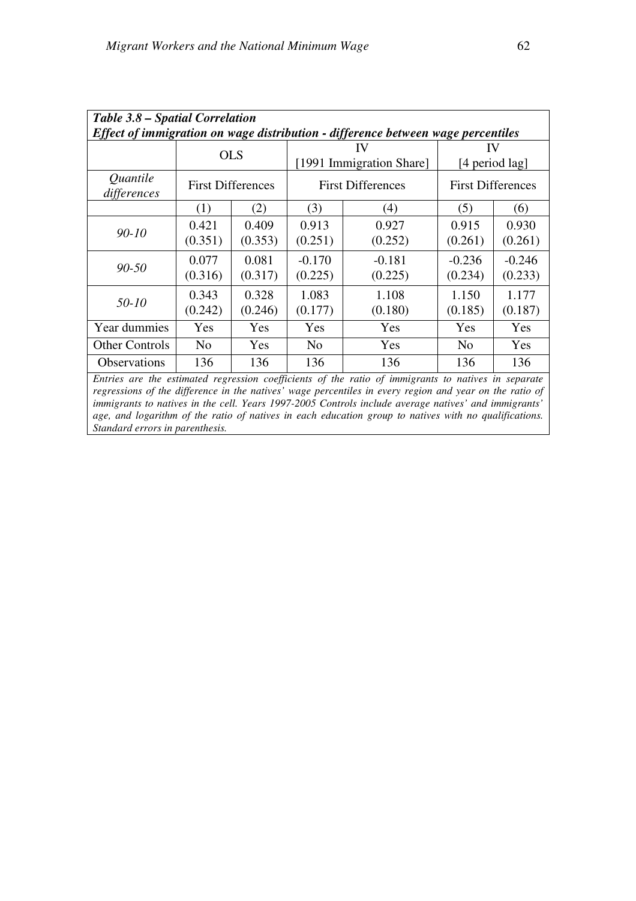| Table 3.8 – Spatial Correlation<br>Effect of immigration on wage distribution - difference between wage percentiles |                          |                  |                                |                     |                          |                     |  |  |
|---------------------------------------------------------------------------------------------------------------------|--------------------------|------------------|--------------------------------|---------------------|--------------------------|---------------------|--|--|
|                                                                                                                     | <b>OLS</b>               |                  | 1V<br>[1991 Immigration Share] |                     | IV<br>[4 period lag]     |                     |  |  |
| Quantile<br>differences                                                                                             | <b>First Differences</b> |                  | <b>First Differences</b>       |                     | <b>First Differences</b> |                     |  |  |
|                                                                                                                     | (1)                      | (2)              | (3)                            | (4)                 | (5)                      | (6)                 |  |  |
| $90 - 10$                                                                                                           | 0.421<br>(0.351)         | 0.409<br>(0.353) | 0.913<br>(0.251)               | 0.927<br>(0.252)    | 0.915<br>(0.261)         | 0.930<br>(0.261)    |  |  |
| $90 - 50$                                                                                                           | 0.077<br>(0.316)         | 0.081<br>(0.317) | $-0.170$<br>(0.225)            | $-0.181$<br>(0.225) | $-0.236$<br>(0.234)      | $-0.246$<br>(0.233) |  |  |
| 50-10                                                                                                               | 0.343<br>(0.242)         | 0.328<br>(0.246) | 1.083<br>(0.177)               | 1.108<br>(0.180)    | 1.150<br>(0.185)         | 1.177<br>(0.187)    |  |  |
| Year dummies                                                                                                        | Yes                      | Yes              | Yes                            | Yes                 | Yes                      | Yes                 |  |  |
| <b>Other Controls</b>                                                                                               | N <sub>0</sub>           | Yes              | N <sub>0</sub>                 | Yes                 | N <sub>0</sub>           | Yes                 |  |  |
| <b>Observations</b>                                                                                                 | 136                      | 136              | 136                            | 136                 | 136                      | 136                 |  |  |

*Entries are the estimated regression coefficients of the ratio of immigrants to natives in separate regressions of the difference in the natives' wage percentiles in every region and year on the ratio of immigrants to natives in the cell. Years 1997-2005 Controls include average natives' and immigrants' age, and logarithm of the ratio of natives in each education group to natives with no qualifications. Standard errors in parenthesis.*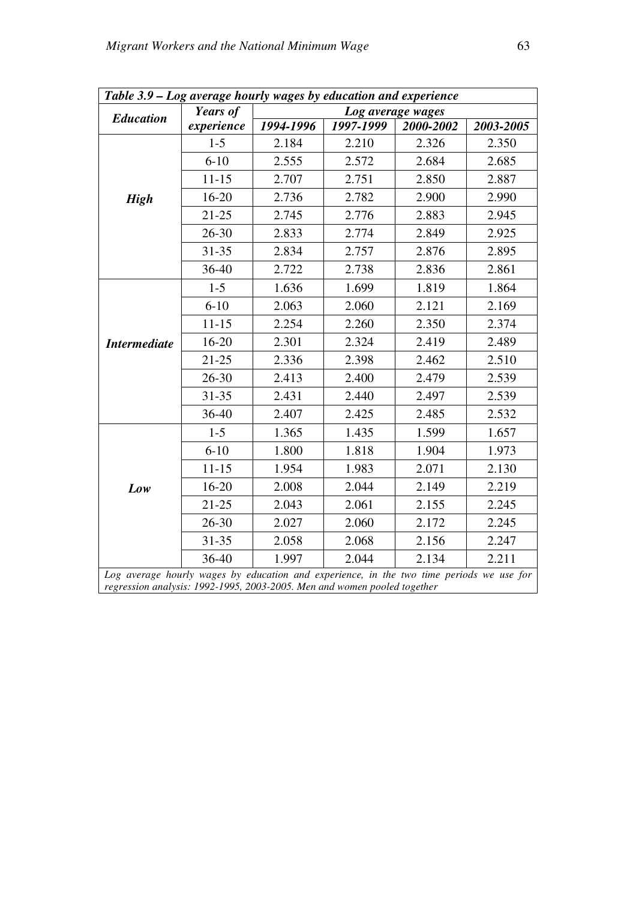| Table 3.9 – Log average hourly wages by education and experience                                                                                                     |            |           |                   |           |           |  |  |
|----------------------------------------------------------------------------------------------------------------------------------------------------------------------|------------|-----------|-------------------|-----------|-----------|--|--|
| <b>Education</b>                                                                                                                                                     | Years of   |           | Log average wages |           |           |  |  |
|                                                                                                                                                                      | experience | 1994-1996 | 1997-1999         | 2000-2002 | 2003-2005 |  |  |
|                                                                                                                                                                      | $1 - 5$    | 2.184     | 2.210             | 2.326     | 2.350     |  |  |
|                                                                                                                                                                      | $6 - 10$   | 2.555     | 2.572             | 2.684     | 2.685     |  |  |
|                                                                                                                                                                      | $11 - 15$  | 2.707     | 2.751             | 2.850     | 2.887     |  |  |
| <b>High</b>                                                                                                                                                          | $16 - 20$  | 2.736     | 2.782             | 2.900     | 2.990     |  |  |
|                                                                                                                                                                      | $21 - 25$  | 2.745     | 2.776             | 2.883     | 2.945     |  |  |
|                                                                                                                                                                      | $26 - 30$  | 2.833     | 2.774             | 2.849     | 2.925     |  |  |
|                                                                                                                                                                      | $31 - 35$  | 2.834     | 2.757             | 2.876     | 2.895     |  |  |
|                                                                                                                                                                      | 36-40      | 2.722     | 2.738             | 2.836     | 2.861     |  |  |
| <b>Intermediate</b>                                                                                                                                                  | $1-5$      | 1.636     | 1.699             | 1.819     | 1.864     |  |  |
|                                                                                                                                                                      | $6 - 10$   | 2.063     | 2.060             | 2.121     | 2.169     |  |  |
|                                                                                                                                                                      | $11 - 15$  | 2.254     | 2.260             | 2.350     | 2.374     |  |  |
|                                                                                                                                                                      | $16 - 20$  | 2.301     | 2.324             | 2.419     | 2.489     |  |  |
|                                                                                                                                                                      | $21 - 25$  | 2.336     | 2.398             | 2.462     | 2.510     |  |  |
|                                                                                                                                                                      | 26-30      | 2.413     | 2.400             | 2.479     | 2.539     |  |  |
|                                                                                                                                                                      | $31 - 35$  | 2.431     | 2.440             | 2.497     | 2.539     |  |  |
|                                                                                                                                                                      | 36-40      | 2.407     | 2.425             | 2.485     | 2.532     |  |  |
| Low                                                                                                                                                                  | $1-5$      | 1.365     | 1.435             | 1.599     | 1.657     |  |  |
|                                                                                                                                                                      | $6 - 10$   | 1.800     | 1.818             | 1.904     | 1.973     |  |  |
|                                                                                                                                                                      | $11 - 15$  | 1.954     | 1.983             | 2.071     | 2.130     |  |  |
|                                                                                                                                                                      | 16-20      | 2.008     | 2.044             | 2.149     | 2.219     |  |  |
|                                                                                                                                                                      | $21 - 25$  | 2.043     | 2.061             | 2.155     | 2.245     |  |  |
|                                                                                                                                                                      | $26 - 30$  | 2.027     | 2.060             | 2.172     | 2.245     |  |  |
|                                                                                                                                                                      | $31 - 35$  | 2.058     | 2.068             | 2.156     | 2.247     |  |  |
|                                                                                                                                                                      | 36-40      | 1.997     | 2.044             | 2.134     | 2.211     |  |  |
| Log average hourly wages by education and experience, in the two time periods we use for<br>regression analysis: 1992-1995, 2003-2005. Men and women pooled together |            |           |                   |           |           |  |  |